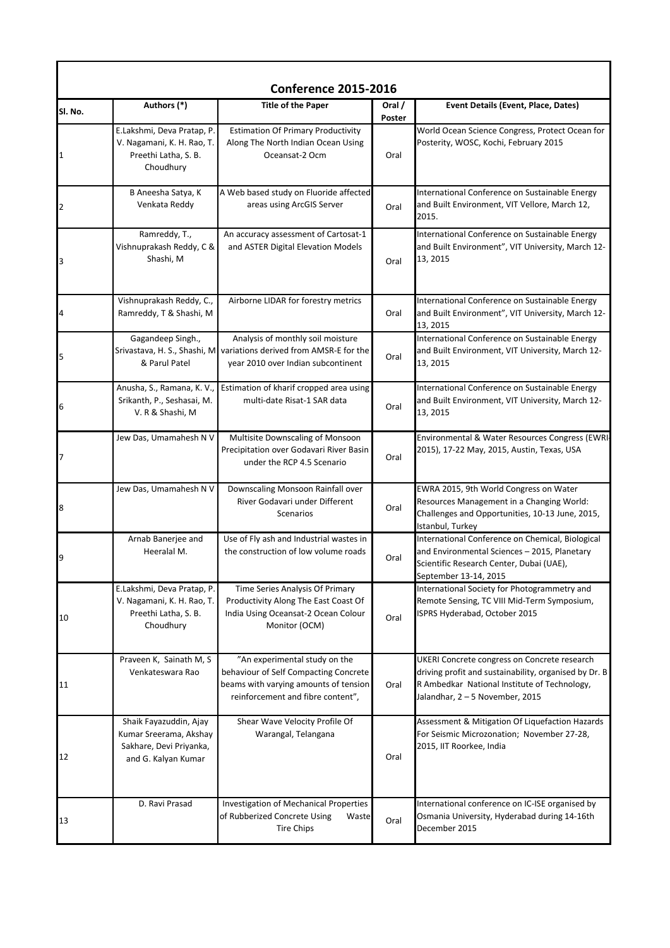|              |                                                                                                    | <b>Conference 2015-2016</b>                                                                                                                          |                  |                                                                                                                                                                                          |
|--------------|----------------------------------------------------------------------------------------------------|------------------------------------------------------------------------------------------------------------------------------------------------------|------------------|------------------------------------------------------------------------------------------------------------------------------------------------------------------------------------------|
| SI. No.      | Authors (*)                                                                                        | <b>Title of the Paper</b>                                                                                                                            | Oral /<br>Poster | Event Details (Event, Place, Dates)                                                                                                                                                      |
| $\mathbf{1}$ | E.Lakshmi, Deva Pratap, P.<br>V. Nagamani, K. H. Rao, T.<br>Preethi Latha, S. B.<br>Choudhury      | <b>Estimation Of Primary Productivity</b><br>Along The North Indian Ocean Using<br>Oceansat-2 Ocm                                                    | Oral             | World Ocean Science Congress, Protect Ocean for<br>Posterity, WOSC, Kochi, February 2015                                                                                                 |
| 2            | B Aneesha Satya, K<br>Venkata Reddy                                                                | A Web based study on Fluoride affected<br>areas using ArcGIS Server                                                                                  | Oral             | International Conference on Sustainable Energy<br>and Built Environment, VIT Vellore, March 12,<br>2015.                                                                                 |
| 3            | Ramreddy, T.,<br>Vishnuprakash Reddy, C &<br>Shashi, M                                             | An accuracy assessment of Cartosat-1<br>and ASTER Digital Elevation Models                                                                           | Oral             | International Conference on Sustainable Energy<br>and Built Environment", VIT University, March 12-<br>13, 2015                                                                          |
| 4            | Vishnuprakash Reddy, C.,<br>Ramreddy, T & Shashi, M                                                | Airborne LIDAR for forestry metrics                                                                                                                  | Oral             | International Conference on Sustainable Energy<br>and Built Environment", VIT University, March 12-<br>13, 2015                                                                          |
| 5            | Gagandeep Singh.,<br>& Parul Patel                                                                 | Analysis of monthly soil moisture<br>Srivastava, H. S., Shashi, M variations derived from AMSR-E for the<br>year 2010 over Indian subcontinent       | Oral             | International Conference on Sustainable Energy<br>and Built Environment, VIT University, March 12-<br>13, 2015                                                                           |
| 6            | Anusha, S., Ramana, K. V.,<br>Srikanth, P., Seshasai, M.<br>V. R & Shashi, M                       | Estimation of kharif cropped area using<br>multi-date Risat-1 SAR data                                                                               | Oral             | International Conference on Sustainable Energy<br>and Built Environment, VIT University, March 12-<br>13, 2015                                                                           |
| 7            | Jew Das, Umamahesh N V                                                                             | Multisite Downscaling of Monsoon<br>Precipitation over Godavari River Basin<br>under the RCP 4.5 Scenario                                            | Oral             | Environmental & Water Resources Congress (EWRI-<br>2015), 17-22 May, 2015, Austin, Texas, USA                                                                                            |
| 8            | Jew Das, Umamahesh N V                                                                             | Downscaling Monsoon Rainfall over<br>River Godavari under Different<br>Scenarios                                                                     | Oral             | EWRA 2015, 9th World Congress on Water<br>Resources Management in a Changing World:<br>Challenges and Opportunities, 10-13 June, 2015,<br>Istanbul, Turkey                               |
| 9            | Arnab Banerjee and<br>Heeralal M.                                                                  | Use of Fly ash and Industrial wastes in<br>the construction of low volume roads                                                                      | Oral             | International Conference on Chemical, Biological<br>and Environmental Sciences - 2015, Planetary<br>Scientific Research Center, Dubai (UAE),<br>September 13-14, 2015                    |
| 10           | E.Lakshmi, Deva Pratap, P.<br>V. Nagamani, K. H. Rao, T.<br>Preethi Latha, S. B.<br>Choudhury      | Time Series Analysis Of Primary<br>Productivity Along The East Coast Of<br>India Using Oceansat-2 Ocean Colour<br>Monitor (OCM)                      | Oral             | International Society for Photogrammetry and<br>Remote Sensing, TC VIII Mid-Term Symposium,<br>ISPRS Hyderabad, October 2015                                                             |
| 11           | Praveen K, Sainath M, S<br>Venkateswara Rao                                                        | "An experimental study on the<br>behaviour of Self Compacting Concrete<br>beams with varying amounts of tension<br>reinforcement and fibre content", | Oral             | UKERI Concrete congress on Concrete research<br>driving profit and sustainability, organised by Dr. B<br>R Ambedkar National Institute of Technology,<br>Jalandhar, 2 - 5 November, 2015 |
| 12           | Shaik Fayazuddin, Ajay<br>Kumar Sreerama, Akshay<br>Sakhare, Devi Priyanka,<br>and G. Kalyan Kumar | Shear Wave Velocity Profile Of<br>Warangal, Telangana                                                                                                | Oral             | Assessment & Mitigation Of Liquefaction Hazards<br>For Seismic Microzonation; November 27-28,<br>2015, IIT Roorkee, India                                                                |
| 13           | D. Ravi Prasad                                                                                     | Investigation of Mechanical Properties<br>of Rubberized Concrete Using<br>Waste<br><b>Tire Chips</b>                                                 | Oral             | International conference on IC-ISE organised by<br>Osmania University, Hyderabad during 14-16th<br>December 2015                                                                         |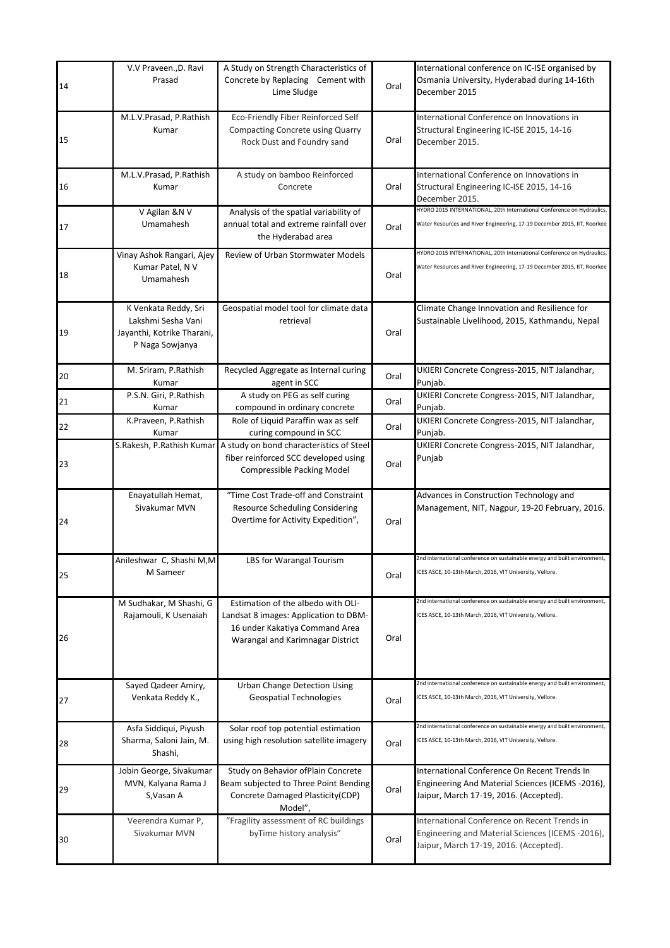| 14 | V.V Praveen., D. Ravi<br>Prasad                                                             | A Study on Strength Characteristics of<br>Concrete by Replacing Cement with<br>Lime Sludge                                                        | Oral | International conference on IC-ISE organised by<br>Osmania University, Hyderabad during 14-16th<br>December 2015                                   |
|----|---------------------------------------------------------------------------------------------|---------------------------------------------------------------------------------------------------------------------------------------------------|------|----------------------------------------------------------------------------------------------------------------------------------------------------|
| 15 | M.L.V.Prasad, P.Rathish<br>Kumar                                                            | Eco-Friendly Fiber Reinforced Self<br>Compacting Concrete using Quarry<br>Rock Dust and Foundry sand                                              | Oral | International Conference on Innovations in<br>Structural Engineering IC-ISE 2015, 14-16<br>December 2015.                                          |
| 16 | M.L.V.Prasad, P.Rathish<br>Kumar                                                            | A study on bamboo Reinforced<br>Concrete                                                                                                          | Oral | International Conference on Innovations in<br>Structural Engineering IC-ISE 2015, 14-16<br>December 2015.                                          |
| 17 | V Agilan &N V<br>Umamahesh                                                                  | Analysis of the spatial variability of<br>annual total and extreme rainfall over<br>the Hyderabad area                                            | Oral | HYDRO 2015 INTERNATIONAL, 20th International Conference on Hydraulics,<br>Water Resources and River Engineering, 17-19 December 2015, IIT, Roorkee |
| 18 | Vinay Ashok Rangari, Ajey<br>Kumar Patel, N V<br>Umamahesh                                  | Review of Urban Stormwater Models                                                                                                                 | Oral | HYDRO 2015 INTERNATIONAL, 20th International Conference on Hydraulics,<br>Water Resources and River Engineering, 17-19 December 2015, IIT, Roorkee |
| 19 | K Venkata Reddy, Sri<br>Lakshmi Sesha Vani<br>Jayanthi, Kotrike Tharani,<br>P Naga Sowjanya | Geospatial model tool for climate data<br>retrieval                                                                                               | Oral | Climate Change Innovation and Resilience for<br>Sustainable Livelihood, 2015, Kathmandu, Nepal                                                     |
| 20 | M. Sriram, P.Rathish<br>Kumar                                                               | Recycled Aggregate as Internal curing<br>agent in SCC                                                                                             | Oral | UKIERI Concrete Congress-2015, NIT Jalandhar,<br>Punjab.                                                                                           |
| 21 | P.S.N. Giri, P.Rathish<br>Kumar                                                             | A study on PEG as self curing<br>compound in ordinary concrete                                                                                    | Oral | UKIERI Concrete Congress-2015, NIT Jalandhar,<br>Punjab.                                                                                           |
| 22 | K.Praveen, P.Rathish<br>Kumar                                                               | Role of Liquid Paraffin wax as self<br>curing compound in SCC                                                                                     | Oral | UKIERI Concrete Congress-2015, NIT Jalandhar,<br>Punjab.                                                                                           |
| 23 |                                                                                             | S.Rakesh, P.Rathish Kumar A study on bond characteristics of Steel<br>fiber reinforced SCC developed using<br><b>Compressible Packing Model</b>   | Oral | UKIERI Concrete Congress-2015, NIT Jalandhar,<br>Punjab                                                                                            |
| 24 | Enayatullah Hemat,<br>Sivakumar MVN                                                         | "Time Cost Trade-off and Constraint<br><b>Resource Scheduling Considering</b><br>Overtime for Activity Expedition",                               | Oral | Advances in Construction Technology and<br>Management, NIT, Nagpur, 19-20 February, 2016.                                                          |
| 25 | Anileshwar C, Shashi M,M<br>M Sameer                                                        | LBS for Warangal Tourism                                                                                                                          | Oral | 2nd international conference on sustainable energy and built environment,<br>ICES ASCE, 10-13th March, 2016, VIT University, Vellore.              |
| 26 | M Sudhakar, M Shashi, G<br>Rajamouli, K Usenaiah                                            | Estimation of the albedo with OLI-<br>Landsat 8 images: Application to DBM-<br>16 under Kakatiya Command Area<br>Warangal and Karimnagar District | Oral | 2nd international conference on sustainable energy and built environment,<br>ICES ASCE, 10-13th March, 2016, VIT University, Vellore.              |
| 27 | Sayed Qadeer Amiry,<br>Venkata Reddy K.,                                                    | <b>Urban Change Detection Using</b><br><b>Geospatial Technologies</b>                                                                             | Oral | 2nd international conference on sustainable energy and built environment,<br>ICES ASCE, 10-13th March, 2016, VIT University, Vellore.              |
| 28 | Asfa Siddiqui, Piyush<br>Sharma, Saloni Jain, M.<br>Shashi,                                 | Solar roof top potential estimation<br>using high resolution satellite imagery                                                                    | Oral | 2nd international conference on sustainable energy and built environment,<br>ICES ASCE, 10-13th March, 2016, VIT University, Vellore.              |
| 29 | Jobin George, Sivakumar<br>MVN, Kalyana Rama J<br>S, Vasan A                                | Study on Behavior ofPlain Concrete<br>Beam subjected to Three Point Bending<br>Concrete Damaged Plasticity(CDP)<br>Model",                        | Oral | International Conference On Recent Trends In<br>Engineering And Material Sciences (ICEMS -2016),<br>Jaipur, March 17-19, 2016. (Accepted).         |
| 30 | Veerendra Kumar P,<br>Sivakumar MVN                                                         | "Fragility assessment of RC buildings<br>byTime history analysis"                                                                                 | Oral | International Conference on Recent Trends in<br>Engineering and Material Sciences (ICEMS -2016),<br>Jaipur, March 17-19, 2016. (Accepted).         |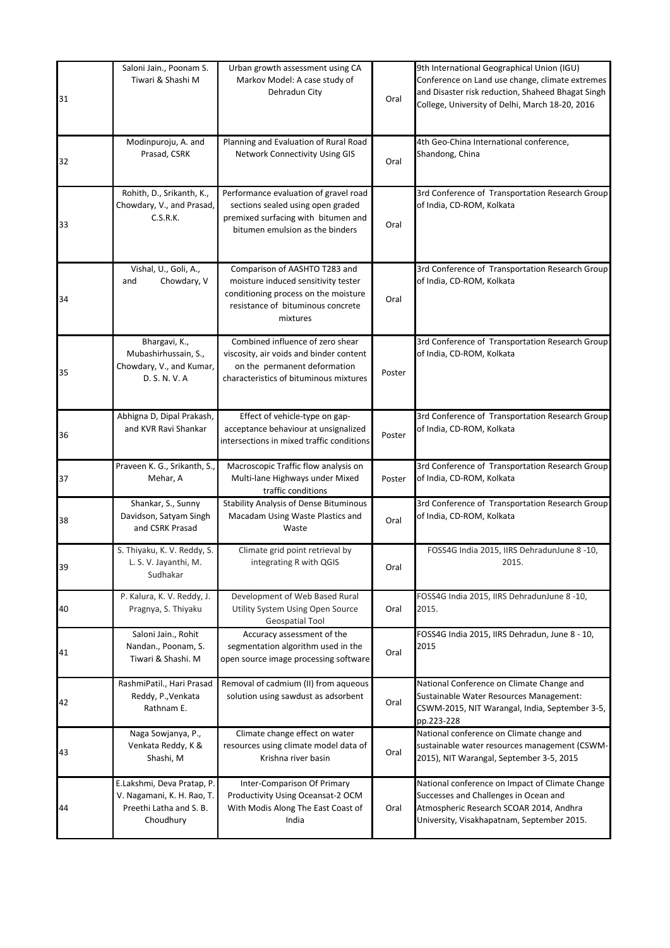| 31 | Saloni Jain., Poonam S.<br>Tiwari & Shashi M                                                     | Urban growth assessment using CA<br>Markov Model: A case study of<br>Dehradun City                                                                            | Oral   | 9th International Geographical Union (IGU)<br>Conference on Land use change, climate extremes<br>and Disaster risk reduction, Shaheed Bhagat Singh<br>College, University of Delhi, March 18-20, 2016 |
|----|--------------------------------------------------------------------------------------------------|---------------------------------------------------------------------------------------------------------------------------------------------------------------|--------|-------------------------------------------------------------------------------------------------------------------------------------------------------------------------------------------------------|
| 32 | Modinpuroju, A. and<br>Prasad, CSRK                                                              | Planning and Evaluation of Rural Road<br><b>Network Connectivity Using GIS</b>                                                                                | Oral   | 4th Geo-China International conference,<br>Shandong, China                                                                                                                                            |
| 33 | Rohith, D., Srikanth, K.,<br>Chowdary, V., and Prasad,<br>C.S.R.K.                               | Performance evaluation of gravel road<br>sections sealed using open graded<br>premixed surfacing with bitumen and<br>bitumen emulsion as the binders          | Oral   | 3rd Conference of Transportation Research Group<br>of India, CD-ROM, Kolkata                                                                                                                          |
| 34 | Vishal, U., Goli, A.,<br>Chowdary, V<br>and                                                      | Comparison of AASHTO T283 and<br>moisture induced sensitivity tester<br>conditioning process on the moisture<br>resistance of bituminous concrete<br>mixtures | Oral   | 3rd Conference of Transportation Research Group<br>of India, CD-ROM, Kolkata                                                                                                                          |
| 35 | Bhargavi, K.,<br>Mubashirhussain, S.,<br>Chowdary, V., and Kumar,<br>D. S. N. V. A               | Combined influence of zero shear<br>viscosity, air voids and binder content<br>on the permanent deformation<br>characteristics of bituminous mixtures         | Poster | 3rd Conference of Transportation Research Group<br>of India, CD-ROM, Kolkata                                                                                                                          |
| 36 | Abhigna D, Dipal Prakash,<br>and KVR Ravi Shankar                                                | Effect of vehicle-type on gap-<br>acceptance behaviour at unsignalized<br>intersections in mixed traffic conditions                                           | Poster | 3rd Conference of Transportation Research Group<br>of India, CD-ROM, Kolkata                                                                                                                          |
| 37 | Praveen K. G., Srikanth, S.,<br>Mehar, A                                                         | Macroscopic Traffic flow analysis on<br>Multi-lane Highways under Mixed<br>traffic conditions                                                                 | Poster | 3rd Conference of Transportation Research Group<br>of India, CD-ROM, Kolkata                                                                                                                          |
| 38 | Shankar, S., Sunny<br>Davidson, Satyam Singh<br>and CSRK Prasad                                  | <b>Stability Analysis of Dense Bituminous</b><br>Macadam Using Waste Plastics and<br>Waste                                                                    | Oral   | 3rd Conference of Transportation Research Group<br>of India, CD-ROM, Kolkata                                                                                                                          |
| 39 | S. Thiyaku, K. V. Reddy, S.<br>L. S. V. Jayanthi, M.<br>Sudhakar                                 | Climate grid point retrieval by<br>integrating R with QGIS                                                                                                    | Oral   | FOSS4G India 2015, IIRS DehradunJune 8 -10,<br>2015.                                                                                                                                                  |
| 40 | P. Kalura, K. V. Reddy, J.<br>Pragnya, S. Thiyaku                                                | Development of Web Based Rural<br>Utility System Using Open Source<br>Geospatial Tool                                                                         | Oral   | FOSS4G India 2015, IIRS DehradunJune 8 -10,<br>2015.                                                                                                                                                  |
| 41 | Saloni Jain., Rohit<br>Nandan., Poonam, S.<br>Tiwari & Shashi. M                                 | Accuracy assessment of the<br>segmentation algorithm used in the<br>open source image processing software                                                     | Oral   | FOSS4G India 2015, IIRS Dehradun, June 8 - 10,<br>2015                                                                                                                                                |
| 42 | RashmiPatil., Hari Prasad<br>Reddy, P., Venkata<br>Rathnam E.                                    | Removal of cadmium (II) from aqueous<br>solution using sawdust as adsorbent                                                                                   | Oral   | National Conference on Climate Change and<br>Sustainable Water Resources Management:<br>CSWM-2015, NIT Warangal, India, September 3-5,<br>pp.223-228                                                  |
| 43 | Naga Sowjanya, P.,<br>Venkata Reddy, K &<br>Shashi, M                                            | Climate change effect on water<br>resources using climate model data of<br>Krishna river basin                                                                | Oral   | National conference on Climate change and<br>sustainable water resources management (CSWM-<br>2015), NIT Warangal, September 3-5, 2015                                                                |
| 44 | E.Lakshmi, Deva Pratap, P.<br>V. Nagamani, K. H. Rao, T.<br>Preethi Latha and S. B.<br>Choudhury | Inter-Comparison Of Primary<br>Productivity Using Oceansat-2 OCM<br>With Modis Along The East Coast of<br>India                                               | Oral   | National conference on Impact of Climate Change<br>Successes and Challenges in Ocean and<br>Atmospheric Research SCOAR 2014, Andhra<br>University, Visakhapatnam, September 2015.                     |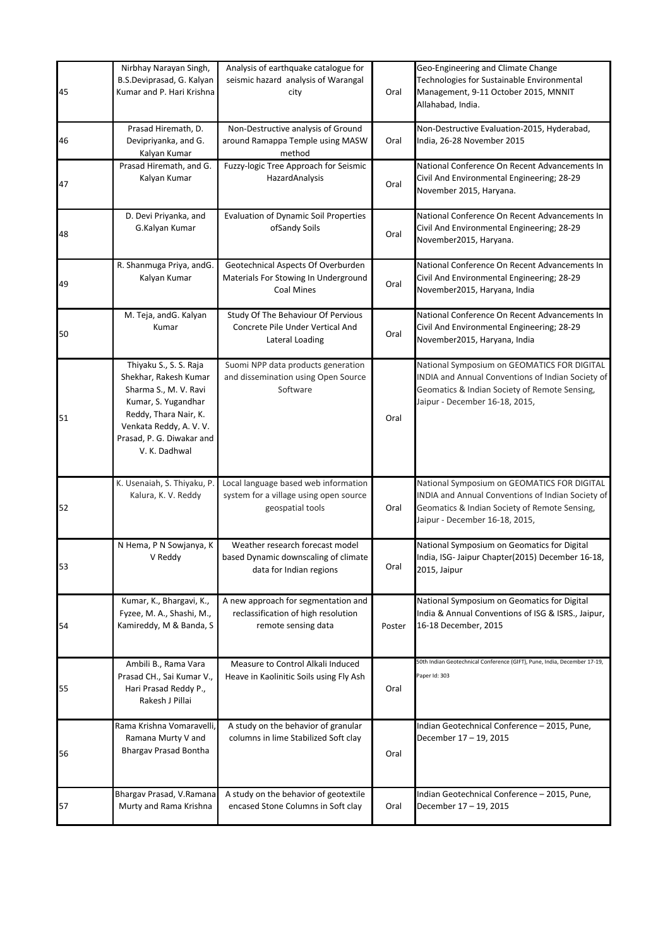| 45 | Nirbhay Narayan Singh,<br>B.S.Deviprasad, G. Kalyan<br>Kumar and P. Hari Krishna                                                                                                                | Analysis of earthquake catalogue for<br>seismic hazard analysis of Warangal<br>city                | Oral   | Geo-Engineering and Climate Change<br>Technologies for Sustainable Environmental<br>Management, 9-11 October 2015, MNNIT<br>Allahabad, India.                                       |
|----|-------------------------------------------------------------------------------------------------------------------------------------------------------------------------------------------------|----------------------------------------------------------------------------------------------------|--------|-------------------------------------------------------------------------------------------------------------------------------------------------------------------------------------|
| 46 | Prasad Hiremath, D.<br>Devipriyanka, and G.<br>Kalyan Kumar                                                                                                                                     | Non-Destructive analysis of Ground<br>around Ramappa Temple using MASW<br>method                   | Oral   | Non-Destructive Evaluation-2015, Hyderabad,<br>India, 26-28 November 2015                                                                                                           |
| 47 | Prasad Hiremath, and G.<br>Kalyan Kumar                                                                                                                                                         | Fuzzy-logic Tree Approach for Seismic<br>HazardAnalysis                                            | Oral   | National Conference On Recent Advancements In<br>Civil And Environmental Engineering; 28-29<br>November 2015, Haryana.                                                              |
| 48 | D. Devi Priyanka, and<br>G.Kalyan Kumar                                                                                                                                                         | <b>Evaluation of Dynamic Soil Properties</b><br>ofSandy Soils                                      | Oral   | National Conference On Recent Advancements In<br>Civil And Environmental Engineering; 28-29<br>November2015, Haryana.                                                               |
| 49 | R. Shanmuga Priya, andG.<br>Kalyan Kumar                                                                                                                                                        | Geotechnical Aspects Of Overburden<br>Materials For Stowing In Underground<br>Coal Mines           | Oral   | National Conference On Recent Advancements In<br>Civil And Environmental Engineering; 28-29<br>November2015, Haryana, India                                                         |
| 50 | M. Teja, andG. Kalyan<br>Kumar                                                                                                                                                                  | Study Of The Behaviour Of Pervious<br>Concrete Pile Under Vertical And<br>Lateral Loading          | Oral   | National Conference On Recent Advancements In<br>Civil And Environmental Engineering; 28-29<br>November2015, Haryana, India                                                         |
| 51 | Thiyaku S., S. S. Raja<br>Shekhar, Rakesh Kumar<br>Sharma S., M. V. Ravi<br>Kumar, S. Yugandhar<br>Reddy, Thara Nair, K.<br>Venkata Reddy, A.V.V.<br>Prasad, P. G. Diwakar and<br>V. K. Dadhwal | Suomi NPP data products generation<br>and dissemination using Open Source<br>Software              | Oral   | National Symposium on GEOMATICS FOR DIGITAL<br>INDIA and Annual Conventions of Indian Society of<br>Geomatics & Indian Society of Remote Sensing,<br>Jaipur - December 16-18, 2015, |
| 52 | K. Usenaiah, S. Thiyaku, P.<br>Kalura, K. V. Reddy                                                                                                                                              | Local language based web information<br>system for a village using open source<br>geospatial tools | Oral   | National Symposium on GEOMATICS FOR DIGITAL<br>INDIA and Annual Conventions of Indian Society of<br>Geomatics & Indian Society of Remote Sensing,<br>Jaipur - December 16-18, 2015, |
| 53 | N Hema, P N Sowjanya, K<br>V Reddy                                                                                                                                                              | Weather research forecast model<br>based Dynamic downscaling of climate<br>data for Indian regions | Oral   | National Symposium on Geomatics for Digital<br>India, ISG- Jaipur Chapter(2015) December 16-18,<br>2015, Jaipur                                                                     |
| 54 | Kumar, K., Bhargavi, K.,<br>Fyzee, M. A., Shashi, M.,<br>Kamireddy, M & Banda, S                                                                                                                | A new approach for segmentation and<br>reclassification of high resolution<br>remote sensing data  | Poster | National Symposium on Geomatics for Digital<br>India & Annual Conventions of ISG & ISRS., Jaipur,<br>16-18 December, 2015                                                           |
| 55 | Ambili B., Rama Vara<br>Prasad CH., Sai Kumar V.,<br>Hari Prasad Reddy P.,<br>Rakesh J Pillai                                                                                                   | Measure to Control Alkali Induced<br>Heave in Kaolinitic Soils using Fly Ash                       | Oral   | 50th Indian Geotechnical Conference (GIFT), Pune, India, December 17-19,<br>Paper Id: 303                                                                                           |
| 56 | Rama Krishna Vomaravelli,<br>Ramana Murty V and<br>Bhargav Prasad Bontha                                                                                                                        | A study on the behavior of granular<br>columns in lime Stabilized Soft clay                        | Oral   | Indian Geotechnical Conference - 2015, Pune,<br>December 17 - 19, 2015                                                                                                              |
| 57 | Bhargav Prasad, V.Ramana<br>Murty and Rama Krishna                                                                                                                                              | A study on the behavior of geotextile<br>encased Stone Columns in Soft clay                        | Oral   | Indian Geotechnical Conference - 2015, Pune,<br>December 17 - 19, 2015                                                                                                              |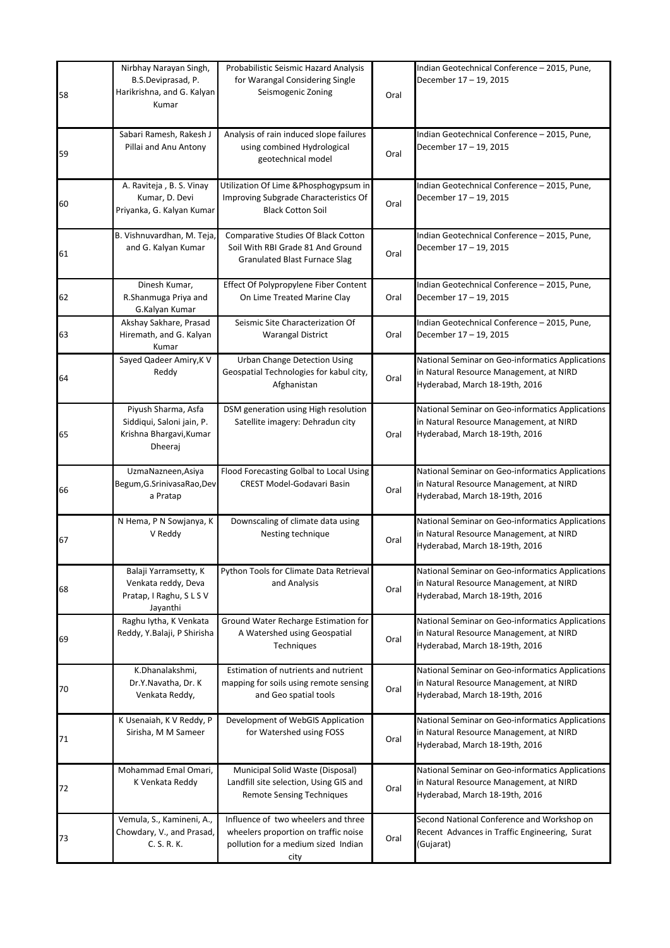| 58 | Nirbhay Narayan Singh,<br>B.S.Deviprasad, P.<br>Harikrishna, and G. Kalyan<br>Kumar    | Probabilistic Seismic Hazard Analysis<br>for Warangal Considering Single<br>Seismogenic Zoning                             | Oral | Indian Geotechnical Conference - 2015, Pune,<br>December 17 – 19, 2015                                                        |
|----|----------------------------------------------------------------------------------------|----------------------------------------------------------------------------------------------------------------------------|------|-------------------------------------------------------------------------------------------------------------------------------|
| 59 | Sabari Ramesh, Rakesh J<br>Pillai and Anu Antony                                       | Analysis of rain induced slope failures<br>using combined Hydrological<br>geotechnical model                               | Oral | Indian Geotechnical Conference - 2015, Pune,<br>December 17 - 19, 2015                                                        |
| 60 | A. Raviteja, B. S. Vinay<br>Kumar, D. Devi<br>Priyanka, G. Kalyan Kumar                | Utilization Of Lime & Phosphogypsum in<br>Improving Subgrade Characteristics Of<br><b>Black Cotton Soil</b>                | Oral | Indian Geotechnical Conference - 2015, Pune,<br>December 17 - 19, 2015                                                        |
| 61 | B. Vishnuvardhan, M. Teja,<br>and G. Kalyan Kumar                                      | Comparative Studies Of Black Cotton<br>Soil With RBI Grade 81 And Ground<br><b>Granulated Blast Furnace Slag</b>           | Oral | Indian Geotechnical Conference - 2015, Pune,<br>December 17 – 19, 2015                                                        |
| 62 | Dinesh Kumar,<br>R.Shanmuga Priya and<br>G.Kalyan Kumar                                | Effect Of Polypropylene Fiber Content<br>On Lime Treated Marine Clay                                                       | Oral | Indian Geotechnical Conference - 2015, Pune,<br>December 17 - 19, 2015                                                        |
| 63 | Akshay Sakhare, Prasad<br>Hiremath, and G. Kalyan<br>Kumar                             | Seismic Site Characterization Of<br><b>Warangal District</b>                                                               | Oral | Indian Geotechnical Conference - 2015, Pune,<br>December 17 - 19, 2015                                                        |
| 64 | Sayed Qadeer Amiry, K V<br>Reddy                                                       | Urban Change Detection Using<br>Geospatial Technologies for kabul city,<br>Afghanistan                                     | Oral | National Seminar on Geo-informatics Applications<br>in Natural Resource Management, at NIRD<br>Hyderabad, March 18-19th, 2016 |
| 65 | Piyush Sharma, Asfa<br>Siddiqui, Saloni jain, P.<br>Krishna Bhargavi, Kumar<br>Dheeraj | DSM generation using High resolution<br>Satellite imagery: Dehradun city                                                   | Oral | National Seminar on Geo-informatics Applications<br>in Natural Resource Management, at NIRD<br>Hyderabad, March 18-19th, 2016 |
| 66 | UzmaNazneen, Asiya<br>Begum, G.SrinivasaRao, Dev<br>a Pratap                           | Flood Forecasting Golbal to Local Using<br><b>CREST Model-Godavari Basin</b>                                               | Oral | National Seminar on Geo-informatics Applications<br>in Natural Resource Management, at NIRD<br>Hyderabad, March 18-19th, 2016 |
| 67 | N Hema, P N Sowjanya, K<br>V Reddy                                                     | Downscaling of climate data using<br>Nesting technique                                                                     | Oral | National Seminar on Geo-informatics Applications<br>in Natural Resource Management, at NIRD<br>Hyderabad, March 18-19th, 2016 |
| 68 | Balaji Yarramsetty, K<br>Venkata reddy, Deva<br>Pratap, I Raghu, S L S V<br>Jayanthi   | Python Tools for Climate Data Retrieval<br>and Analysis                                                                    | Oral | National Seminar on Geo-informatics Applications<br>in Natural Resource Management, at NIRD<br>Hyderabad, March 18-19th, 2016 |
| 69 | Raghu Iytha, K Venkata<br>Reddy, Y.Balaji, P Shirisha                                  | Ground Water Recharge Estimation for<br>A Watershed using Geospatial<br>Techniques                                         | Oral | National Seminar on Geo-informatics Applications<br>in Natural Resource Management, at NIRD<br>Hyderabad, March 18-19th, 2016 |
| 70 | K.Dhanalakshmi,<br>Dr.Y.Navatha, Dr. K<br>Venkata Reddy,                               | Estimation of nutrients and nutrient<br>mapping for soils using remote sensing<br>and Geo spatial tools                    | Oral | National Seminar on Geo-informatics Applications<br>in Natural Resource Management, at NIRD<br>Hyderabad, March 18-19th, 2016 |
| 71 | K Usenaiah, K V Reddy, P<br>Sirisha, M M Sameer                                        | Development of WebGIS Application<br>for Watershed using FOSS                                                              | Oral | National Seminar on Geo-informatics Applications<br>in Natural Resource Management, at NIRD<br>Hyderabad, March 18-19th, 2016 |
| 72 | Mohammad Emal Omari,<br>K Venkata Reddy                                                | Municipal Solid Waste (Disposal)<br>Landfill site selection, Using GIS and<br><b>Remote Sensing Techniques</b>             | Oral | National Seminar on Geo-informatics Applications<br>in Natural Resource Management, at NIRD<br>Hyderabad, March 18-19th, 2016 |
| 73 | Vemula, S., Kamineni, A.,<br>Chowdary, V., and Prasad,<br>C. S. R. K.                  | Influence of two wheelers and three<br>wheelers proportion on traffic noise<br>pollution for a medium sized Indian<br>city | Oral | Second National Conference and Workshop on<br>Recent Advances in Traffic Engineering, Surat<br>(Gujarat)                      |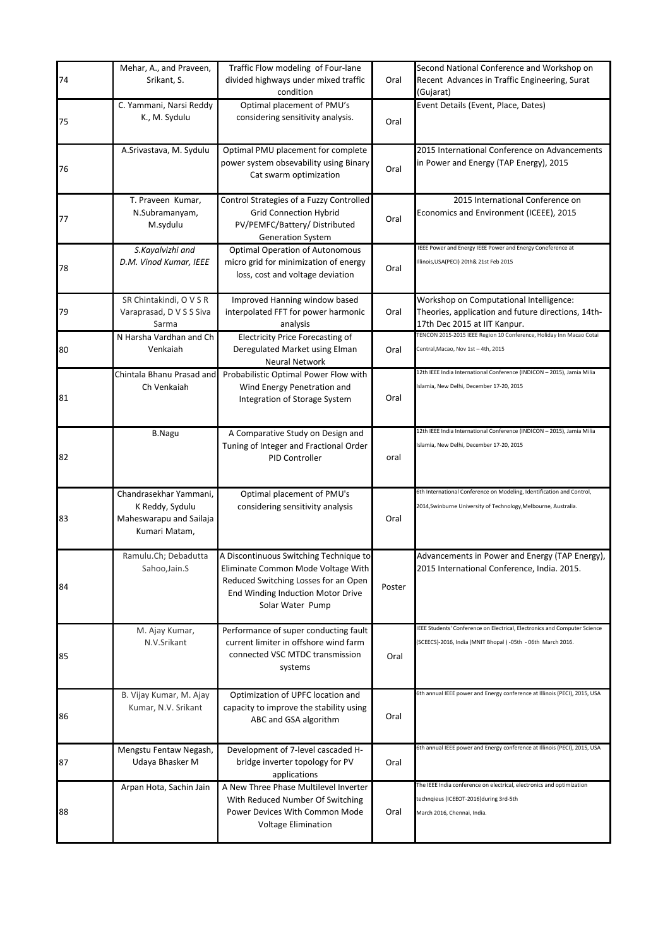| 74 | Mehar, A., and Praveen,<br>Srikant, S.                                                | Traffic Flow modeling of Four-lane<br>divided highways under mixed traffic<br>condition                                                                                       | Oral   | Second National Conference and Workshop on<br>Recent Advances in Traffic Engineering, Surat<br>(Gujarat)                                       |
|----|---------------------------------------------------------------------------------------|-------------------------------------------------------------------------------------------------------------------------------------------------------------------------------|--------|------------------------------------------------------------------------------------------------------------------------------------------------|
| 75 | C. Yammani, Narsi Reddy<br>K., M. Sydulu                                              | Optimal placement of PMU's<br>considering sensitivity analysis.                                                                                                               | Oral   | Event Details (Event, Place, Dates)                                                                                                            |
| 76 | A.Srivastava, M. Sydulu                                                               | Optimal PMU placement for complete<br>power system obsevability using Binary<br>Cat swarm optimization                                                                        | Oral   | 2015 International Conference on Advancements<br>in Power and Energy (TAP Energy), 2015                                                        |
| 77 | T. Praveen Kumar,<br>N.Subramanyam,<br>M.sydulu                                       | Control Strategies of a Fuzzy Controlled<br><b>Grid Connection Hybrid</b><br>PV/PEMFC/Battery/ Distributed<br><b>Generation System</b>                                        | Oral   | 2015 International Conference on<br>Economics and Environment (ICEEE), 2015                                                                    |
| 78 | S.Kayalvizhi and<br>D.M. Vinod Kumar, IEEE                                            | <b>Optimal Operation of Autonomous</b><br>micro grid for minimization of energy<br>loss, cost and voltage deviation                                                           | Oral   | IEEE Power and Energy IEEE Power and Energy Coneference at<br>Illinois, USA (PECI) 20th& 21st Feb 2015                                         |
| 79 | SR Chintakindi, O V S R<br>Varaprasad, D V S S Siva<br>Sarma                          | Improved Hanning window based<br>interpolated FFT for power harmonic<br>analysis                                                                                              | Oral   | Workshop on Computational Intelligence:<br>Theories, application and future directions, 14th-<br>17th Dec 2015 at IIT Kanpur.                  |
| 80 | N Harsha Vardhan and Ch<br>Venkaiah                                                   | <b>Electricity Price Forecasting of</b><br>Deregulated Market using Elman<br>Neural Network                                                                                   | Oral   | TENCON 2015-2015 IEEE Region 10 Conference, Holiday Inn Macao Cotai<br>Central, Macao, Nov 1st - 4th, 2015                                     |
| 81 | Chintala Bhanu Prasad and<br>Ch Venkaiah                                              | Probabilistic Optimal Power Flow with<br>Wind Energy Penetration and<br>Integration of Storage System                                                                         | Oral   | 12th IEEE India International Conference (INDICON - 2015), Jamia Milia<br>Islamia, New Delhi, December 17-20, 2015                             |
| 82 | <b>B.Nagu</b>                                                                         | A Comparative Study on Design and<br>Tuning of Integer and Fractional Order<br>PID Controller                                                                                 | oral   | 12th IEEE India International Conference (INDICON - 2015), Jamia Milia<br>Islamia, New Delhi, December 17-20, 2015                             |
| 83 | Chandrasekhar Yammani.<br>K Reddy, Sydulu<br>Maheswarapu and Sailaja<br>Kumari Matam, | Optimal placement of PMU's<br>considering sensitivity analysis                                                                                                                | Oral   | 6th International Conference on Modeling, Identification and Control,<br>2014, Swinburne University of Technology, Melbourne, Australia.       |
| 84 | Ramulu.Ch; Debadutta<br>Sahoo, Jain.S                                                 | A Discontinuous Switching Technique to<br>Eliminate Common Mode Voltage With<br>Reduced Switching Losses for an Open<br>End Winding Induction Motor Drive<br>Solar Water Pump | Poster | Advancements in Power and Energy (TAP Energy),<br>2015 International Conference, India. 2015.                                                  |
| 85 | M. Ajay Kumar,<br>N.V.Srikant                                                         | Performance of super conducting fault<br>current limiter in offshore wind farm<br>connected VSC MTDC transmission<br>systems                                                  | Oral   | EEE Students' Conference on Electrical, Electronics and Computer Science<br>(SCEECS)-2016, India (MNIT Bhopal) -05th - 06th March 2016.        |
| 86 | B. Vijay Kumar, M. Ajay<br>Kumar, N.V. Srikant                                        | Optimization of UPFC location and<br>capacity to improve the stability using<br>ABC and GSA algorithm                                                                         | Oral   | 6th annual IEEE power and Energy conference at Illinois (PECI), 2015, USA                                                                      |
| 87 | Mengstu Fentaw Negash,<br>Udaya Bhasker M                                             | Development of 7-level cascaded H-<br>bridge inverter topology for PV<br>applications                                                                                         | Oral   | 6th annual IEEE power and Energy conference at Illinois (PECI), 2015, USA                                                                      |
| 88 | Arpan Hota, Sachin Jain                                                               | A New Three Phase Multilevel Inverter<br>With Reduced Number Of Switching<br>Power Devices With Common Mode<br><b>Voltage Elimination</b>                                     | Oral   | The IEEE India conference on electrical, electronics and optimization<br>technqieus (ICEEOT-2016)during 3rd-5th<br>March 2016, Chennai, India. |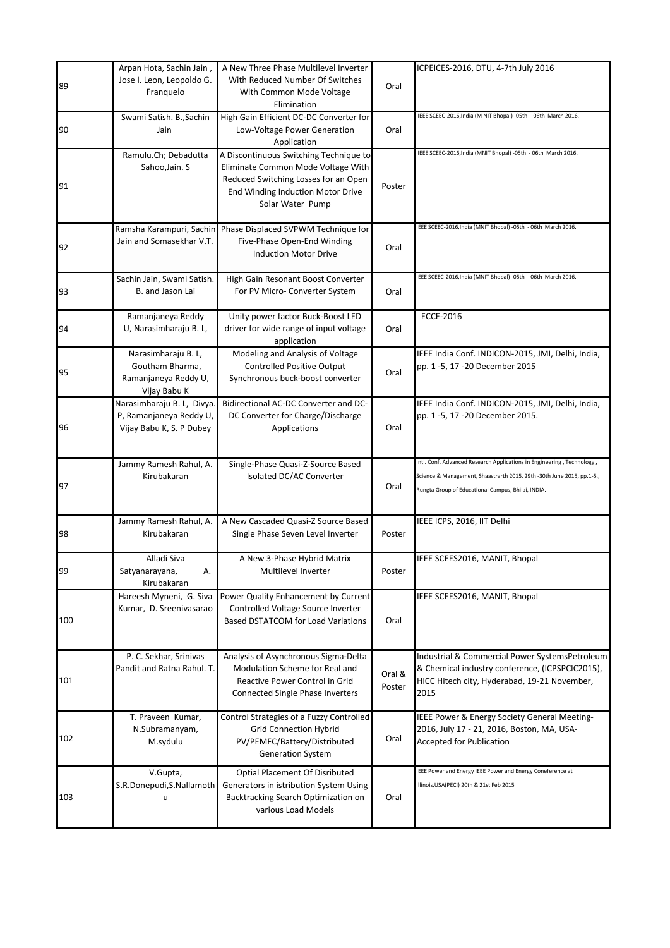|     | Arpan Hota, Sachin Jain,<br>Jose I. Leon, Leopoldo G.                             | A New Three Phase Multilevel Inverter<br>With Reduced Number Of Switches                                                                                                      |                  | ICPEICES-2016, DTU, 4-7th July 2016                                                                                                                                                                    |
|-----|-----------------------------------------------------------------------------------|-------------------------------------------------------------------------------------------------------------------------------------------------------------------------------|------------------|--------------------------------------------------------------------------------------------------------------------------------------------------------------------------------------------------------|
| 89  | Franquelo                                                                         | With Common Mode Voltage<br>Elimination                                                                                                                                       | Oral             |                                                                                                                                                                                                        |
| 90  | Swami Satish. B., Sachin<br>Jain                                                  | High Gain Efficient DC-DC Converter for<br>Low-Voltage Power Generation<br>Application                                                                                        | Oral             | IEEE SCEEC-2016, India (M NIT Bhopal) -05th - 06th March 2016.                                                                                                                                         |
| 91  | Ramulu.Ch; Debadutta<br>Sahoo, Jain. S                                            | A Discontinuous Switching Technique to<br>Eliminate Common Mode Voltage With<br>Reduced Switching Losses for an Open<br>End Winding Induction Motor Drive<br>Solar Water Pump | Poster           | IEEE SCEEC-2016, India (MNIT Bhopal) -05th - 06th March 2016.                                                                                                                                          |
| 92  | Ramsha Karampuri, Sachin<br>Jain and Somasekhar V.T.                              | Phase Displaced SVPWM Technique for<br>Five-Phase Open-End Winding<br><b>Induction Motor Drive</b>                                                                            | Oral             | IEEE SCEEC-2016, India (MNIT Bhopal) -05th - 06th March 2016.                                                                                                                                          |
| 93  | Sachin Jain, Swami Satish.<br>B. and Jason Lai                                    | High Gain Resonant Boost Converter<br>For PV Micro- Converter System                                                                                                          | Oral             | IEEE SCEEC-2016, India (MNIT Bhopal) -05th - 06th March 2016.                                                                                                                                          |
| 94  | Ramanjaneya Reddy<br>U, Narasimharaju B. L,                                       | Unity power factor Buck-Boost LED<br>driver for wide range of input voltage<br>application                                                                                    | Oral             | <b>ECCE-2016</b>                                                                                                                                                                                       |
| 95  | Narasimharaju B. L,<br>Goutham Bharma,<br>Ramanjaneya Reddy U,<br>Vijay Babu K    | Modeling and Analysis of Voltage<br><b>Controlled Positive Output</b><br>Synchronous buck-boost converter                                                                     | Oral             | IEEE India Conf. INDICON-2015, JMI, Delhi, India,<br>pp. 1 -5, 17 -20 December 2015                                                                                                                    |
| 96  | Narasimharaju B. L, Divya.<br>P, Ramanjaneya Reddy U,<br>Vijay Babu K, S. P Dubey | Bidirectional AC-DC Converter and DC-<br>DC Converter for Charge/Discharge<br>Applications                                                                                    | Oral             | IEEE India Conf. INDICON-2015, JMI, Delhi, India,<br>pp. 1 -5, 17 -20 December 2015.                                                                                                                   |
| 97  | Jammy Ramesh Rahul, A.<br>Kirubakaran                                             | Single-Phase Quasi-Z-Source Based<br>Isolated DC/AC Converter                                                                                                                 | Oral             | Intl. Conf. Advanced Research Applications in Engineering, Technology,<br>Science & Management, Shaastrarth 2015, 29th -30th June 2015, pp.1-5.,<br>Rungta Group of Educational Campus, Bhilai, INDIA. |
| 98  | Jammy Ramesh Rahul, A.<br>Kirubakaran                                             | A New Cascaded Quasi-Z Source Based<br>Single Phase Seven Level Inverter                                                                                                      | Poster           | IEEE ICPS, 2016, IIT Delhi                                                                                                                                                                             |
| 99  | Alladi Siva<br>Satyanarayana,<br>А.<br>Kirubakaran                                | A New 3-Phase Hybrid Matrix<br>Multilevel Inverter                                                                                                                            | Poster           | IEEE SCEES2016, MANIT, Bhopal                                                                                                                                                                          |
| 100 | Hareesh Myneni, G. Siva<br>Kumar, D. Sreenivasarao                                | Power Quality Enhancement by Current<br>Controlled Voltage Source Inverter<br><b>Based DSTATCOM for Load Variations</b>                                                       | Oral             | IEEE SCEES2016, MANIT, Bhopal                                                                                                                                                                          |
| 101 | P. C. Sekhar, Srinivas<br>Pandit and Ratna Rahul. T.                              | Analysis of Asynchronous Sigma-Delta<br>Modulation Scheme for Real and<br>Reactive Power Control in Grid<br>Connected Single Phase Inverters                                  | Oral &<br>Poster | Industrial & Commercial Power SystemsPetroleum<br>& Chemical industry conference, (ICPSPCIC2015),<br>HICC Hitech city, Hyderabad, 19-21 November,<br>2015                                              |
| 102 | T. Praveen Kumar,<br>N.Subramanyam,<br>M.sydulu                                   | Control Strategies of a Fuzzy Controlled<br><b>Grid Connection Hybrid</b><br>PV/PEMFC/Battery/Distributed<br><b>Generation System</b>                                         | Oral             | IEEE Power & Energy Society General Meeting-<br>2016, July 17 - 21, 2016, Boston, MA, USA-<br><b>Accepted for Publication</b>                                                                          |
| 103 | V.Gupta,<br>S.R.Donepudi, S.Nallamoth<br>u                                        | <b>Optial Placement Of Disributed</b><br>Generators in istribution System Using<br>Backtracking Search Optimization on<br>various Load Models                                 | Oral             | IEEE Power and Energy IEEE Power and Energy Coneference at<br>Illinois, USA (PECI) 20th & 21st Feb 2015                                                                                                |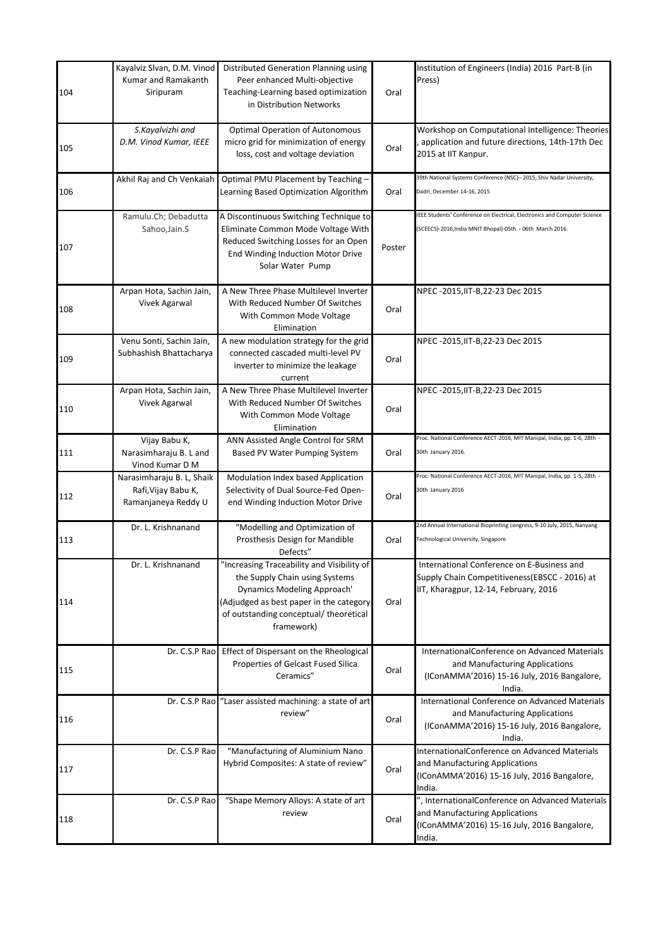| 104 | Kayalviz Slvan, D.M. Vinod<br>Kumar and Ramakanth<br>Siripuram          | Distributed Generation Planning using<br>Peer enhanced Multi-objective<br>Teaching-Learning based optimization<br>in Distribution Networks                                                                     | Oral   | Institution of Engineers (India) 2016 Part-B (in<br>Press)                                                                                  |
|-----|-------------------------------------------------------------------------|----------------------------------------------------------------------------------------------------------------------------------------------------------------------------------------------------------------|--------|---------------------------------------------------------------------------------------------------------------------------------------------|
| 105 | S.Kayalvizhi and<br>D.M. Vinod Kumar, IEEE                              | <b>Optimal Operation of Autonomous</b><br>micro grid for minimization of energy<br>loss, cost and voltage deviation                                                                                            | Oral   | Workshop on Computational Intelligence: Theories<br>application and future directions, 14th-17th Dec<br>2015 at IIT Kanpur.                 |
| 106 | Akhil Raj and Ch Venkaiah                                               | Optimal PMU Placement by Teaching -<br>Learning Based Optimization Algorithm                                                                                                                                   | Oral   | 39th National Systems Conference (NSC)-2015, Shiv Nadar University,<br>Dadri, December 14-16, 2015                                          |
| 107 | Ramulu.Ch; Debadutta<br>Sahoo, Jain.S                                   | A Discontinuous Switching Technique to<br>Eliminate Common Mode Voltage With<br>Reduced Switching Losses for an Open<br>End Winding Induction Motor Drive<br>Solar Water Pump                                  | Poster | EEE Students' Conference on Electrical, Electronics and Computer Science<br>(SCEECS)-2016, India MNIT Bhopal)-05th - 06th March 2016.       |
| 108 | Arpan Hota, Sachin Jain,<br>Vivek Agarwal                               | A New Three Phase Multilevel Inverter<br>With Reduced Number Of Switches<br>With Common Mode Voltage<br>Elimination                                                                                            | Oral   | NPEC -2015, IT-B, 22-23 Dec 2015                                                                                                            |
| 109 | Venu Sonti, Sachin Jain,<br>Subhashish Bhattacharya                     | A new modulation strategy for the grid<br>connected cascaded multi-level PV<br>inverter to minimize the leakage<br>current                                                                                     | Oral   | NPEC -2015, IT-B, 22-23 Dec 2015                                                                                                            |
| 110 | Arpan Hota, Sachin Jain,<br>Vivek Agarwal                               | A New Three Phase Multilevel Inverter<br>With Reduced Number Of Switches<br>With Common Mode Voltage<br>Elimination                                                                                            | Oral   | NPEC -2015, IT-B, 22-23 Dec 2015                                                                                                            |
| 111 | Vijay Babu K,<br>Narasimharaju B. L and<br>Vinod Kumar D M              | ANN Assisted Angle Control for SRM<br>Based PV Water Pumping System                                                                                                                                            | Oral   | Proc. National Conference AECT-2016, MIT Manipal, India, pp. 1-6, 28th -<br>30th January 2016.                                              |
| 112 | Narasimharaju B. L, Shaik<br>Rafi, Vijay Babu K,<br>Ramanjaneya Reddy U | Modulation Index based Application<br>Selectivity of Dual Source-Fed Open-<br>end Winding Induction Motor Drive                                                                                                | Oral   | Proc. National Conference AECT-2016, MIT Manipal, India, pp. 1-5, 28th -<br>30th January 2016                                               |
| 113 | Dr. L. Krishnanand                                                      | "Modelling and Optimization of<br>Prosthesis Design for Mandible<br>Defects"                                                                                                                                   | Oral   | 2nd Annual International Bioprinting congress, 9-10 July, 2015, Nanyang<br>Technological University, Singapore                              |
| 114 | Dr. L. Krishnanand                                                      | "Increasing Traceability and Visibility of<br>the Supply Chain using Systems<br>Dynamics Modeling Approach'<br>(Adjudged as best paper in the category<br>of outstanding conceptual/ theoretical<br>framework) | Oral   | International Conference on E-Business and<br>Supply Chain Competitiveness (EBSCC - 2016) at<br>IIT, Kharagpur, 12-14, February, 2016       |
| 115 |                                                                         | Dr. C.S.P Rao Effect of Dispersant on the Rheological<br>Properties of Gelcast Fused Silica<br>Ceramics"                                                                                                       | Oral   | InternationalConference on Advanced Materials<br>and Manufacturing Applications<br>(IConAMMA'2016) 15-16 July, 2016 Bangalore,<br>India.    |
| 116 |                                                                         | Dr. C.S.P Rao "Laser assisted machining: a state of art<br>review"                                                                                                                                             | Oral   | International Conference on Advanced Materials<br>and Manufacturing Applications<br>(IConAMMA'2016) 15-16 July, 2016 Bangalore,<br>India.   |
| 117 | Dr. C.S.P Rao                                                           | "Manufacturing of Aluminium Nano<br>Hybrid Composites: A state of review"                                                                                                                                      | Oral   | InternationalConference on Advanced Materials<br>and Manufacturing Applications<br>(IConAMMA'2016) 15-16 July, 2016 Bangalore,<br>India.    |
| 118 | Dr. C.S.P Rao                                                           | "Shape Memory Alloys: A state of art<br>review                                                                                                                                                                 | Oral   | ", InternationalConference on Advanced Materials<br>and Manufacturing Applications<br>(IConAMMA'2016) 15-16 July, 2016 Bangalore,<br>India. |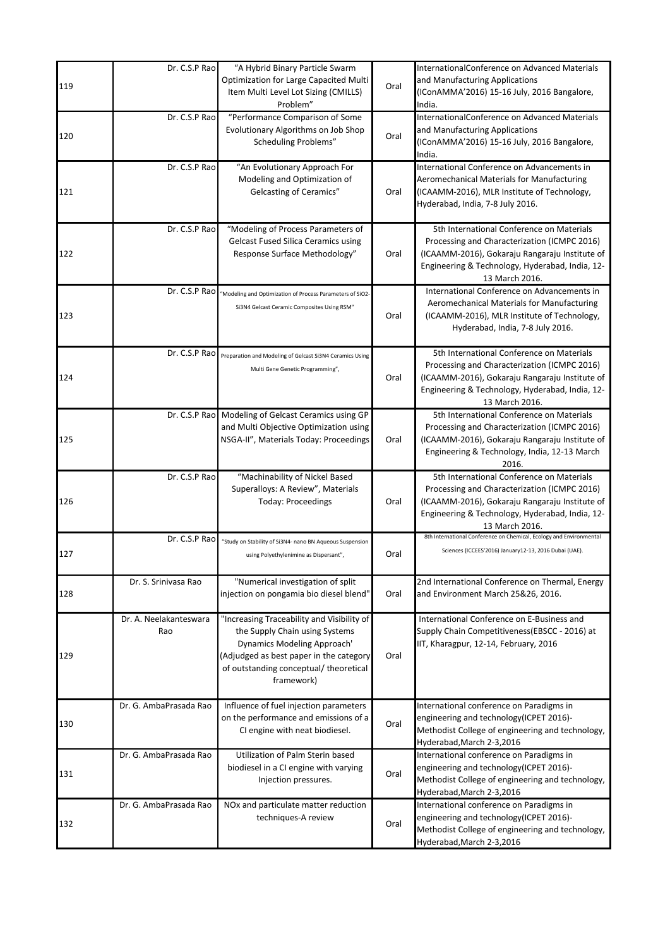| 119 | Dr. C.S.P Rao                 | "A Hybrid Binary Particle Swarm<br>Optimization for Large Capacited Multi<br>Item Multi Level Lot Sizing (CMILLS)<br>Problem"                                                                                  | Oral | InternationalConference on Advanced Materials<br>and Manufacturing Applications<br>(IConAMMA'2016) 15-16 July, 2016 Bangalore,<br>India.                                                                         |
|-----|-------------------------------|----------------------------------------------------------------------------------------------------------------------------------------------------------------------------------------------------------------|------|------------------------------------------------------------------------------------------------------------------------------------------------------------------------------------------------------------------|
| 120 | Dr. C.S.P Rao                 | "Performance Comparison of Some<br>Evolutionary Algorithms on Job Shop<br>Scheduling Problems"                                                                                                                 | Oral | InternationalConference on Advanced Materials<br>and Manufacturing Applications<br>(IConAMMA'2016) 15-16 July, 2016 Bangalore,<br>India.                                                                         |
| 121 | Dr. C.S.P Rao                 | "An Evolutionary Approach For<br>Modeling and Optimization of<br>Gelcasting of Ceramics"                                                                                                                       | Oral | International Conference on Advancements in<br><b>Aeromechanical Materials for Manufacturing</b><br>(ICAAMM-2016), MLR Institute of Technology,<br>Hyderabad, India, 7-8 July 2016.                              |
| 122 | Dr. C.S.P Rao                 | "Modeling of Process Parameters of<br><b>Gelcast Fused Silica Ceramics using</b><br>Response Surface Methodology"                                                                                              | Oral | 5th International Conference on Materials<br>Processing and Characterization (ICMPC 2016)<br>(ICAAMM-2016), Gokaraju Rangaraju Institute of<br>Engineering & Technology, Hyderabad, India, 12-<br>13 March 2016. |
| 123 | Dr. C.S.P Rao                 | "Modeling and Optimization of Process Parameters of SiO2-<br>Si3N4 Gelcast Ceramic Composites Using RSM"                                                                                                       | Oral | International Conference on Advancements in<br>Aeromechanical Materials for Manufacturing<br>(ICAAMM-2016), MLR Institute of Technology,<br>Hyderabad, India, 7-8 July 2016.                                     |
| 124 | Dr. C.S.P Rao                 | Preparation and Modeling of Gelcast Si3N4 Ceramics Using<br>Multi Gene Genetic Programming",                                                                                                                   | Oral | 5th International Conference on Materials<br>Processing and Characterization (ICMPC 2016)<br>(ICAAMM-2016), Gokaraju Rangaraju Institute of<br>Engineering & Technology, Hyderabad, India, 12-<br>13 March 2016. |
| 125 |                               | Dr. C.S.P Rao Modeling of Gelcast Ceramics using GP<br>and Multi Objective Optimization using<br>NSGA-II", Materials Today: Proceedings                                                                        | Oral | 5th International Conference on Materials<br>Processing and Characterization (ICMPC 2016)<br>(ICAAMM-2016), Gokaraju Rangaraju Institute of<br>Engineering & Technology, India, 12-13 March<br>2016.             |
| 126 | Dr. C.S.P Rao                 | "Machinability of Nickel Based<br>Superalloys: A Review", Materials<br><b>Today: Proceedings</b>                                                                                                               | Oral | 5th International Conference on Materials<br>Processing and Characterization (ICMPC 2016)<br>(ICAAMM-2016), Gokaraju Rangaraju Institute of<br>Engineering & Technology, Hyderabad, India, 12-<br>13 March 2016. |
| 127 | Dr. C.S.P Raol                | "Study on Stability of Si3N4- nano BN Aqueous Suspension<br>using Polyethylenimine as Dispersant",                                                                                                             | Oral | 8th International Conference on Chemical, Ecology and Environmental<br>Sciences (ICCEES'2016) January12-13, 2016 Dubai (UAE).                                                                                    |
| 128 | Dr. S. Srinivasa Rao          | "Numerical investigation of split<br>injection on pongamia bio diesel blend"                                                                                                                                   | Oral | 2nd International Conference on Thermal, Energy<br>and Environment March 25&26, 2016.                                                                                                                            |
| 129 | Dr. A. Neelakanteswara<br>Rao | "Increasing Traceability and Visibility of<br>the Supply Chain using Systems<br>Dynamics Modeling Approach'<br>(Adjudged as best paper in the category<br>of outstanding conceptual/ theoretical<br>framework) | Oral | International Conference on E-Business and<br>Supply Chain Competitiveness (EBSCC - 2016) at<br>IIT, Kharagpur, 12-14, February, 2016                                                                            |
| 130 | Dr. G. AmbaPrasada Rao        | Influence of fuel injection parameters<br>on the performance and emissions of a<br>CI engine with neat biodiesel.                                                                                              | Oral | International conference on Paradigms in<br>engineering and technology(ICPET 2016)-<br>Methodist College of engineering and technology,<br>Hyderabad, March 2-3, 2016                                            |
| 131 | Dr. G. AmbaPrasada Rao        | Utilization of Palm Sterin based<br>biodiesel in a CI engine with varying<br>Injection pressures.                                                                                                              | Oral | International conference on Paradigms in<br>engineering and technology(ICPET 2016)-<br>Methodist College of engineering and technology,<br>Hyderabad, March 2-3, 2016                                            |
| 132 | Dr. G. AmbaPrasada Rao        | NOx and particulate matter reduction<br>techniques-A review                                                                                                                                                    | Oral | International conference on Paradigms in<br>engineering and technology(ICPET 2016)-<br>Methodist College of engineering and technology,<br>Hyderabad, March 2-3, 2016                                            |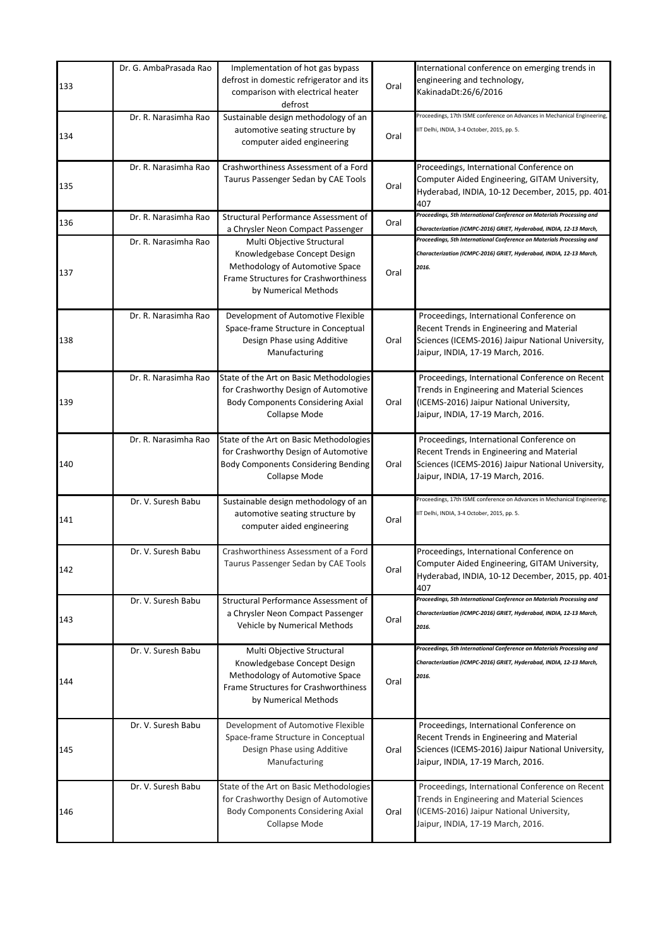| 133 | Dr. G. AmbaPrasada Rao | Implementation of hot gas bypass<br>defrost in domestic refrigerator and its<br>comparison with electrical heater<br>defrost                                  | Oral | International conference on emerging trends in<br>engineering and technology,<br>KakinadaDt:26/6/2016                                                                           |
|-----|------------------------|---------------------------------------------------------------------------------------------------------------------------------------------------------------|------|---------------------------------------------------------------------------------------------------------------------------------------------------------------------------------|
| 134 | Dr. R. Narasimha Rao   | Sustainable design methodology of an<br>automotive seating structure by<br>computer aided engineering                                                         | Oral | Proceedings, 17th ISME conference on Advances in Mechanical Engineering,<br>IT Delhi, INDIA, 3-4 October, 2015, pp. 5.                                                          |
| 135 | Dr. R. Narasimha Rao   | Crashworthiness Assessment of a Ford<br>Taurus Passenger Sedan by CAE Tools                                                                                   | Oral | Proceedings, International Conference on<br>Computer Aided Engineering, GITAM University,<br>Hyderabad, INDIA, 10-12 December, 2015, pp. 401-<br>407                            |
| 136 | Dr. R. Narasimha Rao   | Structural Performance Assessment of<br>a Chrysler Neon Compact Passenger                                                                                     | Oral | Proceedings, 5th International Conference on Materials Processing and<br>Characterization (ICMPC-2016) GRIET, Hyderabad, INDIA, 12-13 March,                                    |
| 137 | Dr. R. Narasimha Rao   | Multi Objective Structural<br>Knowledgebase Concept Design<br>Methodology of Automotive Space<br>Frame Structures for Crashworthiness<br>by Numerical Methods | Oral | Proceedings, 5th International Conference on Materials Processing and<br>Characterization (ICMPC-2016) GRIET, Hyderabad, INDIA, 12-13 March,<br>2016.                           |
| 138 | Dr. R. Narasimha Rao   | Development of Automotive Flexible<br>Space-frame Structure in Conceptual<br>Design Phase using Additive<br>Manufacturing                                     | Oral | Proceedings, International Conference on<br>Recent Trends in Engineering and Material<br>Sciences (ICEMS-2016) Jaipur National University,<br>Jaipur, INDIA, 17-19 March, 2016. |
| 139 | Dr. R. Narasimha Rao   | State of the Art on Basic Methodologies<br>for Crashworthy Design of Automotive<br><b>Body Components Considering Axial</b><br>Collapse Mode                  | Oral | Proceedings, International Conference on Recent<br>Trends in Engineering and Material Sciences<br>(ICEMS-2016) Jaipur National University,<br>Jaipur, INDIA, 17-19 March, 2016. |
| 140 | Dr. R. Narasimha Rao   | State of the Art on Basic Methodologies<br>for Crashworthy Design of Automotive<br><b>Body Components Considering Bending</b><br>Collapse Mode                | Oral | Proceedings, International Conference on<br>Recent Trends in Engineering and Material<br>Sciences (ICEMS-2016) Jaipur National University,<br>Jaipur, INDIA, 17-19 March, 2016. |
| 141 | Dr. V. Suresh Babu     | Sustainable design methodology of an<br>automotive seating structure by<br>computer aided engineering                                                         | Oral | Proceedings, 17th ISME conference on Advances in Mechanical Engineering,<br>IIT Delhi, INDIA, 3-4 October, 2015, pp. 5.                                                         |
| 142 | Dr. V. Suresh Babu     | Crashworthiness Assessment of a Ford<br>Taurus Passenger Sedan by CAE Tools                                                                                   | Oral | Proceedings, International Conference on<br>Computer Aided Engineering, GITAM University,<br>Hyderabad, INDIA, 10-12 December, 2015, pp. 401-<br>407                            |
| 143 | Dr. V. Suresh Babu     | Structural Performance Assessment of<br>a Chrysler Neon Compact Passenger<br>Vehicle by Numerical Methods                                                     | Oral | Proceedings, 5th International Conference on Materials Processing and<br>Characterization (ICMPC-2016) GRIET, Hyderabad, INDIA, 12-13 March,<br>2016.                           |
| 144 | Dr. V. Suresh Babu     | Multi Objective Structural<br>Knowledgebase Concept Design<br>Methodology of Automotive Space<br>Frame Structures for Crashworthiness<br>by Numerical Methods | Oral | Proceedings, 5th International Conference on Materials Processing and<br>Characterization (ICMPC-2016) GRIET, Hyderabad, INDIA, 12-13 March,<br>2016.                           |
| 145 | Dr. V. Suresh Babu     | Development of Automotive Flexible<br>Space-frame Structure in Conceptual<br>Design Phase using Additive<br>Manufacturing                                     | Oral | Proceedings, International Conference on<br>Recent Trends in Engineering and Material<br>Sciences (ICEMS-2016) Jaipur National University,<br>Jaipur, INDIA, 17-19 March, 2016. |
| 146 | Dr. V. Suresh Babu     | State of the Art on Basic Methodologies<br>for Crashworthy Design of Automotive<br><b>Body Components Considering Axial</b><br>Collapse Mode                  | Oral | Proceedings, International Conference on Recent<br>Trends in Engineering and Material Sciences<br>(ICEMS-2016) Jaipur National University,<br>Jaipur, INDIA, 17-19 March, 2016. |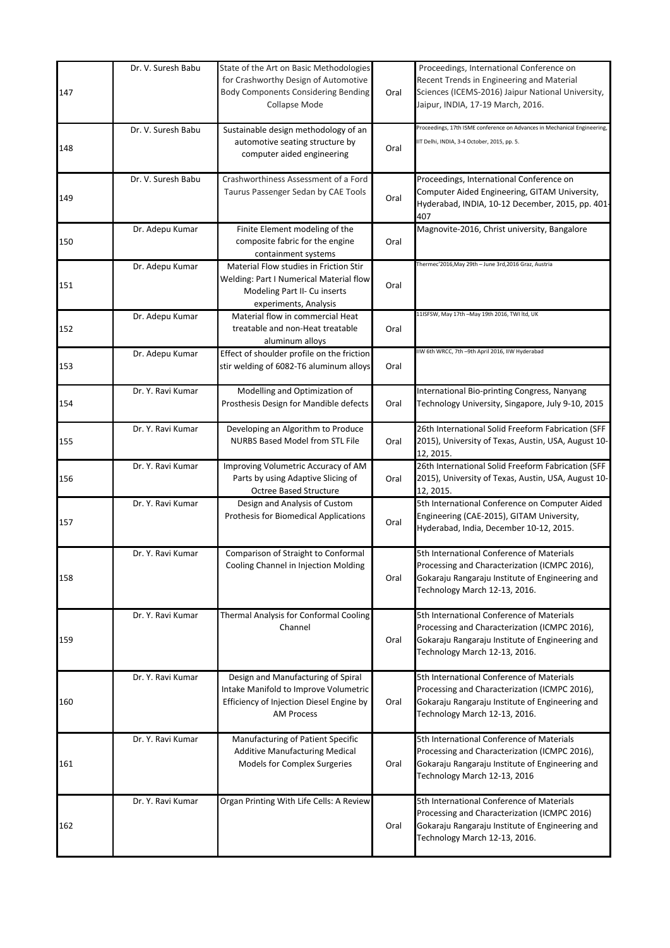| 147 | Dr. V. Suresh Babu | State of the Art on Basic Methodologies<br>for Crashworthy Design of Automotive<br><b>Body Components Considering Bending</b><br>Collapse Mode | Oral | Proceedings, International Conference on<br>Recent Trends in Engineering and Material<br>Sciences (ICEMS-2016) Jaipur National University,<br>Jaipur, INDIA, 17-19 March, 2016. |
|-----|--------------------|------------------------------------------------------------------------------------------------------------------------------------------------|------|---------------------------------------------------------------------------------------------------------------------------------------------------------------------------------|
| 148 | Dr. V. Suresh Babu | Sustainable design methodology of an<br>automotive seating structure by<br>computer aided engineering                                          | Oral | Proceedings, 17th ISME conference on Advances in Mechanical Engineering,<br>IIT Delhi, INDIA, 3-4 October, 2015, pp. 5.                                                         |
| 149 | Dr. V. Suresh Babu | Crashworthiness Assessment of a Ford<br>Taurus Passenger Sedan by CAE Tools                                                                    | Oral | Proceedings, International Conference on<br>Computer Aided Engineering, GITAM University,<br>Hyderabad, INDIA, 10-12 December, 2015, pp. 401-<br>407                            |
| 150 | Dr. Adepu Kumar    | Finite Element modeling of the<br>composite fabric for the engine<br>containment systems                                                       | Oral | Magnovite-2016, Christ university, Bangalore                                                                                                                                    |
| 151 | Dr. Adepu Kumar    | Material Flow studies in Friction Stir<br>Welding: Part I Numerical Material flow<br>Modeling Part II- Cu inserts<br>experiments, Analysis     | Oral | Thermec'2016, May 29th - June 3rd, 2016 Graz, Austria                                                                                                                           |
| 152 | Dr. Adepu Kumar    | Material flow in commercial Heat<br>treatable and non-Heat treatable<br>aluminum alloys                                                        | Oral | 11ISFSW, May 17th -May 19th 2016, TWI ltd, UK                                                                                                                                   |
| 153 | Dr. Adepu Kumar    | Effect of shoulder profile on the friction<br>stir welding of 6082-T6 aluminum alloys                                                          | Oral | IIW 6th WRCC, 7th -9th April 2016, IIW Hyderabad                                                                                                                                |
| 154 | Dr. Y. Ravi Kumar  | Modelling and Optimization of<br>Prosthesis Design for Mandible defects                                                                        | Oral | International Bio-printing Congress, Nanyang<br>Technology University, Singapore, July 9-10, 2015                                                                               |
| 155 | Dr. Y. Ravi Kumar  | Developing an Algorithm to Produce<br><b>NURBS Based Model from STL File</b>                                                                   | Oral | 26th International Solid Freeform Fabrication (SFF<br>2015), University of Texas, Austin, USA, August 10-<br>12, 2015.                                                          |
| 156 | Dr. Y. Ravi Kumar  | Improving Volumetric Accuracy of AM<br>Parts by using Adaptive Slicing of<br><b>Octree Based Structure</b>                                     | Oral | 26th International Solid Freeform Fabrication (SFF<br>2015), University of Texas, Austin, USA, August 10-<br>12, 2015.                                                          |
| 157 | Dr. Y. Ravi Kumar  | Design and Analysis of Custom<br><b>Prothesis for Biomedical Applications</b>                                                                  | Oral | 5th International Conference on Computer Aided<br>Engineering (CAE-2015), GITAM University,<br>Hyderabad, India, December 10-12, 2015.                                          |
| 158 | Dr. Y. Ravi Kumar  | Comparison of Straight to Conformal<br>Cooling Channel in Injection Molding                                                                    | Oral | 5th International Conference of Materials<br>Processing and Characterization (ICMPC 2016),<br>Gokaraju Rangaraju Institute of Engineering and<br>Technology March 12-13, 2016.  |
| 159 | Dr. Y. Ravi Kumar  | Thermal Analysis for Conformal Cooling<br>Channel                                                                                              | Oral | 5th International Conference of Materials<br>Processing and Characterization (ICMPC 2016),<br>Gokaraju Rangaraju Institute of Engineering and<br>Technology March 12-13, 2016.  |
| 160 | Dr. Y. Ravi Kumar  | Design and Manufacturing of Spiral<br>Intake Manifold to Improve Volumetric<br>Efficiency of Injection Diesel Engine by<br><b>AM Process</b>   | Oral | 5th International Conference of Materials<br>Processing and Characterization (ICMPC 2016),<br>Gokaraju Rangaraju Institute of Engineering and<br>Technology March 12-13, 2016.  |
| 161 | Dr. Y. Ravi Kumar  | Manufacturing of Patient Specific<br>Additive Manufacturing Medical<br>Models for Complex Surgeries                                            | Oral | 5th International Conference of Materials<br>Processing and Characterization (ICMPC 2016),<br>Gokaraju Rangaraju Institute of Engineering and<br>Technology March 12-13, 2016   |
| 162 | Dr. Y. Ravi Kumar  | Organ Printing With Life Cells: A Review                                                                                                       | Oral | 5th International Conference of Materials<br>Processing and Characterization (ICMPC 2016)<br>Gokaraju Rangaraju Institute of Engineering and<br>Technology March 12-13, 2016.   |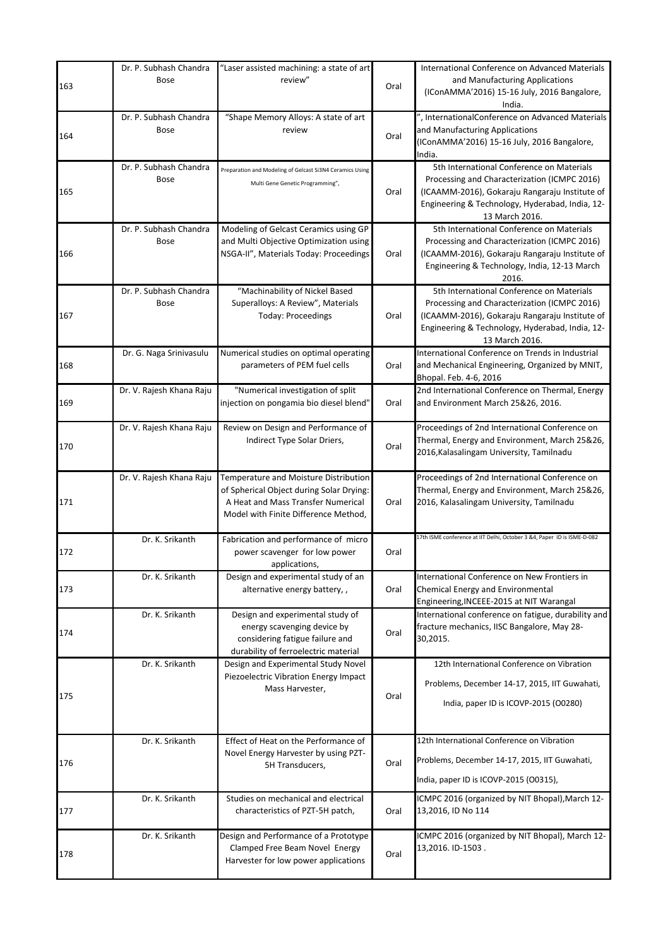|     | Dr. P. Subhash Chandra   | "Laser assisted machining: a state of art                               |      | International Conference on Advanced Materials                                                    |
|-----|--------------------------|-------------------------------------------------------------------------|------|---------------------------------------------------------------------------------------------------|
| 163 | Bose                     | review"                                                                 | Oral | and Manufacturing Applications                                                                    |
|     |                          |                                                                         |      | (IConAMMA'2016) 15-16 July, 2016 Bangalore,                                                       |
|     | Dr. P. Subhash Chandra   | "Shape Memory Alloys: A state of art                                    |      | India.<br>", InternationalConference on Advanced Materials                                        |
|     | <b>Bose</b>              | review                                                                  |      | and Manufacturing Applications                                                                    |
| 164 |                          |                                                                         | Oral | (IConAMMA'2016) 15-16 July, 2016 Bangalore,                                                       |
|     |                          |                                                                         |      | India.                                                                                            |
|     | Dr. P. Subhash Chandra   | Preparation and Modeling of Gelcast Si3N4 Ceramics Using                |      | 5th International Conference on Materials                                                         |
|     | <b>Bose</b>              | Multi Gene Genetic Programming",                                        |      | Processing and Characterization (ICMPC 2016)                                                      |
| 165 |                          |                                                                         | Oral | (ICAAMM-2016), Gokaraju Rangaraju Institute of<br>Engineering & Technology, Hyderabad, India, 12- |
|     |                          |                                                                         |      | 13 March 2016.                                                                                    |
|     | Dr. P. Subhash Chandra   | Modeling of Gelcast Ceramics using GP                                   |      | 5th International Conference on Materials                                                         |
|     | <b>Bose</b>              | and Multi Objective Optimization using                                  |      | Processing and Characterization (ICMPC 2016)                                                      |
| 166 |                          | NSGA-II", Materials Today: Proceedings                                  | Oral | (ICAAMM-2016), Gokaraju Rangaraju Institute of                                                    |
|     |                          |                                                                         |      | Engineering & Technology, India, 12-13 March<br>2016.                                             |
|     | Dr. P. Subhash Chandra   | "Machinability of Nickel Based                                          |      | 5th International Conference on Materials                                                         |
|     | <b>Bose</b>              | Superalloys: A Review", Materials                                       |      | Processing and Characterization (ICMPC 2016)                                                      |
| 167 |                          | <b>Today: Proceedings</b>                                               | Oral | (ICAAMM-2016), Gokaraju Rangaraju Institute of                                                    |
|     |                          |                                                                         |      | Engineering & Technology, Hyderabad, India, 12-                                                   |
|     |                          |                                                                         |      | 13 March 2016.                                                                                    |
|     | Dr. G. Naga Srinivasulu  | Numerical studies on optimal operating                                  |      | International Conference on Trends in Industrial                                                  |
| 168 |                          | parameters of PEM fuel cells                                            | Oral | and Mechanical Engineering, Organized by MNIT,<br>Bhopal. Feb. 4-6, 2016                          |
|     | Dr. V. Rajesh Khana Raju | "Numerical investigation of split                                       |      | 2nd International Conference on Thermal, Energy                                                   |
| 169 |                          | injection on pongamia bio diesel blend"                                 | Oral | and Environment March 25&26, 2016.                                                                |
|     |                          |                                                                         |      |                                                                                                   |
|     | Dr. V. Rajesh Khana Raju | Review on Design and Performance of                                     |      | Proceedings of 2nd International Conference on                                                    |
| 170 |                          | Indirect Type Solar Driers,                                             | Oral | Thermal, Energy and Environment, March 25&26,<br>2016, Kalasalingam University, Tamilnadu         |
|     |                          |                                                                         |      |                                                                                                   |
|     | Dr. V. Rajesh Khana Raju | Temperature and Moisture Distribution                                   |      | Proceedings of 2nd International Conference on                                                    |
|     |                          | of Spherical Object during Solar Drying:                                |      | Thermal, Energy and Environment, March 25&26,                                                     |
| 171 |                          | A Heat and Mass Transfer Numerical                                      | Oral | 2016, Kalasalingam University, Tamilnadu                                                          |
|     |                          | Model with Finite Difference Method,                                    |      |                                                                                                   |
|     | Dr. K. Srikanth          | Fabrication and performance of micro                                    |      | 17th ISME conference at IIT Delhi, October 3 &4, Paper ID is ISME-D-082                           |
| 172 |                          | power scavenger for low power                                           | Oral |                                                                                                   |
|     |                          | applications,                                                           |      |                                                                                                   |
|     | Dr. K. Srikanth          | Design and experimental study of an                                     |      | International Conference on New Frontiers in                                                      |
| 173 |                          | alternative energy battery,,                                            | Oral | Chemical Energy and Environmental                                                                 |
|     | Dr. K. Srikanth          | Design and experimental study of                                        |      | Engineering, INCEEE-2015 at NIT Warangal<br>International conference on fatigue, durability and   |
|     |                          | energy scavenging device by                                             |      | fracture mechanics, IISC Bangalore, May 28-                                                       |
| 174 |                          | considering fatigue failure and                                         | Oral | 30,2015.                                                                                          |
|     |                          | durability of ferroelectric material                                    |      |                                                                                                   |
|     | Dr. K. Srikanth          | Design and Experimental Study Novel                                     |      | 12th International Conference on Vibration                                                        |
|     |                          | Piezoelectric Vibration Energy Impact                                   |      | Problems, December 14-17, 2015, IIT Guwahati,                                                     |
| 175 |                          | Mass Harvester,                                                         | Oral |                                                                                                   |
|     |                          |                                                                         |      | India, paper ID is ICOVP-2015 (O0280)                                                             |
|     |                          |                                                                         |      |                                                                                                   |
|     | Dr. K. Srikanth          | Effect of Heat on the Performance of                                    |      | 12th International Conference on Vibration                                                        |
|     |                          | Novel Energy Harvester by using PZT-                                    |      | Problems, December 14-17, 2015, IIT Guwahati,                                                     |
| 176 |                          | 5H Transducers,                                                         | Oral |                                                                                                   |
|     |                          |                                                                         |      | India, paper ID is ICOVP-2015 (00315),                                                            |
|     | Dr. K. Srikanth          | Studies on mechanical and electrical                                    |      | ICMPC 2016 (organized by NIT Bhopal), March 12-                                                   |
| 177 |                          | characteristics of PZT-5H patch,                                        | Oral | 13,2016, ID No 114                                                                                |
|     |                          |                                                                         |      |                                                                                                   |
|     | Dr. K. Srikanth          | Design and Performance of a Prototype<br>Clamped Free Beam Novel Energy |      | ICMPC 2016 (organized by NIT Bhopal), March 12-<br>13,2016. ID-1503.                              |
| 178 |                          | Harvester for low power applications                                    | Oral |                                                                                                   |
|     |                          |                                                                         |      |                                                                                                   |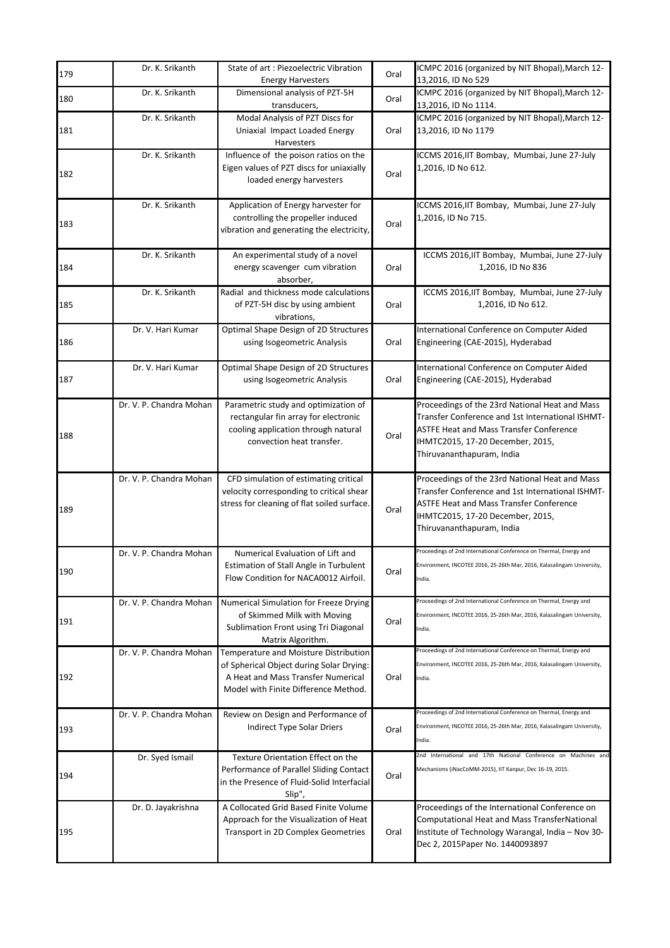| 179 | Dr. K. Srikanth         | State of art: Piezoelectric Vibration<br><b>Energy Harvesters</b>                                                                                               | Oral | ICMPC 2016 (organized by NIT Bhopal), March 12-<br>13,2016, ID No 529                                                                                                                                                 |
|-----|-------------------------|-----------------------------------------------------------------------------------------------------------------------------------------------------------------|------|-----------------------------------------------------------------------------------------------------------------------------------------------------------------------------------------------------------------------|
|     | Dr. K. Srikanth         | Dimensional analysis of PZT-5H                                                                                                                                  |      | ICMPC 2016 (organized by NIT Bhopal), March 12-                                                                                                                                                                       |
| 180 |                         | transducers,                                                                                                                                                    | Oral | 13,2016, ID No 1114.                                                                                                                                                                                                  |
| 181 | Dr. K. Srikanth         | Modal Analysis of PZT Discs for<br>Uniaxial Impact Loaded Energy<br>Harvesters                                                                                  | Oral | ICMPC 2016 (organized by NIT Bhopal), March 12-<br>13,2016, ID No 1179                                                                                                                                                |
|     | Dr. K. Srikanth         | Influence of the poison ratios on the                                                                                                                           |      | ICCMS 2016, IIT Bombay, Mumbai, June 27-July                                                                                                                                                                          |
| 182 |                         | Eigen values of PZT discs for uniaxially<br>loaded energy harvesters                                                                                            | Oral | 1,2016, ID No 612.                                                                                                                                                                                                    |
| 183 | Dr. K. Srikanth         | Application of Energy harvester for<br>controlling the propeller induced<br>vibration and generating the electricity,                                           | Oral | ICCMS 2016, IIT Bombay, Mumbai, June 27-July<br>1,2016, ID No 715.                                                                                                                                                    |
| 184 | Dr. K. Srikanth         | An experimental study of a novel<br>energy scavenger cum vibration<br>absorber,                                                                                 | Oral | ICCMS 2016, IIT Bombay, Mumbai, June 27-July<br>1,2016, ID No 836                                                                                                                                                     |
| 185 | Dr. K. Srikanth         | Radial and thickness mode calculations<br>of PZT-5H disc by using ambient<br>vibrations,                                                                        | Oral | ICCMS 2016, IIT Bombay, Mumbai, June 27-July<br>1,2016, ID No 612.                                                                                                                                                    |
| 186 | Dr. V. Hari Kumar       | Optimal Shape Design of 2D Structures<br>using Isogeometric Analysis                                                                                            | Oral | International Conference on Computer Aided<br>Engineering (CAE-2015), Hyderabad                                                                                                                                       |
| 187 | Dr. V. Hari Kumar       | Optimal Shape Design of 2D Structures<br>using Isogeometric Analysis                                                                                            | Oral | International Conference on Computer Aided<br>Engineering (CAE-2015), Hyderabad                                                                                                                                       |
| 188 | Dr. V. P. Chandra Mohan | Parametric study and optimization of<br>rectangular fin array for electronic<br>cooling application through natural<br>convection heat transfer.                | Oral | Proceedings of the 23rd National Heat and Mass<br>Transfer Conference and 1st International ISHMT-<br><b>ASTFE Heat and Mass Transfer Conference</b><br>IHMTC2015, 17-20 December, 2015,<br>Thiruvananthapuram, India |
| 189 | Dr. V. P. Chandra Mohan | CFD simulation of estimating critical<br>velocity corresponding to critical shear<br>stress for cleaning of flat soiled surface.                                | Oral | Proceedings of the 23rd National Heat and Mass<br>Transfer Conference and 1st International ISHMT-<br><b>ASTFE Heat and Mass Transfer Conference</b><br>IHMTC2015, 17-20 December, 2015,<br>Thiruvananthapuram, India |
| 190 | Dr. V. P. Chandra Mohan | Numerical Evaluation of Lift and<br>Estimation of Stall Angle in Turbulent<br>Flow Condition for NACA0012 Airfoil.                                              | Oral | Proceedings of 2nd International Conference on Thermal, Energy and<br>nvironment, INCOTEE 2016, 25-26th Mar, 2016, Kalasalingam University<br>India.                                                                  |
| 191 | Dr. V. P. Chandra Mohan | Numerical Simulation for Freeze Drying<br>of Skimmed Milk with Moving<br>Sublimation Front using Tri Diagonal<br>Matrix Algorithm.                              | Oral | Proceedings of 2nd International Conference on Thermal, Energy and<br>Environment, INCOTEE 2016, 25-26th Mar, 2016, Kalasalingam University,<br>India.                                                                |
| 192 | Dr. V. P. Chandra Mohan | Temperature and Moisture Distribution<br>of Spherical Object during Solar Drying:<br>A Heat and Mass Transfer Numerical<br>Model with Finite Difference Method. | Oral | Proceedings of 2nd International Conference on Thermal, Energy and<br>Environment, INCOTEE 2016, 25-26th Mar, 2016, Kalasalingam University,<br>India.                                                                |
| 193 | Dr. V. P. Chandra Mohan | Review on Design and Performance of<br>Indirect Type Solar Driers                                                                                               | Oral | Proceedings of 2nd International Conference on Thermal, Energy and<br>Environment, INCOTEE 2016, 25-26th Mar, 2016, Kalasalingam University,<br>India.                                                                |
| 194 | Dr. Syed Ismail         | Texture Orientation Effect on the<br>Performance of Parallel Sliding Contact<br>in the Presence of Fluid-Solid Interfacial<br>Slip",                            | Oral | 2nd International and 17th National Conference on Machines and<br>Mechanisms (iNacCoMM-2015), IIT Kanpur, Dec 16-19, 2015.                                                                                            |
| 195 | Dr. D. Jayakrishna      | A Collocated Grid Based Finite Volume<br>Approach for the Visualization of Heat<br>Transport in 2D Complex Geometries                                           | Oral | Proceedings of the International Conference on<br><b>Computational Heat and Mass TransferNational</b><br>Institute of Technology Warangal, India - Nov 30-<br>Dec 2, 2015 Paper No. 1440093897                        |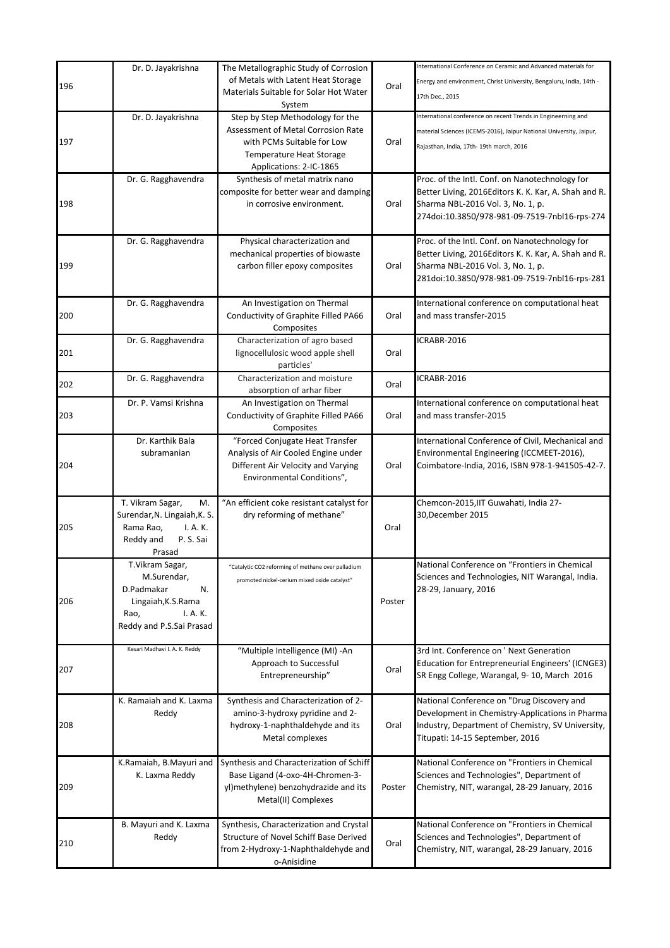|     | Dr. D. Jayakrishna            | The Metallographic Study of Corrosion              |        | International Conference on Ceramic and Advanced materials for      |
|-----|-------------------------------|----------------------------------------------------|--------|---------------------------------------------------------------------|
|     |                               | of Metals with Latent Heat Storage                 |        | Energy and environment, Christ University, Bengaluru, India, 14th - |
| 196 |                               | Materials Suitable for Solar Hot Water             | Oral   | 17th Dec., 2015                                                     |
|     |                               | System                                             |        |                                                                     |
|     | Dr. D. Jayakrishna            | Step by Step Methodology for the                   |        | International conference on recent Trends in Engineerning and       |
|     |                               | Assessment of Metal Corrosion Rate                 |        | material Sciences (ICEMS-2016), Jaipur National University, Jaipur, |
| 197 |                               | with PCMs Suitable for Low                         | Oral   | Rajasthan, India, 17th- 19th march, 2016                            |
|     |                               | Temperature Heat Storage                           |        |                                                                     |
|     |                               | Applications: 2-IC-1865                            |        |                                                                     |
|     | Dr. G. Ragghavendra           | Synthesis of metal matrix nano                     |        | Proc. of the Intl. Conf. on Nanotechnology for                      |
|     |                               | composite for better wear and damping              |        | Better Living, 2016Editors K. K. Kar, A. Shah and R.                |
| 198 |                               | in corrosive environment.                          | Oral   | Sharma NBL-2016 Vol. 3, No. 1, p.                                   |
|     |                               |                                                    |        | 274doi:10.3850/978-981-09-7519-7nbl16-rps-274                       |
|     |                               |                                                    |        |                                                                     |
|     | Dr. G. Ragghavendra           | Physical characterization and                      |        | Proc. of the Intl. Conf. on Nanotechnology for                      |
|     |                               | mechanical properties of biowaste                  |        | Better Living, 2016Editors K. K. Kar, A. Shah and R.                |
| 199 |                               | carbon filler epoxy composites                     | Oral   | Sharma NBL-2016 Vol. 3, No. 1, p.                                   |
|     |                               |                                                    |        | 281doi:10.3850/978-981-09-7519-7nbl16-rps-281                       |
|     |                               |                                                    |        |                                                                     |
|     | Dr. G. Ragghavendra           | An Investigation on Thermal                        |        | International conference on computational heat                      |
| 200 |                               | Conductivity of Graphite Filled PA66               | Oral   | and mass transfer-2015                                              |
|     |                               | Composites<br>Characterization of agro based       |        | ICRABR-2016                                                         |
|     | Dr. G. Ragghavendra           | lignocellulosic wood apple shell                   |        |                                                                     |
| 201 |                               | particles'                                         | Oral   |                                                                     |
|     |                               | Characterization and moisture                      |        | ICRABR-2016                                                         |
| 202 | Dr. G. Ragghavendra           | absorption of arhar fiber                          | Oral   |                                                                     |
|     | Dr. P. Vamsi Krishna          | An Investigation on Thermal                        |        | International conference on computational heat                      |
| 203 |                               | Conductivity of Graphite Filled PA66               | Oral   | and mass transfer-2015                                              |
|     |                               | Composites                                         |        |                                                                     |
|     | Dr. Karthik Bala              | "Forced Conjugate Heat Transfer                    |        | International Conference of Civil, Mechanical and                   |
|     | subramanian                   | Analysis of Air Cooled Engine under                |        | Environmental Engineering (ICCMEET-2016),                           |
| 204 |                               | Different Air Velocity and Varying                 | Oral   | Coimbatore-India, 2016, ISBN 978-1-941505-42-7.                     |
|     |                               | Environmental Conditions",                         |        |                                                                     |
|     |                               |                                                    |        |                                                                     |
|     | T. Vikram Sagar,<br>M.        | "An efficient coke resistant catalyst for          |        | Chemcon-2015, IIT Guwahati, India 27-                               |
|     | Surendar, N. Lingaiah, K. S.  | dry reforming of methane"                          |        | 30, December 2015                                                   |
| 205 | Rama Rao,<br>I. A. K.         |                                                    | Oral   |                                                                     |
|     | Reddy and<br>P.S.Sai          |                                                    |        |                                                                     |
|     | Prasad                        |                                                    |        |                                                                     |
|     | T.Vikram Sagar,               | "Catalytic CO2 reforming of methane over palladium |        | National Conference on "Frontiers in Chemical                       |
|     | M.Surendar,                   | promoted nickel-cerium mixed oxide catalyst"       |        | Sciences and Technologies, NIT Warangal, India.                     |
|     | D.Padmakar<br>N.              |                                                    |        | 28-29, January, 2016                                                |
| 206 | Lingaiah, K.S. Rama           |                                                    | Poster |                                                                     |
|     | I. A. K.<br>Rao,              |                                                    |        |                                                                     |
|     | Reddy and P.S.Sai Prasad      |                                                    |        |                                                                     |
|     |                               |                                                    |        |                                                                     |
|     | Kesari Madhavi I. A. K. Reddy | "Multiple Intelligence (MI) -An                    |        | 3rd Int. Conference on ' Next Generation                            |
| 207 |                               | Approach to Successful                             | Oral   | Education for Entrepreneurial Engineers' (ICNGE3)                   |
|     |                               | Entrepreneurship"                                  |        | SR Engg College, Warangal, 9-10, March 2016                         |
|     |                               |                                                    |        |                                                                     |
|     | K. Ramaiah and K. Laxma       | Synthesis and Characterization of 2-               |        | National Conference on "Drug Discovery and                          |
|     | Reddy                         | amino-3-hydroxy pyridine and 2-                    |        | Development in Chemistry-Applications in Pharma                     |
| 208 |                               | hydroxy-1-naphthaldehyde and its                   | Oral   | Industry, Department of Chemistry, SV University,                   |
|     |                               | Metal complexes                                    |        | Titupati: 14-15 September, 2016                                     |
|     |                               |                                                    |        |                                                                     |
|     | K.Ramaiah, B.Mayuri and       | Synthesis and Characterization of Schiff           |        | National Conference on "Frontiers in Chemical                       |
|     | K. Laxma Reddy                | Base Ligand (4-oxo-4H-Chromen-3-                   |        | Sciences and Technologies", Department of                           |
| 209 |                               | yl)methylene) benzohydrazide and its               | Poster | Chemistry, NIT, warangal, 28-29 January, 2016                       |
|     |                               | Metal(II) Complexes                                |        |                                                                     |
|     |                               |                                                    |        |                                                                     |
|     | B. Mayuri and K. Laxma        | Synthesis, Characterization and Crystal            |        | National Conference on "Frontiers in Chemical                       |
| 210 | Reddy                         | Structure of Novel Schiff Base Derived             | Oral   | Sciences and Technologies", Department of                           |
|     |                               | from 2-Hydroxy-1-Naphthaldehyde and<br>o-Anisidine |        | Chemistry, NIT, warangal, 28-29 January, 2016                       |
|     |                               |                                                    |        |                                                                     |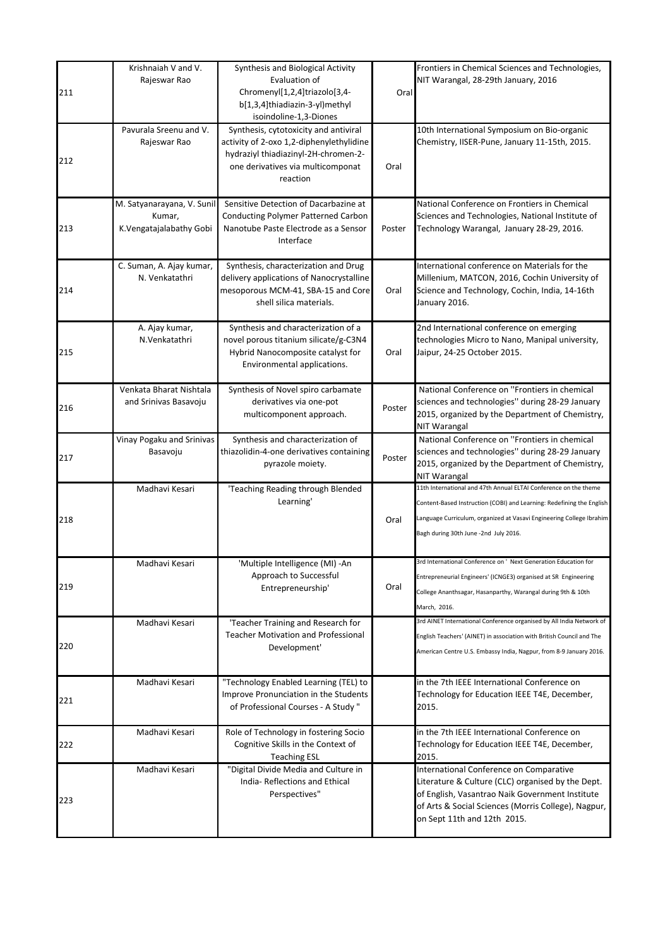| 211 | Krishnaiah V and V.<br>Rajeswar Rao                             | Synthesis and Biological Activity<br>Evaluation of<br>Chromenyl[1,2,4]triazolo[3,4-<br>b[1,3,4]thiadiazin-3-yl)methyl<br>isoindoline-1,3-Diones                            | Oral   | Frontiers in Chemical Sciences and Technologies,<br>NIT Warangal, 28-29th January, 2016                                                                                                                                                                    |
|-----|-----------------------------------------------------------------|----------------------------------------------------------------------------------------------------------------------------------------------------------------------------|--------|------------------------------------------------------------------------------------------------------------------------------------------------------------------------------------------------------------------------------------------------------------|
| 212 | Pavurala Sreenu and V.<br>Rajeswar Rao                          | Synthesis, cytotoxicity and antiviral<br>activity of 2-oxo 1,2-diphenylethylidine<br>hydraziyl thiadiazinyl-2H-chromen-2-<br>one derivatives via multicomponat<br>reaction | Oral   | 10th International Symposium on Bio-organic<br>Chemistry, IISER-Pune, January 11-15th, 2015.                                                                                                                                                               |
| 213 | M. Satyanarayana, V. Sunil<br>Kumar,<br>K.Vengatajalabathy Gobi | Sensitive Detection of Dacarbazine at<br>Conducting Polymer Patterned Carbon<br>Nanotube Paste Electrode as a Sensor<br>Interface                                          | Poster | National Conference on Frontiers in Chemical<br>Sciences and Technologies, National Institute of<br>Technology Warangal, January 28-29, 2016.                                                                                                              |
| 214 | C. Suman, A. Ajay kumar,<br>N. Venkatathri                      | Synthesis, characterization and Drug<br>delivery applications of Nanocrystalline<br>mesoporous MCM-41, SBA-15 and Core<br>shell silica materials.                          | Oral   | International conference on Materials for the<br>Millenium, MATCON, 2016, Cochin University of<br>Science and Technology, Cochin, India, 14-16th<br>January 2016.                                                                                          |
| 215 | A. Ajay kumar,<br>N.Venkatathri                                 | Synthesis and characterization of a<br>novel porous titanium silicate/g-C3N4<br>Hybrid Nanocomposite catalyst for<br>Environmental applications.                           | Oral   | 2nd International conference on emerging<br>technologies Micro to Nano, Manipal university,<br>Jaipur, 24-25 October 2015.                                                                                                                                 |
| 216 | Venkata Bharat Nishtala<br>and Srinivas Basavoju                | Synthesis of Novel spiro carbamate<br>derivatives via one-pot<br>multicomponent approach.                                                                                  | Poster | National Conference on "Frontiers in chemical<br>sciences and technologies" during 28-29 January<br>2015, organized by the Department of Chemistry,<br>NIT Warangal                                                                                        |
| 217 | Vinay Pogaku and Srinivas<br>Basavoju                           | Synthesis and characterization of<br>thiazolidin-4-one derivatives containing<br>pyrazole moiety.                                                                          | Poster | National Conference on "Frontiers in chemical<br>sciences and technologies" during 28-29 January<br>2015, organized by the Department of Chemistry,<br>NIT Warangal                                                                                        |
| 218 | Madhavi Kesari                                                  | 'Teaching Reading through Blended<br>Learning'                                                                                                                             | Oral   | 11th International and 47th Annual ELTAI Conference on the theme<br>Content-Based Instruction (COBI) and Learning: Redefining the English<br>Language Curriculum, organized at Vasavi Engineering College Ibrahim<br>Bagh during 30th June -2nd July 2016. |
| 219 | Madhavi Kesari                                                  | 'Multiple Intelligence (MI) -An<br>Approach to Successful<br>Entrepreneurship'                                                                                             | Oral   | 3rd International Conference on ' Next Generation Education for<br>Entrepreneurial Engineers' (ICNGE3) organised at SR Engineering<br>College Ananthsagar, Hasanparthy, Warangal during 9th & 10th<br>March, 2016.                                         |
| 220 | Madhavi Kesari                                                  | 'Teacher Training and Research for<br><b>Teacher Motivation and Professional</b><br>Development'                                                                           |        | 3rd AINET International Conference organised by All India Network of<br>English Teachers' (AINET) in association with British Council and The<br>American Centre U.S. Embassy India, Nagpur, from 8-9 January 2016.                                        |
| 221 | Madhavi Kesari                                                  | "Technology Enabled Learning (TEL) to<br>Improve Pronunciation in the Students<br>of Professional Courses - A Study "                                                      |        | in the 7th IEEE International Conference on<br>Technology for Education IEEE T4E, December,<br>2015.                                                                                                                                                       |
| 222 | Madhavi Kesari                                                  | Role of Technology in fostering Socio<br>Cognitive Skills in the Context of<br><b>Teaching ESL</b>                                                                         |        | in the 7th IEEE International Conference on<br>Technology for Education IEEE T4E, December,<br>2015.                                                                                                                                                       |
| 223 | Madhavi Kesari                                                  | "Digital Divide Media and Culture in<br>India-Reflections and Ethical<br>Perspectives"                                                                                     |        | International Conference on Comparative<br>Literature & Culture (CLC) organised by the Dept.<br>of English, Vasantrao Naik Government Institute<br>of Arts & Social Sciences (Morris College), Nagpur,<br>on Sept 11th and 12th 2015.                      |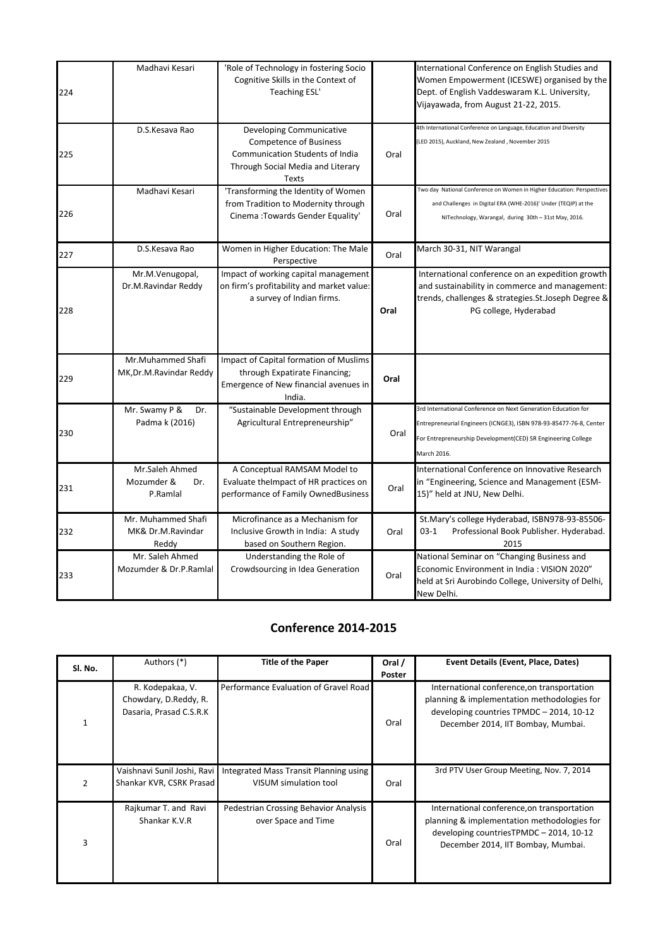| 224 | Madhavi Kesari                                   | 'Role of Technology in fostering Socio<br>Cognitive Skills in the Context of<br>Teaching ESL'                                              |      | International Conference on English Studies and<br>Women Empowerment (ICESWE) organised by the<br>Dept. of English Vaddeswaram K.L. University,<br>Vijayawada, from August 21-22, 2015.                            |
|-----|--------------------------------------------------|--------------------------------------------------------------------------------------------------------------------------------------------|------|--------------------------------------------------------------------------------------------------------------------------------------------------------------------------------------------------------------------|
| 225 | D.S.Kesava Rao                                   | Developing Communicative<br><b>Competence of Business</b><br>Communication Students of India<br>Through Social Media and Literary<br>Texts | Oral | 4th International Conference on Language, Education and Diversity<br>(LED 2015), Auckland, New Zealand, November 2015                                                                                              |
| 226 | Madhavi Kesari                                   | 'Transforming the Identity of Women<br>from Tradition to Modernity through<br>Cinema: Towards Gender Equality'                             | Oral | Two day National Conference on Women in Higher Education: Perspectives<br>and Challenges in Digital ERA (WHE-2016)' Under (TEQIP) at the<br>NITechnology, Warangal, during 30th - 31st May, 2016.                  |
| 227 | D.S.Kesava Rao                                   | Women in Higher Education: The Male<br>Perspective                                                                                         | Oral | March 30-31, NIT Warangal                                                                                                                                                                                          |
| 228 | Mr.M.Venugopal,<br>Dr.M.Ravindar Reddy           | Impact of working capital management<br>on firm's profitability and market value:<br>a survey of Indian firms.                             | Oral | International conference on an expedition growth<br>and sustainability in commerce and management:<br>trends, challenges & strategies. St. Joseph Degree &<br>PG college, Hyderabad                                |
| 229 | Mr.Muhammed Shafi<br>MK, Dr.M. Ravindar Reddy    | Impact of Capital formation of Muslims<br>through Expatirate Financing;<br>Emergence of New financial avenues in<br>India.                 | Oral |                                                                                                                                                                                                                    |
| 230 | Mr. Swamy P &<br>Dr.<br>Padma k (2016)           | "Sustainable Development through<br>Agricultural Entrepreneurship"                                                                         | Oral | 3rd International Conference on Next Generation Education for<br>Entrepreneurial Engineers (ICNGE3), ISBN 978-93-85477-76-8, Center<br>For Entrepreneurship Development(CED) SR Engineering College<br>March 2016. |
| 231 | Mr.Saleh Ahmed<br>Mozumder &<br>Dr.<br>P.Ramlal  | A Conceptual RAMSAM Model to<br>Evaluate the mpact of HR practices on<br>performance of Family OwnedBusiness                               | Oral | International Conference on Innovative Research<br>in "Engineering, Science and Management (ESM-<br>15)" held at JNU, New Delhi.                                                                                   |
| 232 | Mr. Muhammed Shafi<br>MK& Dr.M.Ravindar<br>Reddy | Microfinance as a Mechanism for<br>Inclusive Growth in India: A study<br>based on Southern Region.                                         | Oral | St.Mary's college Hyderabad, ISBN978-93-85506-<br>$03-1$<br>Professional Book Publisher. Hyderabad.<br>2015                                                                                                        |
| 233 | Mr. Saleh Ahmed<br>Mozumder & Dr.P.Ramlal        | Understanding the Role of<br>Crowdsourcing in Idea Generation                                                                              | Oral | National Seminar on "Changing Business and<br>Economic Environment in India: VISION 2020"<br>held at Sri Aurobindo College, University of Delhi,<br>New Delhi.                                                     |

## **Conference 2014-2015**

| SI. No.       | Authors (*)                                                          | <b>Title of the Paper</b>                                       | Oral / | Event Details (Event, Place, Dates)                                                                                                                                          |
|---------------|----------------------------------------------------------------------|-----------------------------------------------------------------|--------|------------------------------------------------------------------------------------------------------------------------------------------------------------------------------|
|               |                                                                      |                                                                 | Poster |                                                                                                                                                                              |
|               | R. Kodepakaa, V.<br>Chowdary, D.Reddy, R.<br>Dasaria, Prasad C.S.R.K | Performance Evaluation of Gravel Road                           | Oral   | International conference, on transportation<br>planning & implementation methodologies for<br>developing countries TPMDC - 2014, 10-12<br>December 2014, IIT Bombay, Mumbai. |
| $\mathcal{P}$ | Vaishnavi Sunil Joshi, Ravi<br>Shankar KVR, CSRK Prasad              | Integrated Mass Transit Planning using<br>VISUM simulation tool | Oral   | 3rd PTV User Group Meeting, Nov. 7, 2014                                                                                                                                     |
| 3             | Rajkumar T. and Ravi<br>Shankar K.V.R                                | Pedestrian Crossing Behavior Analysis<br>over Space and Time    | Oral   | International conference, on transportation<br>planning & implementation methodologies for<br>developing countriesTPMDC - 2014, 10-12<br>December 2014, IIT Bombay, Mumbai.  |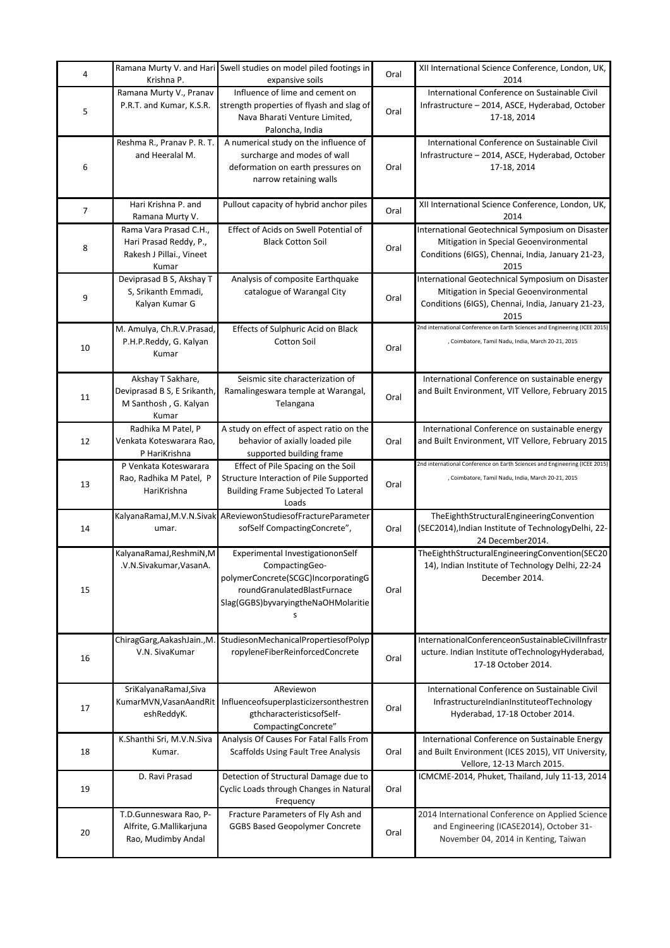| 4  | Krishna P.                                                                            | Ramana Murty V. and Hari Swell studies on model piled footings in<br>expansive soils                                                                            | Oral | XII International Science Conference, London, UK,<br>2014                                                                                               |
|----|---------------------------------------------------------------------------------------|-----------------------------------------------------------------------------------------------------------------------------------------------------------------|------|---------------------------------------------------------------------------------------------------------------------------------------------------------|
| 5  | Ramana Murty V., Pranav<br>P.R.T. and Kumar, K.S.R.                                   | Influence of lime and cement on<br>strength properties of flyash and slag of<br>Nava Bharati Venture Limited,<br>Paloncha, India                                | Oral | International Conference on Sustainable Civil<br>Infrastructure - 2014, ASCE, Hyderabad, October<br>17-18, 2014                                         |
| 6  | Reshma R., Pranav P. R. T.<br>and Heeralal M.                                         | A numerical study on the influence of<br>surcharge and modes of wall<br>deformation on earth pressures on<br>narrow retaining walls                             | Oral | International Conference on Sustainable Civil<br>Infrastructure - 2014, ASCE, Hyderabad, October<br>17-18, 2014                                         |
| 7  | Hari Krishna P. and<br>Ramana Murty V.                                                | Pullout capacity of hybrid anchor piles                                                                                                                         | Oral | XII International Science Conference, London, UK,<br>2014                                                                                               |
| 8  | Rama Vara Prasad C.H.,<br>Hari Prasad Reddy, P.,<br>Rakesh J Pillai., Vineet<br>Kumar | Effect of Acids on Swell Potential of<br><b>Black Cotton Soil</b>                                                                                               | Oral | International Geotechnical Symposium on Disaster<br>Mitigation in Special Geoenvironmental<br>Conditions (6IGS), Chennai, India, January 21-23,<br>2015 |
| 9  | Deviprasad B S, Akshay T<br>S, Srikanth Emmadi,<br>Kalyan Kumar G                     | Analysis of composite Earthquake<br>catalogue of Warangal City                                                                                                  | Oral | International Geotechnical Symposium on Disaster<br>Mitigation in Special Geoenvironmental<br>Conditions (6IGS), Chennai, India, January 21-23,<br>2015 |
| 10 | M. Amulya, Ch.R.V.Prasad,<br>P.H.P.Reddy, G. Kalyan<br>Kumar                          | Effects of Sulphuric Acid on Black<br><b>Cotton Soil</b>                                                                                                        | Oral | 2nd international Conference on Earth Sciences and Engineering (ICEE 2015)<br>, Coimbatore, Tamil Nadu, India, March 20-21, 2015                        |
| 11 | Akshay T Sakhare,<br>Deviprasad B S, E Srikanth,<br>M Santhosh, G. Kalyan<br>Kumar    | Seismic site characterization of<br>Ramalingeswara temple at Warangal,<br>Telangana                                                                             | Oral | International Conference on sustainable energy<br>and Built Environment, VIT Vellore, February 2015                                                     |
| 12 | Radhika M Patel, P<br>Venkata Koteswarara Rao,<br>P HariKrishna                       | A study on effect of aspect ratio on the<br>behavior of axially loaded pile<br>supported building frame                                                         | Oral | International Conference on sustainable energy<br>and Built Environment, VIT Vellore, February 2015                                                     |
| 13 | P Venkata Koteswarara<br>Rao, Radhika M Patel, P<br>HariKrishna                       | Effect of Pile Spacing on the Soil<br>Structure Interaction of Pile Supported<br>Building Frame Subjected To Lateral<br>Loads                                   | Oral | 2nd international Conference on Earth Sciences and Engineering (ICEE 2015)<br>, Coimbatore, Tamil Nadu, India, March 20-21, 2015                        |
| 14 | umar.                                                                                 | KalyanaRamaJ,M.V.N.Sivak AReviewonStudiesofFractureParameter<br>sofSelf CompactingConcrete",                                                                    | Oral | TheEighthStructuralEngineeringConvention<br>(SEC2014), Indian Institute of TechnologyDelhi, 22-<br>24 December 2014.                                    |
| 15 | KalyanaRamaJ, ReshmiN, M<br>.V.N.Sivakumar, VasanA.                                   | Experimental InvestigationonSelf<br>CompactingGeo-<br>polymerConcrete(SCGC)IncorporatingG<br>roundGranulatedBlastFurnace<br>Slag(GGBS)byvaryingtheNaOHMolaritie | Oral | TheEighthStructuralEngineeringConvention(SEC20<br>14), Indian Institute of Technology Delhi, 22-24<br>December 2014.                                    |
| 16 | ChiragGarg, AakashJain., M.<br>V.N. SivaKumar                                         | StudiesonMechanicalPropertiesofPolyp<br>ropyleneFiberReinforcedConcrete                                                                                         | Oral | InternationalConferenceonSustainableCivilInfrastr<br>ucture. Indian Institute ofTechnologyHyderabad,<br>17-18 October 2014.                             |
| 17 | SriKalyanaRamaJ, Siva<br>KumarMVN, VasanAandRit<br>eshReddyK.                         | AReviewon<br>Influenceofsuperplasticizersonthestren<br>gthcharacteristicsofSelf-<br>CompactingConcrete"                                                         | Oral | International Conference on Sustainable Civil<br>InfrastructureIndianInstituteofTechnology<br>Hyderabad, 17-18 October 2014.                            |
| 18 | K.Shanthi Sri, M.V.N.Siva<br>Kumar.                                                   | Analysis Of Causes For Fatal Falls From<br><b>Scaffolds Using Fault Tree Analysis</b>                                                                           | Oral | International Conference on Sustainable Energy<br>and Built Environment (ICES 2015), VIT University,<br>Vellore, 12-13 March 2015.                      |
| 19 | D. Ravi Prasad                                                                        | Detection of Structural Damage due to<br>Cyclic Loads through Changes in Natural<br>Frequency                                                                   | Oral | ICMCME-2014, Phuket, Thailand, July 11-13, 2014                                                                                                         |
| 20 | T.D.Gunneswara Rao, P-<br>Alfrite, G.Mallikarjuna<br>Rao, Mudimby Andal               | Fracture Parameters of Fly Ash and<br><b>GGBS Based Geopolymer Concrete</b>                                                                                     | Oral | 2014 International Conference on Applied Science<br>and Engineering (ICASE2014), October 31-<br>November 04, 2014 in Kenting, Taiwan                    |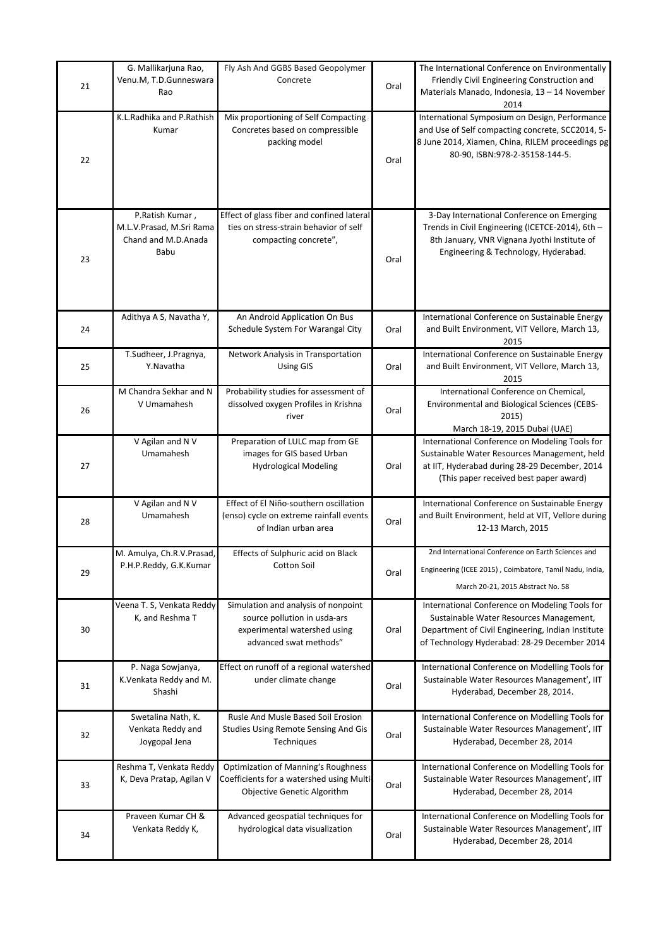| 21 | G. Mallikarjuna Rao,<br>Venu.M, T.D.Gunneswara<br>Rao                      | Fly Ash And GGBS Based Geopolymer<br>Concrete                                                                                 | Oral | The International Conference on Environmentally<br>Friendly Civil Engineering Construction and<br>Materials Manado, Indonesia, 13 - 14 November<br>2014                                        |
|----|----------------------------------------------------------------------------|-------------------------------------------------------------------------------------------------------------------------------|------|------------------------------------------------------------------------------------------------------------------------------------------------------------------------------------------------|
| 22 | K.L.Radhika and P.Rathish<br>Kumar                                         | Mix proportioning of Self Compacting<br>Concretes based on compressible<br>packing model                                      | Oral | International Symposium on Design, Performance<br>and Use of Self compacting concrete, SCC2014, 5-<br>8 June 2014, Xiamen, China, RILEM proceedings pg<br>80-90, ISBN:978-2-35158-144-5.       |
| 23 | P.Ratish Kumar,<br>M.L.V.Prasad, M.Sri Rama<br>Chand and M.D.Anada<br>Babu | Effect of glass fiber and confined lateral<br>ties on stress-strain behavior of self<br>compacting concrete",                 | Oral | 3-Day International Conference on Emerging<br>Trends in Civil Engineering (ICETCE-2014), 6th -<br>8th January, VNR Vignana Jyothi Institute of<br>Engineering & Technology, Hyderabad.         |
| 24 | Adithya A S, Navatha Y,                                                    | An Android Application On Bus<br>Schedule System For Warangal City                                                            | Oral | International Conference on Sustainable Energy<br>and Built Environment, VIT Vellore, March 13,<br>2015                                                                                        |
| 25 | T.Sudheer, J.Pragnya,<br>Y.Navatha                                         | Network Analysis in Transportation<br><b>Using GIS</b>                                                                        | Oral | International Conference on Sustainable Energy<br>and Built Environment, VIT Vellore, March 13,<br>2015                                                                                        |
| 26 | M Chandra Sekhar and N<br>V Umamahesh                                      | Probability studies for assessment of<br>dissolved oxygen Profiles in Krishna<br>river                                        | Oral | International Conference on Chemical,<br>Environmental and Biological Sciences (CEBS-<br>2015)<br>March 18-19, 2015 Dubai (UAE)                                                                |
| 27 | V Agilan and N V<br>Umamahesh                                              | Preparation of LULC map from GE<br>images for GIS based Urban<br><b>Hydrological Modeling</b>                                 | Oral | International Conference on Modeling Tools for<br>Sustainable Water Resources Management, held<br>at IIT, Hyderabad during 28-29 December, 2014<br>(This paper received best paper award)      |
| 28 | V Agilan and N V<br>Umamahesh                                              | Effect of El Niño-southern oscillation<br>(enso) cycle on extreme rainfall events<br>of Indian urban area                     | Oral | International Conference on Sustainable Energy<br>and Built Environment, held at VIT, Vellore during<br>12-13 March, 2015                                                                      |
| 29 | M. Amulya, Ch.R.V.Prasad,<br>P.H.P.Reddy, G.K.Kumar                        | Effects of Sulphuric acid on Black<br>Cotton Soil                                                                             | Oral | 2nd International Conference on Earth Sciences and<br>Engineering (ICEE 2015), Coimbatore, Tamil Nadu, India,<br>March 20-21, 2015 Abstract No. 58                                             |
| 30 | Veena T. S, Venkata Reddy<br>K, and Reshma T                               | Simulation and analysis of nonpoint<br>source pollution in usda-ars<br>experimental watershed using<br>advanced swat methods" | Oral | International Conference on Modeling Tools for<br>Sustainable Water Resources Management,<br>Department of Civil Engineering, Indian Institute<br>of Technology Hyderabad: 28-29 December 2014 |
| 31 | P. Naga Sowjanya,<br>K.Venkata Reddy and M.<br>Shashi                      | Effect on runoff of a regional watershed<br>under climate change                                                              | Oral | International Conference on Modelling Tools for<br>Sustainable Water Resources Management', IIT<br>Hyderabad, December 28, 2014.                                                               |
| 32 | Swetalina Nath, K.<br>Venkata Reddy and<br>Joygopal Jena                   | Rusle And Musle Based Soil Erosion<br>Studies Using Remote Sensing And Gis<br>Techniques                                      | Oral | International Conference on Modelling Tools for<br>Sustainable Water Resources Management', IIT<br>Hyderabad, December 28, 2014                                                                |
| 33 | Reshma T, Venkata Reddy<br>K, Deva Pratap, Agilan V                        | <b>Optimization of Manning's Roughness</b><br>Coefficients for a watershed using Multi-<br>Objective Genetic Algorithm        | Oral | International Conference on Modelling Tools for<br>Sustainable Water Resources Management', IIT<br>Hyderabad, December 28, 2014                                                                |
| 34 | Praveen Kumar CH &<br>Venkata Reddy K,                                     | Advanced geospatial techniques for<br>hydrological data visualization                                                         | Oral | International Conference on Modelling Tools for<br>Sustainable Water Resources Management', IIT<br>Hyderabad, December 28, 2014                                                                |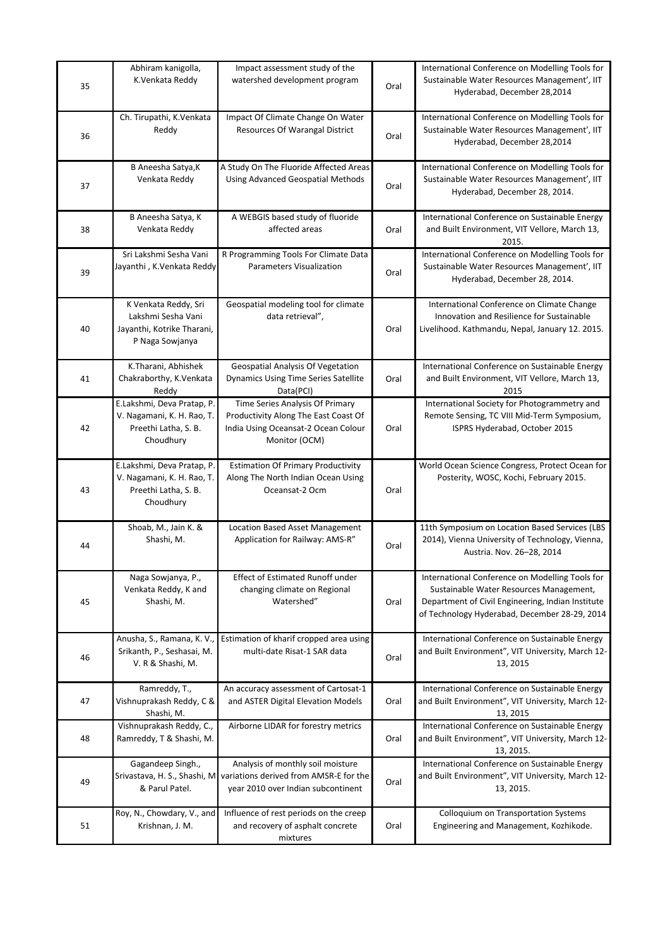| 35 | Abhiram kanigolla,<br>K.Venkata Reddy                                                         | Impact assessment study of the<br>watershed development program                                                                                | Oral | International Conference on Modelling Tools for<br>Sustainable Water Resources Management', IIT<br>Hyderabad, December 28,2014                                                                   |
|----|-----------------------------------------------------------------------------------------------|------------------------------------------------------------------------------------------------------------------------------------------------|------|--------------------------------------------------------------------------------------------------------------------------------------------------------------------------------------------------|
| 36 | Ch. Tirupathi, K.Venkata<br>Reddy                                                             | Impact Of Climate Change On Water<br>Resources Of Warangal District                                                                            | Oral | International Conference on Modelling Tools for<br>Sustainable Water Resources Management', IIT<br>Hyderabad, December 28,2014                                                                   |
| 37 | B Aneesha Satya, K<br>Venkata Reddy                                                           | A Study On The Fluoride Affected Areas<br>Using Advanced Geospatial Methods                                                                    | Oral | International Conference on Modelling Tools for<br>Sustainable Water Resources Management', IIT<br>Hyderabad, December 28, 2014.                                                                 |
| 38 | B Aneesha Satya, K<br>Venkata Reddy                                                           | A WEBGIS based study of fluoride<br>affected areas                                                                                             | Oral | International Conference on Sustainable Energy<br>and Built Environment, VIT Vellore, March 13,<br>2015.                                                                                         |
| 39 | Sri Lakshmi Sesha Vani<br>Jayanthi, K.Venkata Reddy                                           | R Programming Tools For Climate Data<br>Parameters Visualization                                                                               | Oral | International Conference on Modelling Tools for<br>Sustainable Water Resources Management', IIT<br>Hyderabad, December 28, 2014.                                                                 |
| 40 | K Venkata Reddy, Sri<br>Lakshmi Sesha Vani<br>Jayanthi, Kotrike Tharani,<br>P Naga Sowjanya   | Geospatial modeling tool for climate<br>data retrieval",                                                                                       | Oral | International Conference on Climate Change<br>Innovation and Resilience for Sustainable<br>Livelihood. Kathmandu, Nepal, January 12. 2015.                                                       |
| 41 | K.Tharani, Abhishek<br>Chakraborthy, K.Venkata<br>Reddy                                       | Geospatial Analysis Of Vegetation<br><b>Dynamics Using Time Series Satellite</b><br>Data(PCI)                                                  | Oral | International Conference on Sustainable Energy<br>and Built Environment, VIT Vellore, March 13,<br>2015                                                                                          |
| 42 | E.Lakshmi, Deva Pratap, P.<br>V. Nagamani, K. H. Rao, T.<br>Preethi Latha, S. B.<br>Choudhury | Time Series Analysis Of Primary<br>Productivity Along The East Coast Of<br>India Using Oceansat-2 Ocean Colour<br>Monitor (OCM)                | Oral | International Society for Photogrammetry and<br>Remote Sensing, TC VIII Mid-Term Symposium,<br>ISPRS Hyderabad, October 2015                                                                     |
| 43 | E.Lakshmi, Deva Pratap, P.<br>V. Nagamani, K. H. Rao, T.<br>Preethi Latha, S. B.<br>Choudhury | <b>Estimation Of Primary Productivity</b><br>Along The North Indian Ocean Using<br>Oceansat-2 Ocm                                              | Oral | World Ocean Science Congress, Protect Ocean for<br>Posterity, WOSC, Kochi, February 2015.                                                                                                        |
| 44 | Shoab, M., Jain K. &<br>Shashi, M.                                                            | Location Based Asset Management<br>Application for Railway: AMS-R"                                                                             | Oral | 11th Symposium on Location Based Services (LBS<br>2014), Vienna University of Technology, Vienna,<br>Austria. Nov. 26-28, 2014                                                                   |
| 45 | Naga Sowjanya, P.,<br>Venkata Reddy, K and<br>Shashi, M.                                      | <b>Effect of Estimated Runoff under</b><br>changing climate on Regional<br>Watershed"                                                          | Oral | International Conference on Modelling Tools for<br>Sustainable Water Resources Management,<br>Department of Civil Engineering, Indian Institute<br>of Technology Hyderabad, December 28-29, 2014 |
| 46 | Anusha, S., Ramana, K. V.,<br>Srikanth, P., Seshasai, M.<br>V. R & Shashi, M.                 | Estimation of kharif cropped area using<br>multi-date Risat-1 SAR data                                                                         | Oral | International Conference on Sustainable Energy<br>and Built Environment", VIT University, March 12-<br>13, 2015                                                                                  |
| 47 | Ramreddy, T.,<br>Vishnuprakash Reddy, C &<br>Shashi, M.                                       | An accuracy assessment of Cartosat-1<br>and ASTER Digital Elevation Models                                                                     | Oral | International Conference on Sustainable Energy<br>and Built Environment", VIT University, March 12-<br>13, 2015                                                                                  |
| 48 | Vishnuprakash Reddy, C.,<br>Ramreddy, T & Shashi, M.                                          | Airborne LIDAR for forestry metrics                                                                                                            | Oral | International Conference on Sustainable Energy<br>and Built Environment", VIT University, March 12-<br>13, 2015.                                                                                 |
| 49 | Gagandeep Singh.,<br>& Parul Patel.                                                           | Analysis of monthly soil moisture<br>Srivastava, H. S., Shashi, M variations derived from AMSR-E for the<br>year 2010 over Indian subcontinent | Oral | International Conference on Sustainable Energy<br>and Built Environment", VIT University, March 12-<br>13, 2015.                                                                                 |
| 51 | Roy, N., Chowdary, V., and<br>Krishnan, J. M.                                                 | Influence of rest periods on the creep<br>and recovery of asphalt concrete<br>mixtures                                                         | Oral | Colloquium on Transportation Systems<br>Engineering and Management, Kozhikode.                                                                                                                   |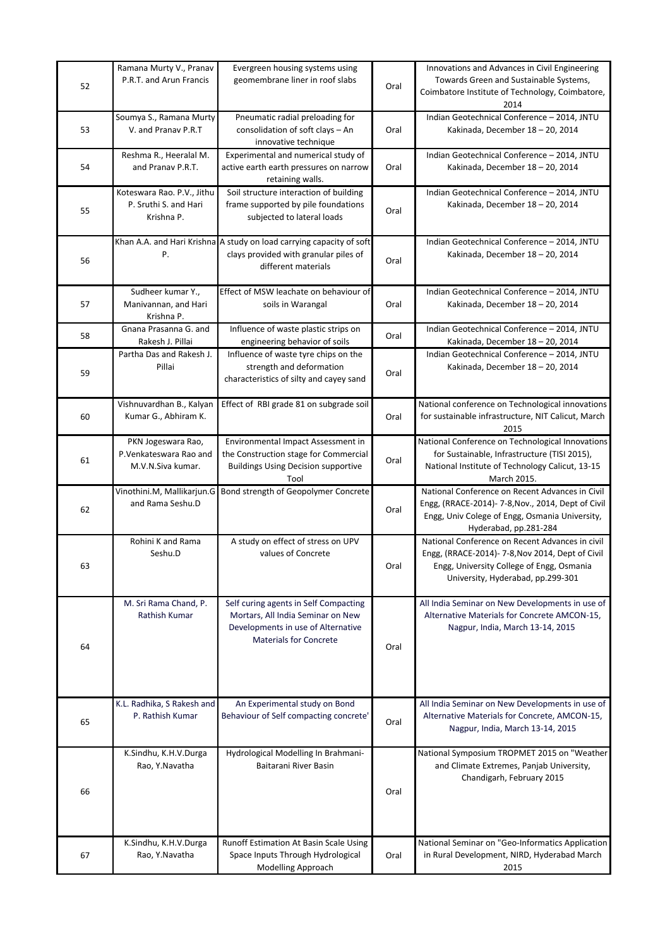|    | Ramana Murty V., Pranav    | Evergreen housing systems using                                      |      | Innovations and Advances in Civil Engineering                           |
|----|----------------------------|----------------------------------------------------------------------|------|-------------------------------------------------------------------------|
| 52 | P.R.T. and Arun Francis    | geomembrane liner in roof slabs                                      | Oral | Towards Green and Sustainable Systems,                                  |
|    |                            |                                                                      |      | Coimbatore Institute of Technology, Coimbatore,                         |
|    |                            |                                                                      |      | 2014                                                                    |
|    | Soumya S., Ramana Murty    | Pneumatic radial preloading for                                      |      | Indian Geotechnical Conference - 2014, JNTU                             |
| 53 | V. and Pranav P.R.T        | consolidation of soft clays - An                                     | Oral | Kakinada, December 18 - 20, 2014                                        |
|    |                            | innovative technique                                                 |      |                                                                         |
|    | Reshma R., Heeralal M.     | Experimental and numerical study of                                  |      | Indian Geotechnical Conference - 2014, JNTU                             |
| 54 | and Pranav P.R.T.          | active earth earth pressures on narrow                               | Oral | Kakinada, December 18 - 20, 2014                                        |
|    |                            | retaining walls.                                                     |      |                                                                         |
|    | Koteswara Rao. P.V., Jithu | Soil structure interaction of building                               |      | Indian Geotechnical Conference - 2014, JNTU                             |
| 55 | P. Sruthi S. and Hari      | frame supported by pile foundations                                  | Oral | Kakinada, December 18 - 20, 2014                                        |
|    | Krishna P.                 | subjected to lateral loads                                           |      |                                                                         |
|    |                            |                                                                      |      |                                                                         |
|    | Ρ.                         | Khan A.A. and Hari Krishna A study on load carrying capacity of soft |      | Indian Geotechnical Conference - 2014, JNTU                             |
| 56 |                            | clays provided with granular piles of<br>different materials         | Oral | Kakinada, December 18 - 20, 2014                                        |
|    |                            |                                                                      |      |                                                                         |
|    | Sudheer kumar Y.,          | Effect of MSW leachate on behaviour of                               |      | Indian Geotechnical Conference - 2014, JNTU                             |
| 57 | Manivannan, and Hari       | soils in Warangal                                                    | Oral | Kakinada, December 18 - 20, 2014                                        |
|    | Krishna P.                 |                                                                      |      |                                                                         |
|    | Gnana Prasanna G. and      | Influence of waste plastic strips on                                 |      | Indian Geotechnical Conference - 2014, JNTU                             |
| 58 | Rakesh J. Pillai           | engineering behavior of soils                                        | Oral | Kakinada, December 18 - 20, 2014                                        |
|    | Partha Das and Rakesh J.   | Influence of waste tyre chips on the                                 |      | Indian Geotechnical Conference - 2014, JNTU                             |
|    | Pillai                     | strength and deformation                                             |      | Kakinada, December 18 - 20, 2014                                        |
| 59 |                            | characteristics of silty and cayey sand                              | Oral |                                                                         |
|    |                            |                                                                      |      |                                                                         |
|    | Vishnuvardhan B., Kalyan   | Effect of RBI grade 81 on subgrade soil                              |      | National conference on Technological innovations                        |
| 60 | Kumar G., Abhiram K.       |                                                                      | Oral | for sustainable infrastructure, NIT Calicut, March                      |
|    |                            |                                                                      |      | 2015                                                                    |
|    | PKN Jogeswara Rao,         | Environmental Impact Assessment in                                   |      | National Conference on Technological Innovations                        |
| 61 | P.Venkateswara Rao and     | the Construction stage for Commercial                                | Oral | for Sustainable, Infrastructure (TISI 2015),                            |
|    | M.V.N.Siva kumar.          | <b>Buildings Using Decision supportive</b>                           |      | National Institute of Technology Calicut, 13-15                         |
|    |                            | Tool                                                                 |      | March 2015.                                                             |
|    |                            | Vinothini.M, Mallikarjun.G Bond strength of Geopolymer Concrete      |      | National Conference on Recent Advances in Civil                         |
| 62 | and Rama Seshu.D           |                                                                      | Oral | Engg, (RRACE-2014)- 7-8, Nov., 2014, Dept of Civil                      |
|    |                            |                                                                      |      | Engg, Univ Colege of Engg, Osmania University,<br>Hyderabad, pp.281-284 |
|    | Rohini K and Rama          | A study on effect of stress on UPV                                   |      | National Conference on Recent Advances in civil                         |
|    | Seshu.D                    | values of Concrete                                                   |      | Engg, (RRACE-2014)- 7-8, Nov 2014, Dept of Civil                        |
| 63 |                            |                                                                      | Oral | Engg, University College of Engg, Osmania                               |
|    |                            |                                                                      |      | University, Hyderabad, pp.299-301                                       |
|    |                            |                                                                      |      |                                                                         |
|    | M. Sri Rama Chand, P.      | Self curing agents in Self Compacting                                |      | All India Seminar on New Developments in use of                         |
|    | Rathish Kumar              | Mortars, All India Seminar on New                                    |      | Alternative Materials for Concrete AMCON-15,                            |
|    |                            | Developments in use of Alternative                                   |      | Nagpur, India, March 13-14, 2015                                        |
|    |                            | <b>Materials for Concrete</b>                                        |      |                                                                         |
| 64 |                            |                                                                      | Oral |                                                                         |
|    |                            |                                                                      |      |                                                                         |
|    |                            |                                                                      |      |                                                                         |
|    |                            |                                                                      |      |                                                                         |
|    | K.L. Radhika, S Rakesh and | An Experimental study on Bond                                        |      | All India Seminar on New Developments in use of                         |
| 65 | P. Rathish Kumar           | Behaviour of Self compacting concrete'                               | Oral | Alternative Materials for Concrete, AMCON-15,                           |
|    |                            |                                                                      |      | Nagpur, India, March 13-14, 2015                                        |
|    | K.Sindhu, K.H.V.Durga      | Hydrological Modelling In Brahmani-                                  |      | National Symposium TROPMET 2015 on "Weather                             |
|    | Rao, Y.Navatha             | Baitarani River Basin                                                |      | and Climate Extremes, Panjab University,                                |
|    |                            |                                                                      |      | Chandigarh, February 2015                                               |
| 66 |                            |                                                                      | Oral |                                                                         |
|    |                            |                                                                      |      |                                                                         |
|    |                            |                                                                      |      |                                                                         |
|    |                            |                                                                      |      |                                                                         |
|    | K.Sindhu, K.H.V.Durga      | Runoff Estimation At Basin Scale Using                               |      | National Seminar on "Geo-Informatics Application                        |
| 67 | Rao, Y.Navatha             | Space Inputs Through Hydrological                                    | Oral | in Rural Development, NIRD, Hyderabad March                             |
|    |                            | Modelling Approach                                                   |      | 2015                                                                    |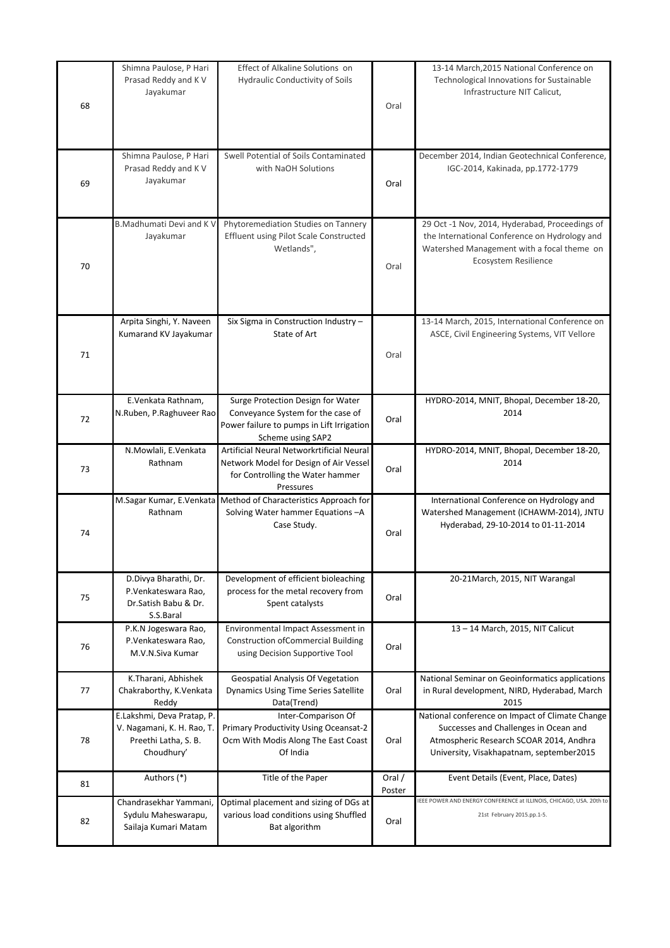| 68 | Shimna Paulose, P Hari<br>Prasad Reddy and K V<br>Jayakumar                                    | Effect of Alkaline Solutions on<br><b>Hydraulic Conductivity of Soils</b>                                                                | Oral             | 13-14 March, 2015 National Conference on<br>Technological Innovations for Sustainable<br>Infrastructure NIT Calicut,                                                            |
|----|------------------------------------------------------------------------------------------------|------------------------------------------------------------------------------------------------------------------------------------------|------------------|---------------------------------------------------------------------------------------------------------------------------------------------------------------------------------|
| 69 | Shimna Paulose, P Hari<br>Prasad Reddy and K V<br>Jayakumar                                    | Swell Potential of Soils Contaminated<br>with NaOH Solutions                                                                             | Oral             | December 2014, Indian Geotechnical Conference,<br>IGC-2014, Kakinada, pp.1772-1779                                                                                              |
| 70 | B.Madhumati Devi and K V<br>Jayakumar                                                          | Phytoremediation Studies on Tannery<br>Effluent using Pilot Scale Constructed<br>Wetlands",                                              | Oral             | 29 Oct -1 Nov, 2014, Hyderabad, Proceedings of<br>the International Conference on Hydrology and<br>Watershed Management with a focal theme on<br>Ecosystem Resilience           |
| 71 | Arpita Singhi, Y. Naveen<br>Kumarand KV Jayakumar                                              | Six Sigma in Construction Industry-<br>State of Art                                                                                      | Oral             | 13-14 March, 2015, International Conference on<br>ASCE, Civil Engineering Systems, VIT Vellore                                                                                  |
| 72 | E.Venkata Rathnam,<br>N.Ruben, P.Raghuveer Rao                                                 | Surge Protection Design for Water<br>Conveyance System for the case of<br>Power failure to pumps in Lift Irrigation<br>Scheme using SAP2 | Oral             | HYDRO-2014, MNIT, Bhopal, December 18-20,<br>2014                                                                                                                               |
| 73 | N.Mowlali, E.Venkata<br>Rathnam                                                                | Artificial Neural Networkrtificial Neural<br>Network Model for Design of Air Vessel<br>for Controlling the Water hammer<br>Pressures     | Oral             | HYDRO-2014, MNIT, Bhopal, December 18-20,<br>2014                                                                                                                               |
| 74 | Rathnam                                                                                        | M.Sagar Kumar, E.Venkata Method of Characteristics Approach for<br>Solving Water hammer Equations - A<br>Case Study.                     | Oral             | International Conference on Hydrology and<br>Watershed Management (ICHAWM-2014), JNTU<br>Hyderabad, 29-10-2014 to 01-11-2014                                                    |
| 75 | D.Divya Bharathi, Dr.<br>P.Venkateswara Rao,<br>Dr.Satish Babu & Dr.<br>S.S.Baral              | Development of efficient bioleaching<br>process for the metal recovery from<br>Spent catalysts                                           | Oral             | 20-21March, 2015, NIT Warangal                                                                                                                                                  |
| 76 | P.K.N Jogeswara Rao,<br>P.Venkateswara Rao,<br>M.V.N.Siva Kumar                                | Environmental Impact Assessment in<br><b>Construction of Commercial Building</b><br>using Decision Supportive Tool                       | Oral             | 13 - 14 March, 2015, NIT Calicut                                                                                                                                                |
| 77 | K.Tharani, Abhishek<br>Chakraborthy, K.Venkata<br>Reddy                                        | <b>Geospatial Analysis Of Vegetation</b><br><b>Dynamics Using Time Series Satellite</b><br>Data(Trend)                                   | Oral             | National Seminar on Geoinformatics applications<br>in Rural development, NIRD, Hyderabad, March<br>2015                                                                         |
| 78 | E.Lakshmi, Deva Pratap, P.<br>V. Nagamani, K. H. Rao, T.<br>Preethi Latha, S. B.<br>Choudhury' | Inter-Comparison Of<br>Primary Productivity Using Oceansat-2<br>Ocm With Modis Along The East Coast<br>Of India                          | Oral             | National conference on Impact of Climate Change<br>Successes and Challenges in Ocean and<br>Atmospheric Research SCOAR 2014, Andhra<br>University, Visakhapatnam, september2015 |
| 81 | Authors (*)                                                                                    | Title of the Paper                                                                                                                       | Oral /<br>Poster | Event Details (Event, Place, Dates)                                                                                                                                             |
| 82 | Chandrasekhar Yammani,<br>Sydulu Maheswarapu,<br>Sailaja Kumari Matam                          | Optimal placement and sizing of DGs at<br>various load conditions using Shuffled<br>Bat algorithm                                        | Oral             | IEEE POWER AND ENERGY CONFERENCE at ILLINOIS, CHICAGO, USA. 20th to<br>21st February 2015.pp.1-5.                                                                               |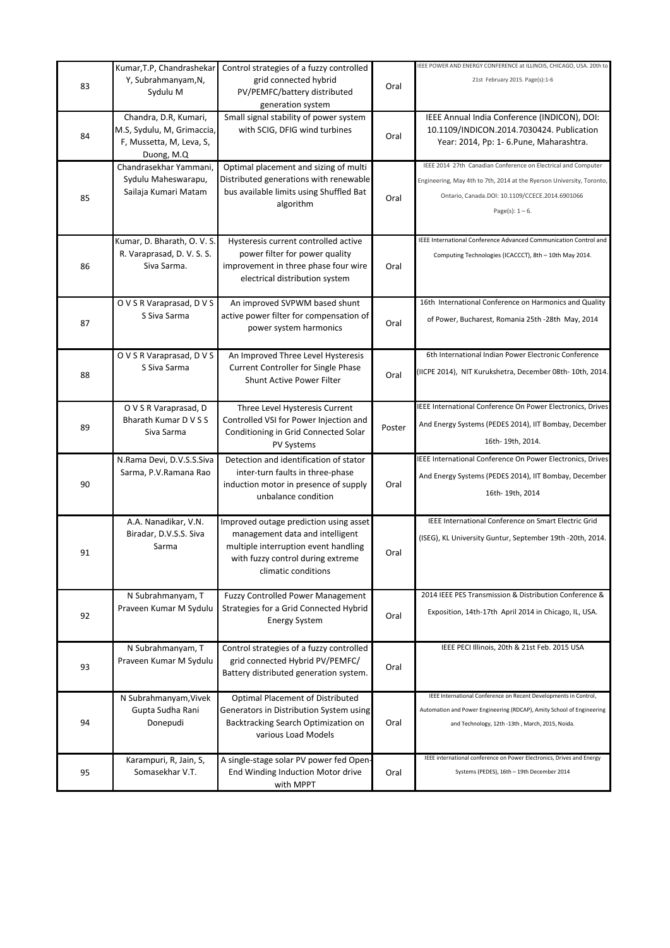|    | Kumar, T.P, Chandrashekar                                                                     | Control strategies of a fuzzy controlled                                                                                                                                      |        | IEEE POWER AND ENERGY CONFERENCE at ILLINOIS, CHICAGO, USA. 20th to                                                                                                                                             |
|----|-----------------------------------------------------------------------------------------------|-------------------------------------------------------------------------------------------------------------------------------------------------------------------------------|--------|-----------------------------------------------------------------------------------------------------------------------------------------------------------------------------------------------------------------|
| 83 | Y, Subrahmanyam, N,<br>Sydulu M                                                               | grid connected hybrid<br>PV/PEMFC/battery distributed<br>generation system                                                                                                    | Oral   | 21st February 2015. Page(s):1-6                                                                                                                                                                                 |
| 84 | Chandra, D.R, Kumari,<br>M.S, Sydulu, M, Grimaccia,<br>F, Mussetta, M, Leva, S,<br>Duong, M.Q | Small signal stability of power system<br>with SCIG, DFIG wind turbines                                                                                                       | Oral   | IEEE Annual India Conference (INDICON), DOI:<br>10.1109/INDICON.2014.7030424. Publication<br>Year: 2014, Pp: 1- 6. Pune, Maharashtra.                                                                           |
| 85 | Chandrasekhar Yammani,<br>Sydulu Maheswarapu,<br>Sailaja Kumari Matam                         | Optimal placement and sizing of multi<br>Distributed generations with renewable<br>bus available limits using Shuffled Bat<br>algorithm                                       | Oral   | IEEE 2014 27th Canadian Conference on Electrical and Computer<br>Engineering, May 4th to 7th, 2014 at the Ryerson University, Toronto,<br>Ontario, Canada.DOI: 10.1109/CCECE.2014.6901066<br>Page(s): $1 - 6$ . |
| 86 | Kumar, D. Bharath, O. V. S.<br>R. Varaprasad, D. V. S. S.<br>Siva Sarma.                      | Hysteresis current controlled active<br>power filter for power quality<br>improvement in three phase four wire<br>electrical distribution system                              | Oral   | IEEE International Conference Advanced Communication Control and<br>Computing Technologies (ICACCCT), 8th - 10th May 2014.                                                                                      |
| 87 | O V S R Varaprasad, D V S<br>S Siva Sarma                                                     | An improved SVPWM based shunt<br>active power filter for compensation of<br>power system harmonics                                                                            | Oral   | 16th International Conference on Harmonics and Quality<br>of Power, Bucharest, Romania 25th -28th May, 2014                                                                                                     |
| 88 | O V S R Varaprasad, D V S<br>S Siva Sarma                                                     | An Improved Three Level Hysteresis<br>Current Controller for Single Phase<br><b>Shunt Active Power Filter</b>                                                                 | Oral   | 6th International Indian Power Electronic Conference<br>(IICPE 2014), NIT Kurukshetra, December 08th- 10th, 2014.                                                                                               |
| 89 | O V S R Varaprasad, D<br>Bharath Kumar D V S S<br>Siva Sarma                                  | Three Level Hysteresis Current<br>Controlled VSI for Power Injection and<br>Conditioning in Grid Connected Solar<br>PV Systems                                                | Poster | IEEE International Conference On Power Electronics, Drives<br>And Energy Systems (PEDES 2014), IIT Bombay, December<br>16th-19th, 2014.                                                                         |
| 90 | N.Rama Devi, D.V.S.S.Siva<br>Sarma, P.V.Ramana Rao                                            | Detection and identification of stator<br>inter-turn faults in three-phase<br>induction motor in presence of supply<br>unbalance condition                                    | Oral   | IEEE International Conference On Power Electronics, Drives<br>And Energy Systems (PEDES 2014), IIT Bombay, December<br>16th-19th, 2014                                                                          |
| 91 | A.A. Nanadikar, V.N.<br>Biradar, D.V.S.S. Siva<br>Sarma                                       | Improved outage prediction using asset<br>management data and intelligent<br>multiple interruption event handling<br>with fuzzy control during extreme<br>climatic conditions | Oral   | IEEE International Conference on Smart Electric Grid<br>(ISEG), KL University Guntur, September 19th -20th, 2014.                                                                                               |
| 92 | N Subrahmanyam, T<br>Praveen Kumar M Sydulu                                                   | <b>Fuzzy Controlled Power Management</b><br>Strategies for a Grid Connected Hybrid<br><b>Energy System</b>                                                                    | Oral   | 2014 IEEE PES Transmission & Distribution Conference &<br>Exposition, 14th-17th April 2014 in Chicago, IL, USA.                                                                                                 |
| 93 | N Subrahmanyam, T<br>Praveen Kumar M Sydulu                                                   | Control strategies of a fuzzy controlled<br>grid connected Hybrid PV/PEMFC/<br>Battery distributed generation system.                                                         | Oral   | IEEE PECI Illinois, 20th & 21st Feb. 2015 USA                                                                                                                                                                   |
| 94 | N Subrahmanyam, Vivek<br>Gupta Sudha Rani<br>Donepudi                                         | Optimal Placement of Distributed<br>Generators in Distribution System using<br>Backtracking Search Optimization on<br>various Load Models                                     | Oral   | IEEE International Conference on Recent Developments in Control,<br>Automation and Power Engineering (RDCAP), Amity School of Engineering<br>and Technology, 12th -13th, March, 2015, Noida.                    |
| 95 | Karampuri, R, Jain, S,<br>Somasekhar V.T.                                                     | A single-stage solar PV power fed Open-<br>End Winding Induction Motor drive<br>with MPPT                                                                                     | Oral   | IEEE international conference on Power Electronics, Drives and Energy<br>Systems (PEDES), 16th - 19th December 2014                                                                                             |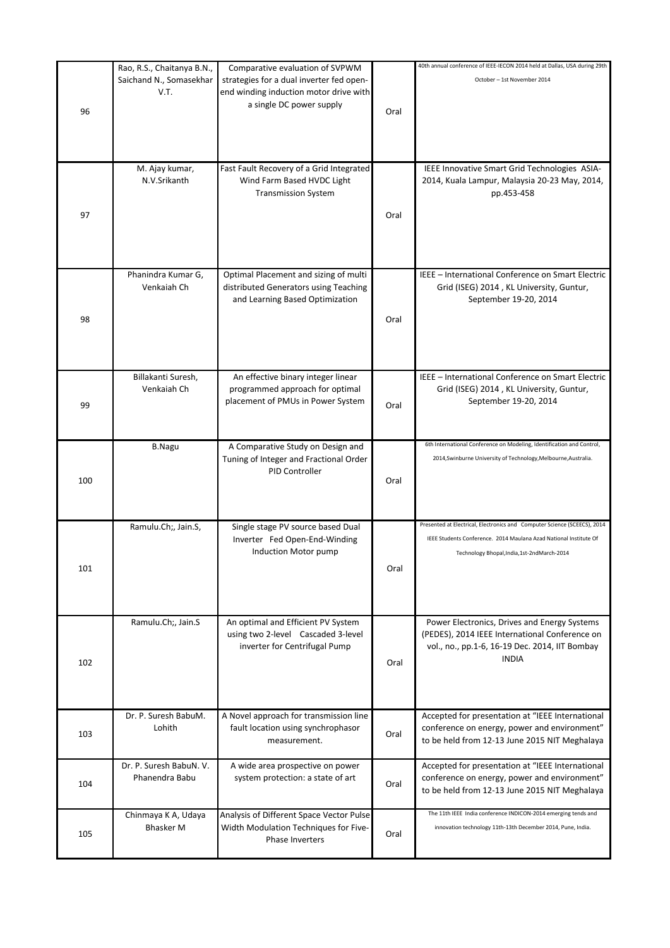| Saichand N., Somasekhar<br>strategies for a dual inverter fed open-<br>October - 1st November 2014<br>V.T.<br>end winding induction motor drive with<br>a single DC power supply<br>96<br>Oral<br>Fast Fault Recovery of a Grid Integrated<br>M. Ajay kumar,<br>IEEE Innovative Smart Grid Technologies ASIA-<br>N.V.Srikanth<br>Wind Farm Based HVDC Light<br>2014, Kuala Lampur, Malaysia 20-23 May, 2014,<br><b>Transmission System</b><br>pp.453-458<br>97<br>Oral<br>Phanindra Kumar G,<br>Optimal Placement and sizing of multi<br>Venkaiah Ch<br>distributed Generators using Teaching<br>Grid (ISEG) 2014, KL University, Guntur,<br>and Learning Based Optimization<br>September 19-20, 2014<br>98<br>Oral<br>Billakanti Suresh,<br>An effective binary integer linear<br>IEEE - International Conference on Smart Electric<br>Venkaiah Ch<br>programmed approach for optimal<br>Grid (ISEG) 2014, KL University, Guntur,<br>placement of PMUs in Power System<br>September 19-20, 2014<br>99<br>Oral<br>A Comparative Study on Design and<br><b>B.Nagu</b><br>Tuning of Integer and Fractional Order<br>2014, Swinburne University of Technology, Melbourne, Australia.<br>PID Controller<br>100<br>Oral<br>Ramulu.Ch;, Jain.S,<br>Single stage PV source based Dual<br>Inverter Fed Open-End-Winding<br>Induction Motor pump<br>Technology Bhopal, India, 1st-2ndMarch-2014<br>101<br>Oral<br>Ramulu.Ch;, Jain.S<br>An optimal and Efficient PV System<br>using two 2-level Cascaded 3-level<br>inverter for Centrifugal Pump<br><b>INDIA</b><br>Oral<br>102<br>Accepted for presentation at "IEEE International<br>Dr. P. Suresh BabuM.<br>A Novel approach for transmission line<br>Lohith<br>fault location using synchrophasor<br>conference on energy, power and environment"<br>103<br>Oral<br>to be held from 12-13 June 2015 NIT Meghalaya<br>measurement.<br>Dr. P. Suresh BabuN. V.<br>Accepted for presentation at "IEEE International<br>A wide area prospective on power | Rao, R.S., Chaitanya B.N., | Comparative evaluation of SVPWM   | 40th annual conference of IEEE-IECON 2014 held at Dallas, USA during 29th |
|--------------------------------------------------------------------------------------------------------------------------------------------------------------------------------------------------------------------------------------------------------------------------------------------------------------------------------------------------------------------------------------------------------------------------------------------------------------------------------------------------------------------------------------------------------------------------------------------------------------------------------------------------------------------------------------------------------------------------------------------------------------------------------------------------------------------------------------------------------------------------------------------------------------------------------------------------------------------------------------------------------------------------------------------------------------------------------------------------------------------------------------------------------------------------------------------------------------------------------------------------------------------------------------------------------------------------------------------------------------------------------------------------------------------------------------------------------------------------------------------------------------------------------------------------------------------------------------------------------------------------------------------------------------------------------------------------------------------------------------------------------------------------------------------------------------------------------------------------------------------------------------------------------------------------------------------------------------------------------------------------|----------------------------|-----------------------------------|---------------------------------------------------------------------------|
|                                                                                                                                                                                                                                                                                                                                                                                                                                                                                                                                                                                                                                                                                                                                                                                                                                                                                                                                                                                                                                                                                                                                                                                                                                                                                                                                                                                                                                                                                                                                                                                                                                                                                                                                                                                                                                                                                                                                                                                                  |                            |                                   |                                                                           |
|                                                                                                                                                                                                                                                                                                                                                                                                                                                                                                                                                                                                                                                                                                                                                                                                                                                                                                                                                                                                                                                                                                                                                                                                                                                                                                                                                                                                                                                                                                                                                                                                                                                                                                                                                                                                                                                                                                                                                                                                  |                            |                                   |                                                                           |
|                                                                                                                                                                                                                                                                                                                                                                                                                                                                                                                                                                                                                                                                                                                                                                                                                                                                                                                                                                                                                                                                                                                                                                                                                                                                                                                                                                                                                                                                                                                                                                                                                                                                                                                                                                                                                                                                                                                                                                                                  |                            |                                   |                                                                           |
|                                                                                                                                                                                                                                                                                                                                                                                                                                                                                                                                                                                                                                                                                                                                                                                                                                                                                                                                                                                                                                                                                                                                                                                                                                                                                                                                                                                                                                                                                                                                                                                                                                                                                                                                                                                                                                                                                                                                                                                                  |                            |                                   |                                                                           |
|                                                                                                                                                                                                                                                                                                                                                                                                                                                                                                                                                                                                                                                                                                                                                                                                                                                                                                                                                                                                                                                                                                                                                                                                                                                                                                                                                                                                                                                                                                                                                                                                                                                                                                                                                                                                                                                                                                                                                                                                  |                            |                                   |                                                                           |
|                                                                                                                                                                                                                                                                                                                                                                                                                                                                                                                                                                                                                                                                                                                                                                                                                                                                                                                                                                                                                                                                                                                                                                                                                                                                                                                                                                                                                                                                                                                                                                                                                                                                                                                                                                                                                                                                                                                                                                                                  |                            |                                   |                                                                           |
|                                                                                                                                                                                                                                                                                                                                                                                                                                                                                                                                                                                                                                                                                                                                                                                                                                                                                                                                                                                                                                                                                                                                                                                                                                                                                                                                                                                                                                                                                                                                                                                                                                                                                                                                                                                                                                                                                                                                                                                                  |                            |                                   |                                                                           |
|                                                                                                                                                                                                                                                                                                                                                                                                                                                                                                                                                                                                                                                                                                                                                                                                                                                                                                                                                                                                                                                                                                                                                                                                                                                                                                                                                                                                                                                                                                                                                                                                                                                                                                                                                                                                                                                                                                                                                                                                  |                            |                                   |                                                                           |
|                                                                                                                                                                                                                                                                                                                                                                                                                                                                                                                                                                                                                                                                                                                                                                                                                                                                                                                                                                                                                                                                                                                                                                                                                                                                                                                                                                                                                                                                                                                                                                                                                                                                                                                                                                                                                                                                                                                                                                                                  |                            |                                   |                                                                           |
|                                                                                                                                                                                                                                                                                                                                                                                                                                                                                                                                                                                                                                                                                                                                                                                                                                                                                                                                                                                                                                                                                                                                                                                                                                                                                                                                                                                                                                                                                                                                                                                                                                                                                                                                                                                                                                                                                                                                                                                                  |                            |                                   |                                                                           |
|                                                                                                                                                                                                                                                                                                                                                                                                                                                                                                                                                                                                                                                                                                                                                                                                                                                                                                                                                                                                                                                                                                                                                                                                                                                                                                                                                                                                                                                                                                                                                                                                                                                                                                                                                                                                                                                                                                                                                                                                  |                            |                                   |                                                                           |
|                                                                                                                                                                                                                                                                                                                                                                                                                                                                                                                                                                                                                                                                                                                                                                                                                                                                                                                                                                                                                                                                                                                                                                                                                                                                                                                                                                                                                                                                                                                                                                                                                                                                                                                                                                                                                                                                                                                                                                                                  |                            |                                   |                                                                           |
|                                                                                                                                                                                                                                                                                                                                                                                                                                                                                                                                                                                                                                                                                                                                                                                                                                                                                                                                                                                                                                                                                                                                                                                                                                                                                                                                                                                                                                                                                                                                                                                                                                                                                                                                                                                                                                                                                                                                                                                                  |                            |                                   |                                                                           |
|                                                                                                                                                                                                                                                                                                                                                                                                                                                                                                                                                                                                                                                                                                                                                                                                                                                                                                                                                                                                                                                                                                                                                                                                                                                                                                                                                                                                                                                                                                                                                                                                                                                                                                                                                                                                                                                                                                                                                                                                  |                            |                                   |                                                                           |
|                                                                                                                                                                                                                                                                                                                                                                                                                                                                                                                                                                                                                                                                                                                                                                                                                                                                                                                                                                                                                                                                                                                                                                                                                                                                                                                                                                                                                                                                                                                                                                                                                                                                                                                                                                                                                                                                                                                                                                                                  |                            |                                   |                                                                           |
|                                                                                                                                                                                                                                                                                                                                                                                                                                                                                                                                                                                                                                                                                                                                                                                                                                                                                                                                                                                                                                                                                                                                                                                                                                                                                                                                                                                                                                                                                                                                                                                                                                                                                                                                                                                                                                                                                                                                                                                                  |                            |                                   |                                                                           |
|                                                                                                                                                                                                                                                                                                                                                                                                                                                                                                                                                                                                                                                                                                                                                                                                                                                                                                                                                                                                                                                                                                                                                                                                                                                                                                                                                                                                                                                                                                                                                                                                                                                                                                                                                                                                                                                                                                                                                                                                  |                            |                                   | IEEE - International Conference on Smart Electric                         |
|                                                                                                                                                                                                                                                                                                                                                                                                                                                                                                                                                                                                                                                                                                                                                                                                                                                                                                                                                                                                                                                                                                                                                                                                                                                                                                                                                                                                                                                                                                                                                                                                                                                                                                                                                                                                                                                                                                                                                                                                  |                            |                                   |                                                                           |
|                                                                                                                                                                                                                                                                                                                                                                                                                                                                                                                                                                                                                                                                                                                                                                                                                                                                                                                                                                                                                                                                                                                                                                                                                                                                                                                                                                                                                                                                                                                                                                                                                                                                                                                                                                                                                                                                                                                                                                                                  |                            |                                   |                                                                           |
|                                                                                                                                                                                                                                                                                                                                                                                                                                                                                                                                                                                                                                                                                                                                                                                                                                                                                                                                                                                                                                                                                                                                                                                                                                                                                                                                                                                                                                                                                                                                                                                                                                                                                                                                                                                                                                                                                                                                                                                                  |                            |                                   |                                                                           |
|                                                                                                                                                                                                                                                                                                                                                                                                                                                                                                                                                                                                                                                                                                                                                                                                                                                                                                                                                                                                                                                                                                                                                                                                                                                                                                                                                                                                                                                                                                                                                                                                                                                                                                                                                                                                                                                                                                                                                                                                  |                            |                                   |                                                                           |
|                                                                                                                                                                                                                                                                                                                                                                                                                                                                                                                                                                                                                                                                                                                                                                                                                                                                                                                                                                                                                                                                                                                                                                                                                                                                                                                                                                                                                                                                                                                                                                                                                                                                                                                                                                                                                                                                                                                                                                                                  |                            |                                   |                                                                           |
|                                                                                                                                                                                                                                                                                                                                                                                                                                                                                                                                                                                                                                                                                                                                                                                                                                                                                                                                                                                                                                                                                                                                                                                                                                                                                                                                                                                                                                                                                                                                                                                                                                                                                                                                                                                                                                                                                                                                                                                                  |                            |                                   |                                                                           |
|                                                                                                                                                                                                                                                                                                                                                                                                                                                                                                                                                                                                                                                                                                                                                                                                                                                                                                                                                                                                                                                                                                                                                                                                                                                                                                                                                                                                                                                                                                                                                                                                                                                                                                                                                                                                                                                                                                                                                                                                  |                            |                                   |                                                                           |
|                                                                                                                                                                                                                                                                                                                                                                                                                                                                                                                                                                                                                                                                                                                                                                                                                                                                                                                                                                                                                                                                                                                                                                                                                                                                                                                                                                                                                                                                                                                                                                                                                                                                                                                                                                                                                                                                                                                                                                                                  |                            |                                   |                                                                           |
|                                                                                                                                                                                                                                                                                                                                                                                                                                                                                                                                                                                                                                                                                                                                                                                                                                                                                                                                                                                                                                                                                                                                                                                                                                                                                                                                                                                                                                                                                                                                                                                                                                                                                                                                                                                                                                                                                                                                                                                                  |                            |                                   |                                                                           |
|                                                                                                                                                                                                                                                                                                                                                                                                                                                                                                                                                                                                                                                                                                                                                                                                                                                                                                                                                                                                                                                                                                                                                                                                                                                                                                                                                                                                                                                                                                                                                                                                                                                                                                                                                                                                                                                                                                                                                                                                  |                            |                                   |                                                                           |
|                                                                                                                                                                                                                                                                                                                                                                                                                                                                                                                                                                                                                                                                                                                                                                                                                                                                                                                                                                                                                                                                                                                                                                                                                                                                                                                                                                                                                                                                                                                                                                                                                                                                                                                                                                                                                                                                                                                                                                                                  |                            |                                   |                                                                           |
|                                                                                                                                                                                                                                                                                                                                                                                                                                                                                                                                                                                                                                                                                                                                                                                                                                                                                                                                                                                                                                                                                                                                                                                                                                                                                                                                                                                                                                                                                                                                                                                                                                                                                                                                                                                                                                                                                                                                                                                                  |                            |                                   |                                                                           |
|                                                                                                                                                                                                                                                                                                                                                                                                                                                                                                                                                                                                                                                                                                                                                                                                                                                                                                                                                                                                                                                                                                                                                                                                                                                                                                                                                                                                                                                                                                                                                                                                                                                                                                                                                                                                                                                                                                                                                                                                  |                            |                                   |                                                                           |
|                                                                                                                                                                                                                                                                                                                                                                                                                                                                                                                                                                                                                                                                                                                                                                                                                                                                                                                                                                                                                                                                                                                                                                                                                                                                                                                                                                                                                                                                                                                                                                                                                                                                                                                                                                                                                                                                                                                                                                                                  |                            |                                   | 6th International Conference on Modeling, Identification and Control,     |
|                                                                                                                                                                                                                                                                                                                                                                                                                                                                                                                                                                                                                                                                                                                                                                                                                                                                                                                                                                                                                                                                                                                                                                                                                                                                                                                                                                                                                                                                                                                                                                                                                                                                                                                                                                                                                                                                                                                                                                                                  |                            |                                   |                                                                           |
|                                                                                                                                                                                                                                                                                                                                                                                                                                                                                                                                                                                                                                                                                                                                                                                                                                                                                                                                                                                                                                                                                                                                                                                                                                                                                                                                                                                                                                                                                                                                                                                                                                                                                                                                                                                                                                                                                                                                                                                                  |                            |                                   |                                                                           |
|                                                                                                                                                                                                                                                                                                                                                                                                                                                                                                                                                                                                                                                                                                                                                                                                                                                                                                                                                                                                                                                                                                                                                                                                                                                                                                                                                                                                                                                                                                                                                                                                                                                                                                                                                                                                                                                                                                                                                                                                  |                            |                                   |                                                                           |
|                                                                                                                                                                                                                                                                                                                                                                                                                                                                                                                                                                                                                                                                                                                                                                                                                                                                                                                                                                                                                                                                                                                                                                                                                                                                                                                                                                                                                                                                                                                                                                                                                                                                                                                                                                                                                                                                                                                                                                                                  |                            |                                   |                                                                           |
|                                                                                                                                                                                                                                                                                                                                                                                                                                                                                                                                                                                                                                                                                                                                                                                                                                                                                                                                                                                                                                                                                                                                                                                                                                                                                                                                                                                                                                                                                                                                                                                                                                                                                                                                                                                                                                                                                                                                                                                                  |                            |                                   |                                                                           |
|                                                                                                                                                                                                                                                                                                                                                                                                                                                                                                                                                                                                                                                                                                                                                                                                                                                                                                                                                                                                                                                                                                                                                                                                                                                                                                                                                                                                                                                                                                                                                                                                                                                                                                                                                                                                                                                                                                                                                                                                  |                            |                                   | Presented at Electrical, Electronics and Computer Science (SCEECS), 2014  |
|                                                                                                                                                                                                                                                                                                                                                                                                                                                                                                                                                                                                                                                                                                                                                                                                                                                                                                                                                                                                                                                                                                                                                                                                                                                                                                                                                                                                                                                                                                                                                                                                                                                                                                                                                                                                                                                                                                                                                                                                  |                            |                                   | IEEE Students Conference. 2014 Maulana Azad National Institute Of         |
|                                                                                                                                                                                                                                                                                                                                                                                                                                                                                                                                                                                                                                                                                                                                                                                                                                                                                                                                                                                                                                                                                                                                                                                                                                                                                                                                                                                                                                                                                                                                                                                                                                                                                                                                                                                                                                                                                                                                                                                                  |                            |                                   |                                                                           |
|                                                                                                                                                                                                                                                                                                                                                                                                                                                                                                                                                                                                                                                                                                                                                                                                                                                                                                                                                                                                                                                                                                                                                                                                                                                                                                                                                                                                                                                                                                                                                                                                                                                                                                                                                                                                                                                                                                                                                                                                  |                            |                                   |                                                                           |
|                                                                                                                                                                                                                                                                                                                                                                                                                                                                                                                                                                                                                                                                                                                                                                                                                                                                                                                                                                                                                                                                                                                                                                                                                                                                                                                                                                                                                                                                                                                                                                                                                                                                                                                                                                                                                                                                                                                                                                                                  |                            |                                   |                                                                           |
|                                                                                                                                                                                                                                                                                                                                                                                                                                                                                                                                                                                                                                                                                                                                                                                                                                                                                                                                                                                                                                                                                                                                                                                                                                                                                                                                                                                                                                                                                                                                                                                                                                                                                                                                                                                                                                                                                                                                                                                                  |                            |                                   |                                                                           |
|                                                                                                                                                                                                                                                                                                                                                                                                                                                                                                                                                                                                                                                                                                                                                                                                                                                                                                                                                                                                                                                                                                                                                                                                                                                                                                                                                                                                                                                                                                                                                                                                                                                                                                                                                                                                                                                                                                                                                                                                  |                            |                                   |                                                                           |
|                                                                                                                                                                                                                                                                                                                                                                                                                                                                                                                                                                                                                                                                                                                                                                                                                                                                                                                                                                                                                                                                                                                                                                                                                                                                                                                                                                                                                                                                                                                                                                                                                                                                                                                                                                                                                                                                                                                                                                                                  |                            |                                   |                                                                           |
|                                                                                                                                                                                                                                                                                                                                                                                                                                                                                                                                                                                                                                                                                                                                                                                                                                                                                                                                                                                                                                                                                                                                                                                                                                                                                                                                                                                                                                                                                                                                                                                                                                                                                                                                                                                                                                                                                                                                                                                                  |                            |                                   | Power Electronics, Drives and Energy Systems                              |
|                                                                                                                                                                                                                                                                                                                                                                                                                                                                                                                                                                                                                                                                                                                                                                                                                                                                                                                                                                                                                                                                                                                                                                                                                                                                                                                                                                                                                                                                                                                                                                                                                                                                                                                                                                                                                                                                                                                                                                                                  |                            |                                   | (PEDES), 2014 IEEE International Conference on                            |
|                                                                                                                                                                                                                                                                                                                                                                                                                                                                                                                                                                                                                                                                                                                                                                                                                                                                                                                                                                                                                                                                                                                                                                                                                                                                                                                                                                                                                                                                                                                                                                                                                                                                                                                                                                                                                                                                                                                                                                                                  |                            |                                   | vol., no., pp.1-6, 16-19 Dec. 2014, IIT Bombay                            |
|                                                                                                                                                                                                                                                                                                                                                                                                                                                                                                                                                                                                                                                                                                                                                                                                                                                                                                                                                                                                                                                                                                                                                                                                                                                                                                                                                                                                                                                                                                                                                                                                                                                                                                                                                                                                                                                                                                                                                                                                  |                            |                                   |                                                                           |
|                                                                                                                                                                                                                                                                                                                                                                                                                                                                                                                                                                                                                                                                                                                                                                                                                                                                                                                                                                                                                                                                                                                                                                                                                                                                                                                                                                                                                                                                                                                                                                                                                                                                                                                                                                                                                                                                                                                                                                                                  |                            |                                   |                                                                           |
|                                                                                                                                                                                                                                                                                                                                                                                                                                                                                                                                                                                                                                                                                                                                                                                                                                                                                                                                                                                                                                                                                                                                                                                                                                                                                                                                                                                                                                                                                                                                                                                                                                                                                                                                                                                                                                                                                                                                                                                                  |                            |                                   |                                                                           |
|                                                                                                                                                                                                                                                                                                                                                                                                                                                                                                                                                                                                                                                                                                                                                                                                                                                                                                                                                                                                                                                                                                                                                                                                                                                                                                                                                                                                                                                                                                                                                                                                                                                                                                                                                                                                                                                                                                                                                                                                  |                            |                                   |                                                                           |
|                                                                                                                                                                                                                                                                                                                                                                                                                                                                                                                                                                                                                                                                                                                                                                                                                                                                                                                                                                                                                                                                                                                                                                                                                                                                                                                                                                                                                                                                                                                                                                                                                                                                                                                                                                                                                                                                                                                                                                                                  |                            |                                   |                                                                           |
|                                                                                                                                                                                                                                                                                                                                                                                                                                                                                                                                                                                                                                                                                                                                                                                                                                                                                                                                                                                                                                                                                                                                                                                                                                                                                                                                                                                                                                                                                                                                                                                                                                                                                                                                                                                                                                                                                                                                                                                                  |                            |                                   |                                                                           |
|                                                                                                                                                                                                                                                                                                                                                                                                                                                                                                                                                                                                                                                                                                                                                                                                                                                                                                                                                                                                                                                                                                                                                                                                                                                                                                                                                                                                                                                                                                                                                                                                                                                                                                                                                                                                                                                                                                                                                                                                  |                            |                                   |                                                                           |
|                                                                                                                                                                                                                                                                                                                                                                                                                                                                                                                                                                                                                                                                                                                                                                                                                                                                                                                                                                                                                                                                                                                                                                                                                                                                                                                                                                                                                                                                                                                                                                                                                                                                                                                                                                                                                                                                                                                                                                                                  |                            |                                   |                                                                           |
|                                                                                                                                                                                                                                                                                                                                                                                                                                                                                                                                                                                                                                                                                                                                                                                                                                                                                                                                                                                                                                                                                                                                                                                                                                                                                                                                                                                                                                                                                                                                                                                                                                                                                                                                                                                                                                                                                                                                                                                                  |                            |                                   |                                                                           |
|                                                                                                                                                                                                                                                                                                                                                                                                                                                                                                                                                                                                                                                                                                                                                                                                                                                                                                                                                                                                                                                                                                                                                                                                                                                                                                                                                                                                                                                                                                                                                                                                                                                                                                                                                                                                                                                                                                                                                                                                  | Phanendra Babu             | system protection: a state of art | conference on energy, power and environment"                              |
| 104<br>Oral                                                                                                                                                                                                                                                                                                                                                                                                                                                                                                                                                                                                                                                                                                                                                                                                                                                                                                                                                                                                                                                                                                                                                                                                                                                                                                                                                                                                                                                                                                                                                                                                                                                                                                                                                                                                                                                                                                                                                                                      |                            |                                   | to be held from 12-13 June 2015 NIT Meghalaya                             |
|                                                                                                                                                                                                                                                                                                                                                                                                                                                                                                                                                                                                                                                                                                                                                                                                                                                                                                                                                                                                                                                                                                                                                                                                                                                                                                                                                                                                                                                                                                                                                                                                                                                                                                                                                                                                                                                                                                                                                                                                  |                            |                                   |                                                                           |
| Chinmaya K A, Udaya<br>Analysis of Different Space Vector Pulse                                                                                                                                                                                                                                                                                                                                                                                                                                                                                                                                                                                                                                                                                                                                                                                                                                                                                                                                                                                                                                                                                                                                                                                                                                                                                                                                                                                                                                                                                                                                                                                                                                                                                                                                                                                                                                                                                                                                  |                            |                                   | The 11th IEEE India conference INDICON-2014 emerging tends and            |
| <b>Bhasker M</b><br>Width Modulation Techniques for Five-<br>innovation technology 11th-13th December 2014, Pune, India.                                                                                                                                                                                                                                                                                                                                                                                                                                                                                                                                                                                                                                                                                                                                                                                                                                                                                                                                                                                                                                                                                                                                                                                                                                                                                                                                                                                                                                                                                                                                                                                                                                                                                                                                                                                                                                                                         |                            |                                   |                                                                           |
| 105<br>Oral<br>Phase Inverters                                                                                                                                                                                                                                                                                                                                                                                                                                                                                                                                                                                                                                                                                                                                                                                                                                                                                                                                                                                                                                                                                                                                                                                                                                                                                                                                                                                                                                                                                                                                                                                                                                                                                                                                                                                                                                                                                                                                                                   |                            |                                   |                                                                           |
|                                                                                                                                                                                                                                                                                                                                                                                                                                                                                                                                                                                                                                                                                                                                                                                                                                                                                                                                                                                                                                                                                                                                                                                                                                                                                                                                                                                                                                                                                                                                                                                                                                                                                                                                                                                                                                                                                                                                                                                                  |                            |                                   |                                                                           |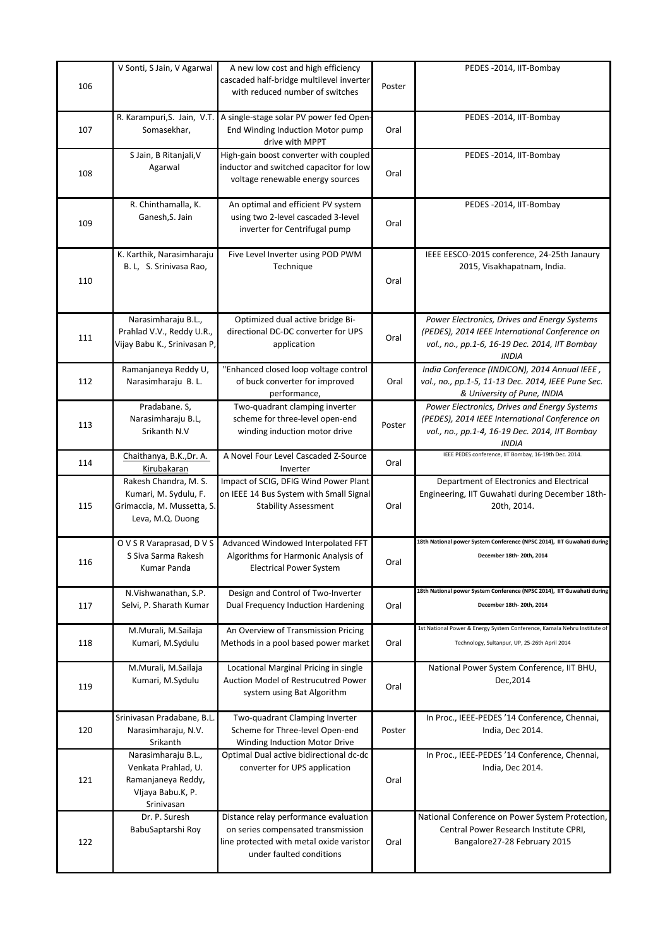| 106 | V Sonti, S Jain, V Agarwal                                                                          | A new low cost and high efficiency<br>cascaded half-bridge multilevel inverter<br>with reduced number of switches                                   | Poster | PEDES-2014, IIT-Bombay                                                                                                                                           |
|-----|-----------------------------------------------------------------------------------------------------|-----------------------------------------------------------------------------------------------------------------------------------------------------|--------|------------------------------------------------------------------------------------------------------------------------------------------------------------------|
| 107 | R. Karampuri, S. Jain, V.T.<br>Somasekhar,                                                          | A single-stage solar PV power fed Open-<br>End Winding Induction Motor pump<br>drive with MPPT                                                      | Oral   | PEDES -2014, IIT-Bombay                                                                                                                                          |
| 108 | S Jain, B Ritanjali, V<br>Agarwal                                                                   | High-gain boost converter with coupled<br>inductor and switched capacitor for low<br>voltage renewable energy sources                               | Oral   | PEDES -2014, IIT-Bombay                                                                                                                                          |
| 109 | R. Chinthamalla, K.<br>Ganesh, S. Jain                                                              | An optimal and efficient PV system<br>using two 2-level cascaded 3-level<br>inverter for Centrifugal pump                                           | Oral   | PEDES-2014, IIT-Bombay                                                                                                                                           |
| 110 | K. Karthik, Narasimharaju<br>B. L, S. Srinivasa Rao,                                                | Five Level Inverter using POD PWM<br>Technique                                                                                                      | Oral   | IEEE EESCO-2015 conference, 24-25th Janaury<br>2015, Visakhapatnam, India.                                                                                       |
| 111 | Narasimharaju B.L.,<br>Prahlad V.V., Reddy U.R.,<br>Vijay Babu K., Srinivasan P,                    | Optimized dual active bridge Bi-<br>directional DC-DC converter for UPS<br>application                                                              | Oral   | Power Electronics, Drives and Energy Systems<br>(PEDES), 2014 IEEE International Conference on<br>vol., no., pp.1-6, 16-19 Dec. 2014, IIT Bombay<br><b>INDIA</b> |
| 112 | Ramanjaneya Reddy U,<br>Narasimharaju B. L.                                                         | "Enhanced closed loop voltage control<br>of buck converter for improved<br>performance,                                                             | Oral   | India Conference (INDICON), 2014 Annual IEEE,<br>vol., no., pp.1-5, 11-13 Dec. 2014, IEEE Pune Sec.<br>& University of Pune, INDIA                               |
| 113 | Pradabane. S,<br>Narasimharaju B.L,<br>Srikanth N.V                                                 | Two-quadrant clamping inverter<br>scheme for three-level open-end<br>winding induction motor drive                                                  | Poster | Power Electronics, Drives and Energy Systems<br>(PEDES), 2014 IEEE International Conference on<br>vol., no., pp.1-4, 16-19 Dec. 2014, IIT Bombay<br>INDIA        |
| 114 | Chaithanya, B.K., Dr. A.<br>Kirubakaran                                                             | A Novel Four Level Cascaded Z-Source<br>Inverter                                                                                                    | Oral   | IEEE PEDES conference, IIT Bombay, 16-19th Dec. 2014.                                                                                                            |
| 115 | Rakesh Chandra, M. S.<br>Kumari, M. Sydulu, F.<br>Grimaccia, M. Mussetta, S.<br>Leva, M.Q. Duong    | Impact of SCIG, DFIG Wind Power Plant<br>on IEEE 14 Bus System with Small Signal<br><b>Stability Assessment</b>                                     | Oral   | Department of Electronics and Electrical<br>Engineering, IIT Guwahati during December 18th-<br>20th, 2014.                                                       |
| 116 | O V S R Varaprasad, D V S<br>S Siva Sarma Rakesh<br>Kumar Panda                                     | Advanced Windowed Interpolated FFT<br>Algorithms for Harmonic Analysis of<br>Electrical Power System                                                | Oral   | 18th National power System Conference (NPSC 2014), IIT Guwahati during<br>December 18th-20th, 2014                                                               |
| 117 | N.Vishwanathan, S.P.<br>Selvi, P. Sharath Kumar                                                     | Design and Control of Two-Inverter<br>Dual Frequency Induction Hardening                                                                            | Oral   | 18th National power System Conference (NPSC 2014), IIT Guwahati during<br>December 18th-20th, 2014                                                               |
| 118 | M.Murali, M.Sailaja<br>Kumari, M.Sydulu                                                             | An Overview of Transmission Pricing<br>Methods in a pool based power market                                                                         | Oral   | 1st National Power & Energy System Conference, Kamala Nehru Institute of<br>Technology, Sultanpur, UP, 25-26th April 2014                                        |
| 119 | M.Murali, M.Sailaja<br>Kumari, M.Sydulu                                                             | Locational Marginal Pricing in single<br>Auction Model of Restrucutred Power<br>system using Bat Algorithm                                          | Oral   | National Power System Conference, IIT BHU,<br>Dec, 2014                                                                                                          |
| 120 | Srinivasan Pradabane, B.L.<br>Narasimharaju, N.V.<br>Srikanth                                       | Two-quadrant Clamping Inverter<br>Scheme for Three-level Open-end<br>Winding Induction Motor Drive                                                  | Poster | In Proc., IEEE-PEDES '14 Conference, Chennai,<br>India, Dec 2014.                                                                                                |
| 121 | Narasimharaju B.L.,<br>Venkata Prahlad, U.<br>Ramanjaneya Reddy,<br>Vljaya Babu.K, P.<br>Srinivasan | Optimal Dual active bidirectional dc-dc<br>converter for UPS application                                                                            | Oral   | In Proc., IEEE-PEDES '14 Conference, Chennai,<br>India, Dec 2014.                                                                                                |
| 122 | Dr. P. Suresh<br>BabuSaptarshi Roy                                                                  | Distance relay performance evaluation<br>on series compensated transmission<br>line protected with metal oxide varistor<br>under faulted conditions | Oral   | National Conference on Power System Protection,<br>Central Power Research Institute CPRI,<br>Bangalore27-28 February 2015                                        |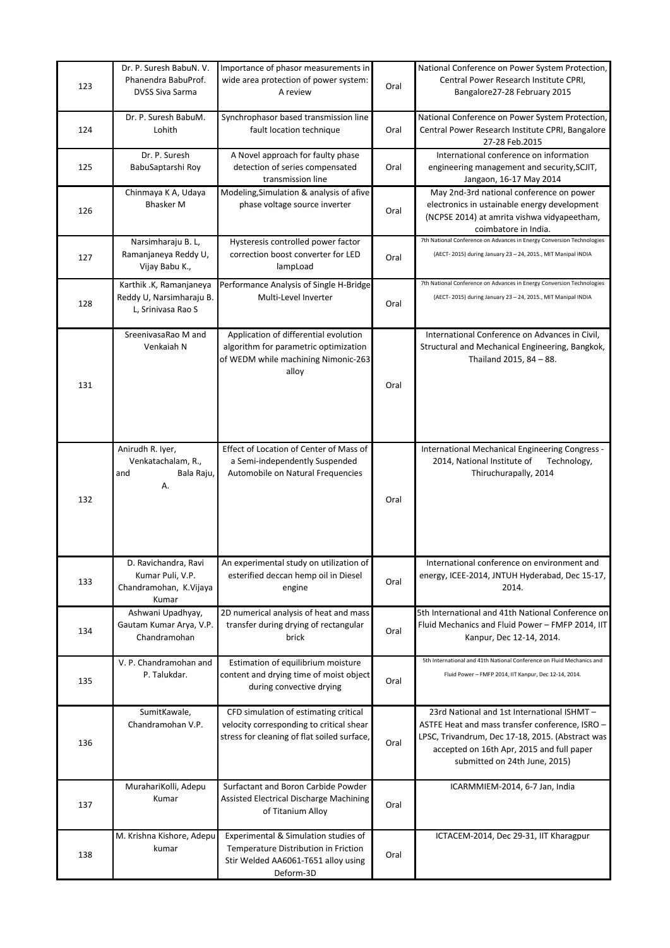| 123 | Dr. P. Suresh BabuN. V.<br>Phanendra BabuProf.<br>DVSS Siva Sarma           | Importance of phasor measurements in<br>wide area protection of power system:<br>A review                                        | Oral | National Conference on Power System Protection,<br>Central Power Research Institute CPRI,<br>Bangalore27-28 February 2015                                                                                                       |
|-----|-----------------------------------------------------------------------------|----------------------------------------------------------------------------------------------------------------------------------|------|---------------------------------------------------------------------------------------------------------------------------------------------------------------------------------------------------------------------------------|
| 124 | Dr. P. Suresh BabuM.<br>Lohith                                              | Synchrophasor based transmission line<br>fault location technique                                                                | Oral | National Conference on Power System Protection,<br>Central Power Research Institute CPRI, Bangalore<br>27-28 Feb.2015                                                                                                           |
| 125 | Dr. P. Suresh<br>BabuSaptarshi Roy                                          | A Novel approach for faulty phase<br>detection of series compensated<br>transmission line                                        | Oral | International conference on information<br>engineering management and security, SCJIT,<br>Jangaon, 16-17 May 2014                                                                                                               |
| 126 | Chinmaya K A, Udaya<br><b>Bhasker M</b>                                     | Modeling, Simulation & analysis of afive<br>phase voltage source inverter                                                        | Oral | May 2nd-3rd national conference on power<br>electronics in ustainable energy development<br>(NCPSE 2014) at amrita vishwa vidyapeetham,<br>coimbatore in India.                                                                 |
| 127 | Narsimharaju B. L,<br>Ramanjaneya Reddy U,<br>Vijay Babu K.,                | Hysteresis controlled power factor<br>correction boost converter for LED<br>lampLoad                                             | Oral | 7th National Conference on Advances in Energy Conversion Technologies<br>(AECT-2015) during January 23 - 24, 2015., MIT Manipal INDIA                                                                                           |
| 128 | Karthik .K, Ramanjaneya<br>Reddy U, Narsimharaju B.<br>L, Srinivasa Rao S   | Performance Analysis of Single H-Bridge<br>Multi-Level Inverter                                                                  | Oral | 7th National Conference on Advances in Energy Conversion Technologies<br>(AECT-2015) during January 23 - 24, 2015., MIT Manipal INDIA                                                                                           |
| 131 | SreenivasaRao M and<br>Venkaiah N                                           | Application of differential evolution<br>algorithm for parametric optimization<br>of WEDM while machining Nimonic-263<br>alloy   | Oral | International Conference on Advances in Civil,<br>Structural and Mechanical Engineering, Bangkok,<br>Thailand 2015, 84 - 88.                                                                                                    |
| 132 | Anirudh R. Iyer,<br>Venkatachalam, R.,<br>and<br>Bala Raju,<br>А.           | Effect of Location of Center of Mass of<br>a Semi-independently Suspended<br>Automobile on Natural Frequencies                   | Oral | International Mechanical Engineering Congress -<br>2014, National Institute of<br>Technology,<br>Thiruchurapally, 2014                                                                                                          |
| 133 | D. Ravichandra, Ravi<br>Kumar Puli, V.P.<br>Chandramohan, K.Vijaya<br>Kumar | An experimental study on utilization of<br>esterified deccan hemp oil in Diesel<br>engine                                        | Oral | International conference on environment and<br>energy, ICEE-2014, JNTUH Hyderabad, Dec 15-17,<br>2014.                                                                                                                          |
| 134 | Ashwani Upadhyay,<br>Gautam Kumar Arya, V.P.<br>Chandramohan                | 2D numerical analysis of heat and mass<br>transfer during drying of rectangular<br>brick                                         | Oral | 5th International and 41th National Conference on<br>Fluid Mechanics and Fluid Power - FMFP 2014, IIT<br>Kanpur, Dec 12-14, 2014.                                                                                               |
| 135 | V. P. Chandramohan and<br>P. Talukdar.                                      | Estimation of equilibrium moisture<br>content and drying time of moist object<br>during convective drying                        | Oral | 5th International and 41th National Conference on Fluid Mechanics and<br>Fluid Power - FMFP 2014, IIT Kanpur, Dec 12-14, 2014.                                                                                                  |
| 136 | SumitKawale,<br>Chandramohan V.P.                                           | CFD simulation of estimating critical<br>velocity corresponding to critical shear<br>stress for cleaning of flat soiled surface, | Oral | 23rd National and 1st International ISHMT-<br>ASTFE Heat and mass transfer conference, ISRO -<br>LPSC, Trivandrum, Dec 17-18, 2015. (Abstract was<br>accepted on 16th Apr, 2015 and full paper<br>submitted on 24th June, 2015) |
| 137 | MurahariKolli, Adepu<br>Kumar                                               | Surfactant and Boron Carbide Powder<br>Assisted Electrical Discharge Machining<br>of Titanium Alloy                              | Oral | ICARMMIEM-2014, 6-7 Jan, India                                                                                                                                                                                                  |
| 138 | M. Krishna Kishore, Adepu<br>kumar                                          | Experimental & Simulation studies of<br>Temperature Distribution in Friction<br>Stir Welded AA6061-T651 alloy using<br>Deform-3D | Oral | ICTACEM-2014, Dec 29-31, IIT Kharagpur                                                                                                                                                                                          |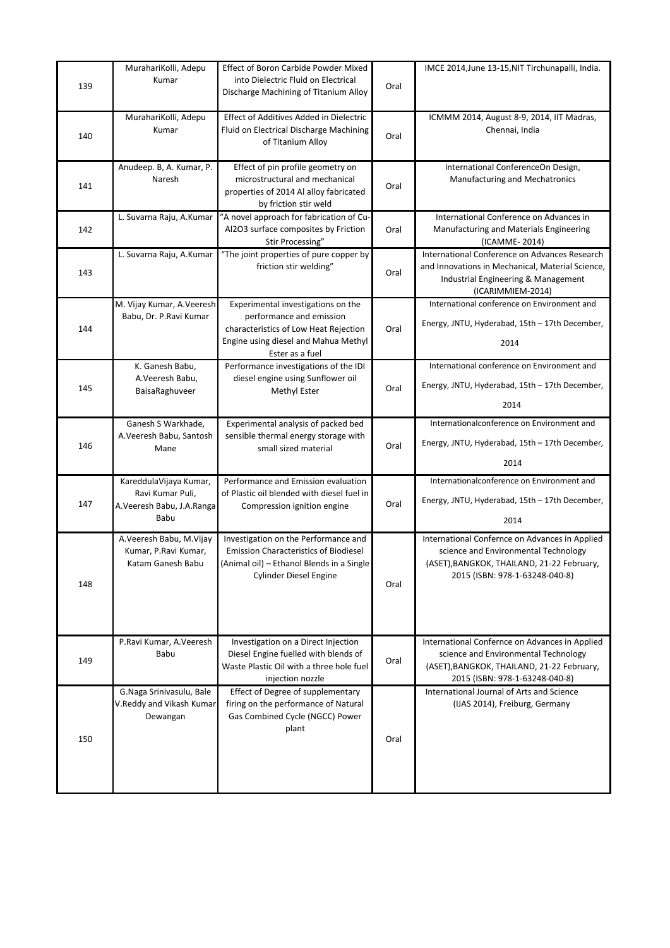| 139 | MurahariKolli, Adepu<br>Kumar                                                   | Effect of Boron Carbide Powder Mixed<br>into Dielectric Fluid on Electrical<br>Discharge Machining of Titanium Alloy                                               | Oral | IMCE 2014, June 13-15, NIT Tirchunapalli, India.                                                                                                                       |
|-----|---------------------------------------------------------------------------------|--------------------------------------------------------------------------------------------------------------------------------------------------------------------|------|------------------------------------------------------------------------------------------------------------------------------------------------------------------------|
| 140 | MurahariKolli, Adepu<br>Kumar                                                   | Effect of Additives Added in Dielectric<br>Fluid on Electrical Discharge Machining<br>of Titanium Alloy                                                            | Oral | ICMMM 2014, August 8-9, 2014, IIT Madras,<br>Chennai, India                                                                                                            |
| 141 | Anudeep. B, A. Kumar, P.<br>Naresh                                              | Effect of pin profile geometry on<br>microstructural and mechanical<br>properties of 2014 Al alloy fabricated<br>by friction stir weld                             | Oral | International ConferenceOn Design,<br><b>Manufacturing and Mechatronics</b>                                                                                            |
| 142 | L. Suvarna Raju, A.Kumar                                                        | "A novel approach for fabrication of Cu-<br>Al2O3 surface composites by Friction<br>Stir Processing"                                                               | Oral | International Conference on Advances in<br>Manufacturing and Materials Engineering<br>(ICAMME- 2014)                                                                   |
| 143 | L. Suvarna Raju, A.Kumar                                                        | "The joint properties of pure copper by<br>friction stir welding"                                                                                                  | Oral | International Conference on Advances Research<br>and Innovations in Mechanical, Material Science,<br>Industrial Engineering & Management<br>(ICARIMMIEM-2014)          |
| 144 | M. Vijay Kumar, A. Veeresh<br>Babu, Dr. P.Ravi Kumar                            | Experimental investigations on the<br>performance and emission<br>characteristics of Low Heat Rejection<br>Engine using diesel and Mahua Methyl<br>Ester as a fuel | Oral | International conference on Environment and<br>Energy, JNTU, Hyderabad, 15th - 17th December,<br>2014                                                                  |
| 145 | K. Ganesh Babu,<br>A.Veeresh Babu,<br>BaisaRaghuveer                            | Performance investigations of the IDI<br>diesel engine using Sunflower oil<br>Methyl Ester                                                                         | Oral | International conference on Environment and<br>Energy, JNTU, Hyderabad, 15th - 17th December,<br>2014                                                                  |
| 146 | Ganesh S Warkhade,<br>A.Veeresh Babu, Santosh<br>Mane                           | Experimental analysis of packed bed<br>sensible thermal energy storage with<br>small sized material                                                                | Oral | Internationalconference on Environment and<br>Energy, JNTU, Hyderabad, 15th - 17th December,<br>2014                                                                   |
| 147 | KareddulaVijaya Kumar,<br>Ravi Kumar Puli,<br>A.Veeresh Babu, J.A.Ranga<br>Babu | Performance and Emission evaluation<br>of Plastic oil blended with diesel fuel in<br>Compression ignition engine                                                   | Oral | Internationalconference on Environment and<br>Energy, JNTU, Hyderabad, 15th - 17th December,<br>2014                                                                   |
| 148 | A.Veeresh Babu, M.Vijay<br>Kumar, P.Ravi Kumar,<br>Katam Ganesh Babu            | Investigation on the Performance and<br><b>Emission Characteristics of Biodiesel</b><br>(Animal oil) - Ethanol Blends in a Single<br><b>Cylinder Diesel Engine</b> | Oral | International Confernce on Advances in Applied<br>science and Environmental Technology<br>(ASET), BANGKOK, THAILAND, 21-22 February,<br>2015 (ISBN: 978-1-63248-040-8) |
| 149 | P.Ravi Kumar, A.Veeresh<br>Babu                                                 | Investigation on a Direct Injection<br>Diesel Engine fuelled with blends of<br>Waste Plastic Oil with a three hole fuel<br>injection nozzle                        | Oral | International Confernce on Advances in Applied<br>science and Environmental Technology<br>(ASET), BANGKOK, THAILAND, 21-22 February,<br>2015 (ISBN: 978-1-63248-040-8) |
| 150 | G.Naga Srinivasulu, Bale<br>V.Reddy and Vikash Kumar<br>Dewangan                | Effect of Degree of supplementary<br>firing on the performance of Natural<br>Gas Combined Cycle (NGCC) Power<br>plant                                              | Oral | International Journal of Arts and Science<br>(IJAS 2014), Freiburg, Germany                                                                                            |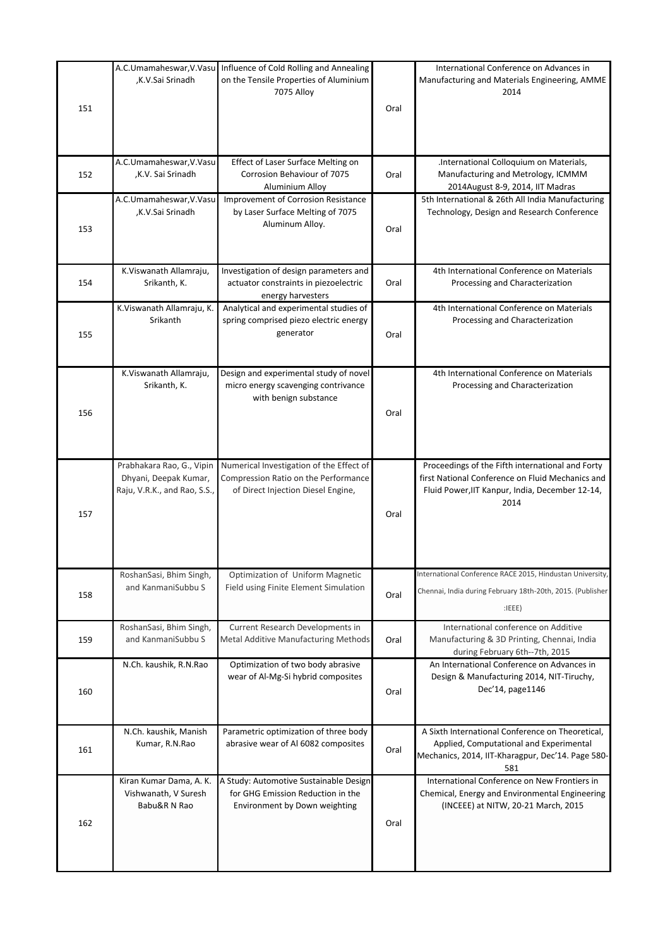| 151 | ,K.V.Sai Srinadh                                                                   | A.C.Umamaheswar, V.Vasu Influence of Cold Rolling and Annealing<br>on the Tensile Properties of Aluminium<br>7075 Alloy | Oral | International Conference on Advances in<br>Manufacturing and Materials Engineering, AMME<br>2014                                                                |
|-----|------------------------------------------------------------------------------------|-------------------------------------------------------------------------------------------------------------------------|------|-----------------------------------------------------------------------------------------------------------------------------------------------------------------|
|     |                                                                                    |                                                                                                                         |      |                                                                                                                                                                 |
| 152 | A.C.Umamaheswar, V.Vasu<br>,K.V. Sai Srinadh                                       | Effect of Laser Surface Melting on<br>Corrosion Behaviour of 7075<br>Aluminium Alloy                                    | Oral | .International Colloquium on Materials,<br>Manufacturing and Metrology, ICMMM<br>2014August 8-9, 2014, IIT Madras                                               |
| 153 | A.C.Umamaheswar, V.Vasu<br>,K.V.Sai Srinadh                                        | Improvement of Corrosion Resistance<br>by Laser Surface Melting of 7075<br>Aluminum Alloy.                              | Oral | 5th International & 26th All India Manufacturing<br>Technology, Design and Research Conference                                                                  |
| 154 | K.Viswanath Allamraju,<br>Srikanth, K.                                             | Investigation of design parameters and<br>actuator constraints in piezoelectric<br>energy harvesters                    | Oral | 4th International Conference on Materials<br>Processing and Characterization                                                                                    |
| 155 | K.Viswanath Allamraju, K.<br>Srikanth                                              | Analytical and experimental studies of<br>spring comprised piezo electric energy<br>generator                           | Oral | 4th International Conference on Materials<br>Processing and Characterization                                                                                    |
| 156 | K.Viswanath Allamraju,<br>Srikanth, K.                                             | Design and experimental study of novel<br>micro energy scavenging contrivance<br>with benign substance                  | Oral | 4th International Conference on Materials<br>Processing and Characterization                                                                                    |
| 157 | Prabhakara Rao, G., Vipin<br>Dhyani, Deepak Kumar,<br>Raju, V.R.K., and Rao, S.S., | Numerical Investigation of the Effect of<br>Compression Ratio on the Performance<br>of Direct Injection Diesel Engine,  | Oral | Proceedings of the Fifth international and Forty<br>first National Conference on Fluid Mechanics and<br>Fluid Power, IIT Kanpur, India, December 12-14,<br>2014 |
| 158 | RoshanSasi, Bhim Singh,<br>and KanmaniSubbu S                                      | Optimization of Uniform Magnetic<br>Field using Finite Element Simulation                                               | Oral | International Conference RACE 2015, Hindustan University,<br>Chennai, India during February 18th-20th, 2015. (Publisher<br>:IEEE)                               |
| 159 | RoshanSasi, Bhim Singh,<br>and KanmaniSubbu S                                      | Current Research Developments in<br>Metal Additive Manufacturing Methods                                                | Oral | International conference on Additive<br>Manufacturing & 3D Printing, Chennai, India<br>during February 6th--7th, 2015                                           |
| 160 | N.Ch. kaushik, R.N.Rao                                                             | Optimization of two body abrasive<br>wear of Al-Mg-Si hybrid composites                                                 | Oral | An International Conference on Advances in<br>Design & Manufacturing 2014, NIT-Tiruchy,<br>Dec'14, page1146                                                     |
| 161 | N.Ch. kaushik, Manish<br>Kumar, R.N.Rao                                            | Parametric optimization of three body<br>abrasive wear of Al 6082 composites                                            | Oral | A Sixth International Conference on Theoretical,<br>Applied, Computational and Experimental<br>Mechanics, 2014, IIT-Kharagpur, Dec'14. Page 580-<br>581         |
| 162 | Kiran Kumar Dama, A. K.<br>Vishwanath, V Suresh<br>Babu&R N Rao                    | A Study: Automotive Sustainable Design<br>for GHG Emission Reduction in the<br>Environment by Down weighting            | Oral | International Conference on New Frontiers in<br>Chemical, Energy and Environmental Engineering<br>(INCEEE) at NITW, 20-21 March, 2015                           |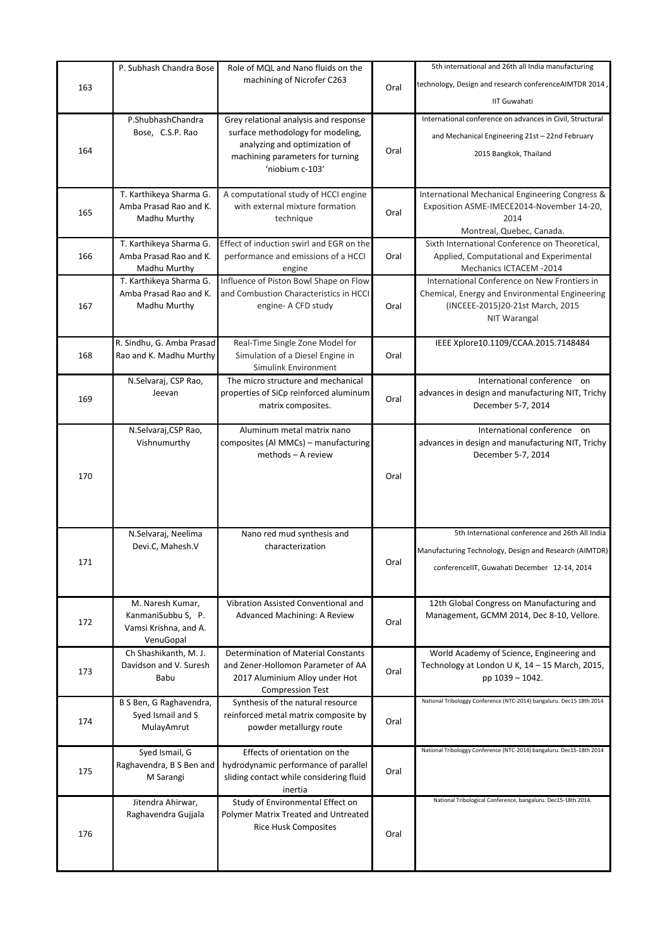|     | P. Subhash Chandra Bose                      | Role of MQL and Nano fluids on the                                           |      | 5th international and 26th all India manufacturing                              |
|-----|----------------------------------------------|------------------------------------------------------------------------------|------|---------------------------------------------------------------------------------|
| 163 |                                              | machining of Nicrofer C263                                                   | Oral | technology, Design and research conferenceAIMTDR 2014                           |
|     |                                              |                                                                              |      | <b>IIT Guwahati</b>                                                             |
|     | P.ShubhashChandra                            | Grey relational analysis and response                                        |      | International conference on advances in Civil, Structural                       |
|     | Bose, C.S.P. Rao                             | surface methodology for modeling,                                            |      |                                                                                 |
|     |                                              | analyzing and optimization of                                                |      | and Mechanical Engineering 21st - 22nd February                                 |
| 164 |                                              | machining parameters for turning                                             | Oral | 2015 Bangkok, Thailand                                                          |
|     |                                              | 'niobium c-103'                                                              |      |                                                                                 |
|     | T. Karthikeya Sharma G.                      | A computational study of HCCI engine                                         |      | International Mechanical Engineering Congress &                                 |
|     | Amba Prasad Rao and K.                       | with external mixture formation                                              |      | Exposition ASME-IMECE2014-November 14-20,                                       |
| 165 | Madhu Murthy                                 | technique                                                                    | Oral | 2014                                                                            |
|     |                                              |                                                                              |      | Montreal, Quebec, Canada.                                                       |
|     | T. Karthikeya Sharma G.                      | Effect of induction swirl and EGR on the                                     |      | Sixth International Conference on Theoretical,                                  |
| 166 | Amba Prasad Rao and K.<br>Madhu Murthy       | performance and emissions of a HCCI<br>engine                                | Oral | Applied, Computational and Experimental<br>Mechanics ICTACEM -2014              |
|     | T. Karthikeya Sharma G.                      | Influence of Piston Bowl Shape on Flow                                       |      | International Conference on New Frontiers in                                    |
|     | Amba Prasad Rao and K.                       | and Combustion Characteristics in HCCI                                       |      | Chemical, Energy and Environmental Engineering                                  |
| 167 | Madhu Murthy                                 | engine- A CFD study                                                          | Oral | (INCEEE-2015)20-21st March, 2015                                                |
|     |                                              |                                                                              |      | NIT Warangal                                                                    |
|     | R. Sindhu, G. Amba Prasad                    | Real-Time Single Zone Model for                                              |      | IEEE Xplore10.1109/CCAA.2015.7148484                                            |
| 168 | Rao and K. Madhu Murthy                      | Simulation of a Diesel Engine in                                             | Oral |                                                                                 |
|     |                                              | Simulink Environment                                                         |      |                                                                                 |
|     | N.Selvaraj, CSP Rao,<br>Jeevan               | The micro structure and mechanical<br>properties of SiCp reinforced aluminum |      | International conference on<br>advances in design and manufacturing NIT, Trichy |
| 169 |                                              | matrix composites.                                                           | Oral | December 5-7, 2014                                                              |
|     |                                              |                                                                              |      |                                                                                 |
|     | N.Selvaraj, CSP Rao,                         | Aluminum metal matrix nano                                                   |      | International conference on                                                     |
|     | Vishnumurthy                                 | composites (Al MMCs) – manufacturing                                         |      | advances in design and manufacturing NIT, Trichy                                |
|     |                                              | methods - A review                                                           |      | December 5-7, 2014                                                              |
| 170 |                                              |                                                                              | Oral |                                                                                 |
|     |                                              |                                                                              |      |                                                                                 |
|     |                                              |                                                                              |      |                                                                                 |
|     |                                              |                                                                              |      |                                                                                 |
|     | N.Selvaraj, Neelima<br>Devi.C, Mahesh.V      | Nano red mud synthesis and<br>characterization                               |      | 5th International conference and 26th All India                                 |
|     |                                              |                                                                              |      | Manufacturing Technology, Design and Research (AIMTDR)                          |
| 171 |                                              |                                                                              | Oral | conferencellT, Guwahati December 12-14, 2014                                    |
|     |                                              |                                                                              |      |                                                                                 |
|     | M. Naresh Kumar,                             | Vibration Assisted Conventional and                                          |      | 12th Global Congress on Manufacturing and                                       |
| 172 | KanmaniSubbu S, P.                           | Advanced Machining: A Review                                                 | Oral | Management, GCMM 2014, Dec 8-10, Vellore.                                       |
|     | Vamsi Krishna, and A.                        |                                                                              |      |                                                                                 |
|     | VenuGopal<br>Ch Shashikanth, M. J.           | Determination of Material Constants                                          |      | World Academy of Science, Engineering and                                       |
|     | Davidson and V. Suresh                       | and Zener-Hollomon Parameter of AA                                           |      | Technology at London U K, 14 - 15 March, 2015,                                  |
| 173 | Babu                                         | 2017 Aluminium Alloy under Hot                                               | Oral | pp 1039 - 1042.                                                                 |
|     |                                              | <b>Compression Test</b>                                                      |      |                                                                                 |
|     | B S Ben, G Raghavendra,<br>Syed Ismail and S | Synthesis of the natural resource                                            |      | National Tribologgy Conference (NTC-2014) bangaluru. Dec15 18th 2014            |
| 174 | MulayAmrut                                   | reinforced metal matrix composite by<br>powder metallurgy route              | Oral |                                                                                 |
|     |                                              |                                                                              |      |                                                                                 |
|     | Syed Ismail, G                               | Effects of orientation on the                                                |      | National Tribologgy Conference (NTC-2014) bangaluru. Dec15-18th 2014            |
| 175 | Raghavendra, B S Ben and                     | hydrodynamic performance of parallel                                         | Oral |                                                                                 |
|     | M Sarangi                                    | sliding contact while considering fluid<br>inertia                           |      |                                                                                 |
|     | Jitendra Ahirwar,                            | Study of Environmental Effect on                                             |      | National Tribological Conference, bangaluru. Dec15-18th 2014.                   |
|     | Raghavendra Gujjala                          | Polymer Matrix Treated and Untreated                                         |      |                                                                                 |
| 176 |                                              | <b>Rice Husk Composites</b>                                                  | Oral |                                                                                 |
|     |                                              |                                                                              |      |                                                                                 |
|     |                                              |                                                                              |      |                                                                                 |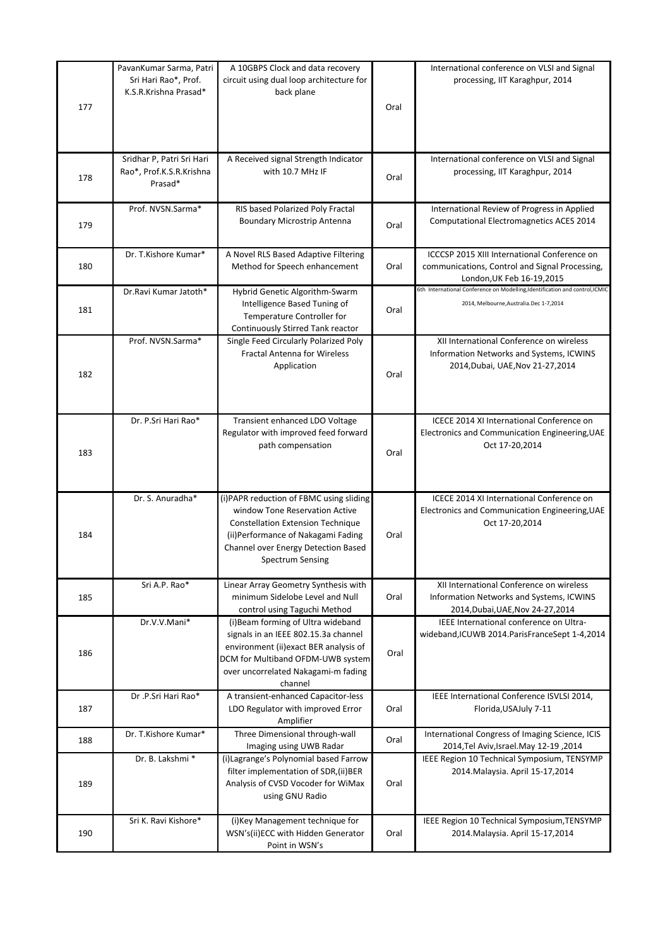| 177 | PavanKumar Sarma, Patri<br>Sri Hari Rao*, Prof.<br>K.S.R.Krishna Prasad* | A 10GBPS Clock and data recovery<br>circuit using dual loop architecture for<br>back plane                                                                                                                              | Oral | International conference on VLSI and Signal<br>processing, IIT Karaghpur, 2014                                               |
|-----|--------------------------------------------------------------------------|-------------------------------------------------------------------------------------------------------------------------------------------------------------------------------------------------------------------------|------|------------------------------------------------------------------------------------------------------------------------------|
| 178 | Sridhar P, Patri Sri Hari<br>Rao*, Prof.K.S.R.Krishna<br>Prasad*         | A Received signal Strength Indicator<br>with 10.7 MHz IF                                                                                                                                                                | Oral | International conference on VLSI and Signal<br>processing, IIT Karaghpur, 2014                                               |
| 179 | Prof. NVSN.Sarma*                                                        | RIS based Polarized Poly Fractal<br>Boundary Microstrip Antenna                                                                                                                                                         | Oral | International Review of Progress in Applied<br><b>Computational Electromagnetics ACES 2014</b>                               |
| 180 | Dr. T.Kishore Kumar*                                                     | A Novel RLS Based Adaptive Filtering<br>Method for Speech enhancement                                                                                                                                                   | Oral | ICCCSP 2015 XIII International Conference on<br>communications, Control and Signal Processing,<br>London, UK Feb 16-19, 2015 |
| 181 | Dr.Ravi Kumar Jatoth*                                                    | Hybrid Genetic Algorithm-Swarm<br>Intelligence Based Tuning of<br>Temperature Controller for<br>Continuously Stirred Tank reactor                                                                                       | Oral | 6th International Conference on Modelling, Identification and control, ICMIC<br>2014, Melbourne, Australia. Dec 1-7,2014     |
| 182 | Prof. NVSN.Sarma*                                                        | Single Feed Circularly Polarized Poly<br><b>Fractal Antenna for Wireless</b><br>Application                                                                                                                             | Oral | XII International Conference on wireless<br>Information Networks and Systems, ICWINS<br>2014, Dubai, UAE, Nov 21-27, 2014    |
| 183 | Dr. P.Sri Hari Rao*                                                      | Transient enhanced LDO Voltage<br>Regulator with improved feed forward<br>path compensation                                                                                                                             | Oral | ICECE 2014 XI International Conference on<br>Electronics and Communication Engineering, UAE<br>Oct 17-20,2014                |
| 184 | Dr. S. Anuradha*                                                         | (i)PAPR reduction of FBMC using sliding<br>window Tone Reservation Active<br><b>Constellation Extension Technique</b><br>(ii) Performance of Nakagami Fading<br>Channel over Energy Detection Based<br>Spectrum Sensing | Oral | ICECE 2014 XI International Conference on<br>Electronics and Communication Engineering, UAE<br>Oct 17-20,2014                |
| 185 | Sri A.P. Rao*                                                            | Linear Array Geometry Synthesis with<br>minimum Sidelobe Level and Null<br>control using Taguchi Method                                                                                                                 | Oral | XII International Conference on wireless<br>Information Networks and Systems, ICWINS<br>2014, Dubai, UAE, Nov 24-27, 2014    |
| 186 | Dr.V.V.Mani*                                                             | (i) Beam forming of Ultra wideband<br>signals in an IEEE 802.15.3a channel<br>environment (ii) exact BER analysis of<br>DCM for Multiband OFDM-UWB system<br>over uncorrelated Nakagami-m fading<br>channel             | Oral | IEEE International conference on Ultra-<br>wideband, ICUWB 2014. ParisFranceSept 1-4, 2014                                   |
| 187 | Dr.P.Sri Hari Rao*                                                       | A transient-enhanced Capacitor-less<br>LDO Regulator with improved Error<br>Amplifier                                                                                                                                   | Oral | IEEE International Conference ISVLSI 2014,<br>Florida, USAJuly 7-11                                                          |
| 188 | Dr. T.Kishore Kumar*                                                     | Three Dimensional through-wall<br>Imaging using UWB Radar                                                                                                                                                               | Oral | International Congress of Imaging Science, ICIS<br>2014, 2014 2014 Nov. Jsrael. May                                          |
| 189 | Dr. B. Lakshmi*                                                          | (i) Lagrange's Polynomial based Farrow<br>filter implementation of SDR,(ii)BER<br>Analysis of CVSD Vocoder for WiMax<br>using GNU Radio                                                                                 | Oral | IEEE Region 10 Technical Symposium, TENSYMP<br>2014. Malaysia. April 15-17, 2014                                             |
| 190 | Sri K. Ravi Kishore*                                                     | (i) Key Management technique for<br>WSN's(ii)ECC with Hidden Generator<br>Point in WSN's                                                                                                                                | Oral | IEEE Region 10 Technical Symposium, TENSYMP<br>2014. Malaysia. April 15-17, 2014                                             |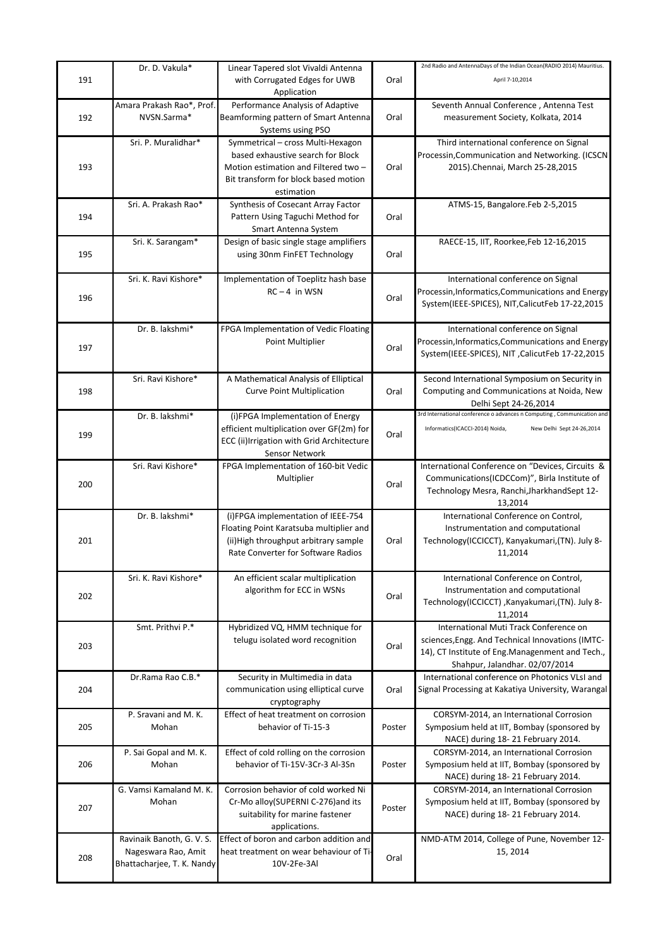|     | Dr. D. Vakula*             | Linear Tapered slot Vivaldi Antenna        |        | 2nd Radio and AntennaDays of the Indian Ocean(RADIO 2014) Mauritius.   |
|-----|----------------------------|--------------------------------------------|--------|------------------------------------------------------------------------|
| 191 |                            | with Corrugated Edges for UWB              | Oral   | April 7-10,2014                                                        |
|     |                            | Application                                |        |                                                                        |
|     |                            |                                            |        |                                                                        |
|     | Amara Prakash Rao*, Prof.  | Performance Analysis of Adaptive           |        | Seventh Annual Conference, Antenna Test                                |
| 192 | NVSN.Sarma*                | Beamforming pattern of Smart Antenna       | Oral   | measurement Society, Kolkata, 2014                                     |
|     |                            | Systems using PSO                          |        |                                                                        |
|     | Sri. P. Muralidhar*        | Symmetrical - cross Multi-Hexagon          |        | Third international conference on Signal                               |
|     |                            | based exhaustive search for Block          |        | Processin, Communication and Networking. (ICSCN                        |
|     |                            |                                            |        |                                                                        |
| 193 |                            | Motion estimation and Filtered two -       | Oral   | 2015). Chennai, March 25-28, 2015                                      |
|     |                            | Bit transform for block based motion       |        |                                                                        |
|     |                            | estimation                                 |        |                                                                        |
|     | Sri. A. Prakash Rao*       | Synthesis of Cosecant Array Factor         |        | ATMS-15, Bangalore.Feb 2-5,2015                                        |
| 194 |                            | Pattern Using Taguchi Method for           | Oral   |                                                                        |
|     |                            | Smart Antenna System                       |        |                                                                        |
|     | Sri. K. Sarangam*          | Design of basic single stage amplifiers    |        | RAECE-15, IIT, Roorkee, Feb 12-16, 2015                                |
|     |                            |                                            |        |                                                                        |
| 195 |                            | using 30nm FinFET Technology               | Oral   |                                                                        |
|     |                            |                                            |        |                                                                        |
|     | Sri. K. Ravi Kishore*      | Implementation of Toeplitz hash base       |        | International conference on Signal                                     |
|     |                            | $RC - 4$ in WSN                            |        | Processin, Informatics, Communications and Energy                      |
| 196 |                            |                                            | Oral   | System(IEEE-SPICES), NIT, CalicutFeb 17-22, 2015                       |
|     |                            |                                            |        |                                                                        |
|     |                            |                                            |        |                                                                        |
|     | Dr. B. lakshmi*            | FPGA Implementation of Vedic Floating      |        | International conference on Signal                                     |
| 197 |                            | Point Multiplier                           | Oral   | Processin, Informatics, Communications and Energy                      |
|     |                            |                                            |        | System(IEEE-SPICES), NIT, CalicutFeb 17-22,2015                        |
|     |                            |                                            |        |                                                                        |
|     | Sri. Ravi Kishore*         | A Mathematical Analysis of Elliptical      |        | Second International Symposium on Security in                          |
| 198 |                            | <b>Curve Point Multiplication</b>          | Oral   | Computing and Communications at Noida, New                             |
|     |                            |                                            |        |                                                                        |
|     |                            |                                            |        | Delhi Sept 24-26,2014                                                  |
|     | Dr. B. lakshmi*            | (i)FPGA Implementation of Energy           |        | 3rd International conference o advances n Computing, Communication and |
|     |                            | efficient multiplication over GF(2m) for   |        | Informatics(ICACCI-2014) Noida,<br>New Delhi Sept 24-26,2014           |
| 199 |                            | ECC (ii) Irrigation with Grid Architecture | Oral   |                                                                        |
|     |                            | Sensor Network                             |        |                                                                        |
|     | Sri. Ravi Kishore*         | FPGA Implementation of 160-bit Vedic       |        | International Conference on "Devices, Circuits &                       |
|     |                            |                                            |        |                                                                        |
| 200 |                            | Multiplier                                 | Oral   | Communications(ICDCCom)", Birla Institute of                           |
|     |                            |                                            |        | Technology Mesra, Ranchi, Jharkhand Sept 12-                           |
|     |                            |                                            |        | 13,2014                                                                |
|     | Dr. B. lakshmi*            | (i)FPGA implementation of IEEE-754         |        | International Conference on Control,                                   |
|     |                            | Floating Point Karatsuba multiplier and    |        | Instrumentation and computational                                      |
| 201 |                            | (ii) High throughput arbitrary sample      | Oral   | Technology(ICCICCT), Kanyakumari, (TN). July 8-                        |
|     |                            |                                            |        |                                                                        |
|     |                            | Rate Converter for Software Radios         |        | 11,2014                                                                |
|     |                            |                                            |        |                                                                        |
|     | Sri. K. Ravi Kishore*      | An efficient scalar multiplication         |        | International Conference on Control,                                   |
|     |                            | algorithm for ECC in WSNs                  |        | Instrumentation and computational                                      |
| 202 |                            |                                            | Oral   | Technology(ICCICCT), Kanyakumari, (TN). July 8-                        |
|     |                            |                                            |        | 11,2014                                                                |
|     | Smt. Prithvi P.*           | Hybridized VQ, HMM technique for           |        | International Muti Track Conference on                                 |
|     |                            |                                            |        |                                                                        |
| 203 |                            | telugu isolated word recognition           | Oral   | sciences, Engg. And Technical Innovations (IMTC-                       |
|     |                            |                                            |        | 14), CT Institute of Eng.Managenment and Tech.,                        |
|     |                            |                                            |        | Shahpur, Jalandhar. 02/07/2014                                         |
|     | Dr.Rama Rao C.B.*          | Security in Multimedia in data             |        | International conference on Photonics VLsI and                         |
| 204 |                            | communication using elliptical curve       | Oral   | Signal Processing at Kakatiya University, Warangal                     |
|     |                            |                                            |        |                                                                        |
|     |                            | cryptography                               |        |                                                                        |
|     | P. Sravani and M. K.       | Effect of heat treatment on corrosion      |        | CORSYM-2014, an International Corrosion                                |
| 205 | Mohan                      | behavior of Ti-15-3                        | Poster | Symposium held at IIT, Bombay (sponsored by                            |
|     |                            |                                            |        | NACE) during 18-21 February 2014.                                      |
|     | P. Sai Gopal and M. K.     | Effect of cold rolling on the corrosion    |        | CORSYM-2014, an International Corrosion                                |
| 206 | Mohan                      | behavior of Ti-15V-3Cr-3 Al-3Sn            | Poster | Symposium held at IIT, Bombay (sponsored by                            |
|     |                            |                                            |        |                                                                        |
|     |                            |                                            |        | NACE) during 18-21 February 2014.                                      |
|     | G. Vamsi Kamaland M. K.    | Corrosion behavior of cold worked Ni       |        | CORSYM-2014, an International Corrosion                                |
| 207 | Mohan                      | Cr-Mo alloy(SUPERNI C-276) and its         |        | Symposium held at IIT, Bombay (sponsored by                            |
|     |                            | suitability for marine fastener            | Poster | NACE) during 18-21 February 2014.                                      |
|     |                            | applications.                              |        |                                                                        |
|     | Ravinaik Banoth, G. V. S.  | Effect of boron and carbon addition and    |        | NMD-ATM 2014, College of Pune, November 12-                            |
|     |                            |                                            |        |                                                                        |
| 208 | Nageswara Rao, Amit        | heat treatment on wear behaviour of Ti-    | Oral   | 15, 2014                                                               |
|     | Bhattacharjee, T. K. Nandy | 10V-2Fe-3Al                                |        |                                                                        |
|     |                            |                                            |        |                                                                        |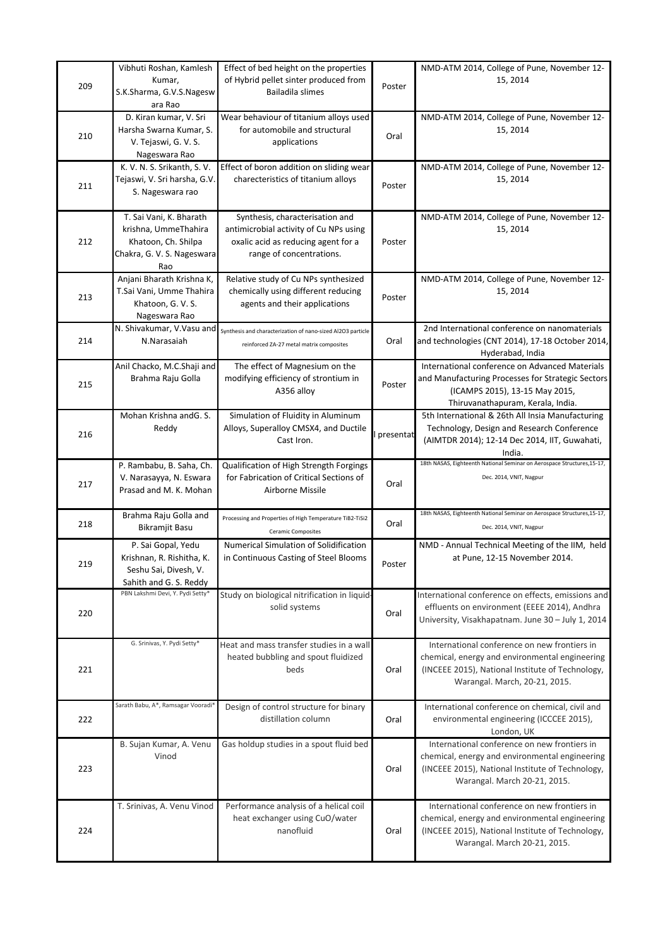|     | Vibhuti Roshan, Kamlesh            | Effect of bed height on the properties                      |           | NMD-ATM 2014, College of Pune, November 12-                             |
|-----|------------------------------------|-------------------------------------------------------------|-----------|-------------------------------------------------------------------------|
|     | Kumar,                             | of Hybrid pellet sinter produced from                       |           | 15, 2014                                                                |
| 209 | S.K.Sharma, G.V.S.Nagesw           | Bailadila slimes                                            | Poster    |                                                                         |
|     | ara Rao                            |                                                             |           |                                                                         |
|     | D. Kiran kumar, V. Sri             | Wear behaviour of titanium alloys used                      |           | NMD-ATM 2014, College of Pune, November 12-                             |
|     | Harsha Swarna Kumar, S.            | for automobile and structural                               |           | 15, 2014                                                                |
| 210 | V. Tejaswi, G. V. S.               | applications                                                | Oral      |                                                                         |
|     | Nageswara Rao                      |                                                             |           |                                                                         |
|     | K. V. N. S. Srikanth, S. V.        | Effect of boron addition on sliding wear                    |           | NMD-ATM 2014, College of Pune, November 12-                             |
|     | Tejaswi, V. Sri harsha, G.V.       | charecteristics of titanium alloys                          |           | 15, 2014                                                                |
| 211 | S. Nageswara rao                   |                                                             | Poster    |                                                                         |
|     |                                    |                                                             |           |                                                                         |
|     | T. Sai Vani, K. Bharath            | Synthesis, characterisation and                             |           | NMD-ATM 2014, College of Pune, November 12-                             |
|     | krishna, UmmeThahira               | antimicrobial activity of Cu NPs using                      |           | 15, 2014                                                                |
| 212 | Khatoon, Ch. Shilpa                | oxalic acid as reducing agent for a                         | Poster    |                                                                         |
|     | Chakra, G. V. S. Nageswara         | range of concentrations.                                    |           |                                                                         |
|     | Rao                                |                                                             |           |                                                                         |
|     | Anjani Bharath Krishna K,          | Relative study of Cu NPs synthesized                        |           | NMD-ATM 2014, College of Pune, November 12-                             |
|     | T.Sai Vani, Umme Thahira           | chemically using different reducing                         |           | 15, 2014                                                                |
| 213 | Khatoon, G. V. S.                  | agents and their applications                               | Poster    |                                                                         |
|     | Nageswara Rao                      |                                                             |           |                                                                         |
|     | N. Shivakumar, V.Vasu and          | Synthesis and characterization of nano-sized Al2O3 particle |           | 2nd International conference on nanomaterials                           |
| 214 | N.Narasaiah                        |                                                             | Oral      | and technologies (CNT 2014), 17-18 October 2014,                        |
|     |                                    | reinforced ZA-27 metal matrix composites                    |           | Hyderabad, India                                                        |
|     | Anil Chacko, M.C.Shaji and         | The effect of Magnesium on the                              |           | International conference on Advanced Materials                          |
|     | Brahma Raju Golla                  | modifying efficiency of strontium in                        |           | and Manufacturing Processes for Strategic Sectors                       |
| 215 |                                    | A356 alloy                                                  | Poster    | (ICAMPS 2015), 13-15 May 2015,                                          |
|     |                                    |                                                             |           | Thiruvanathapuram, Kerala, India.                                       |
|     | Mohan Krishna andG. S.             | Simulation of Fluidity in Aluminum                          |           | 5th International & 26th All Insia Manufacturing                        |
|     | Reddy                              | Alloys, Superalloy CMSX4, and Ductile                       |           | Technology, Design and Research Conference                              |
| 216 |                                    | Cast Iron.                                                  | presentat | (AIMTDR 2014); 12-14 Dec 2014, IIT, Guwahati,                           |
|     |                                    |                                                             |           | India.                                                                  |
|     | P. Rambabu, B. Saha, Ch.           | Qualification of High Strength Forgings                     |           | 18th NASAS, Eighteenth National Seminar on Aerospace Structures, 15-17, |
|     | V. Narasayya, N. Eswara            | for Fabrication of Critical Sections of                     |           | Dec. 2014, VNIT, Nagpur                                                 |
| 217 | Prasad and M. K. Mohan             | Airborne Missile                                            | Oral      |                                                                         |
|     |                                    |                                                             |           |                                                                         |
|     | Brahma Raju Golla and              | Processing and Properties of High Temperature TiB2-TiSi2    |           | 18th NASAS, Eighteenth National Seminar on Aerospace Structures, 15-17, |
| 218 | <b>Bikramjit Basu</b>              | <b>Ceramic Composites</b>                                   | Oral      | Dec. 2014, VNIT, Nagpur                                                 |
|     |                                    |                                                             |           |                                                                         |
|     | P. Sai Gopal, Yedu                 | Numerical Simulation of Solidification                      |           | NMD - Annual Technical Meeting of the IIM, held                         |
| 219 | Krishnan, R. Rishitha, K.          | in Continuous Casting of Steel Blooms                       | Poster    | at Pune, 12-15 November 2014.                                           |
|     | Seshu Sai, Divesh, V.              |                                                             |           |                                                                         |
|     | Sahith and G. S. Reddy             |                                                             |           |                                                                         |
|     |                                    |                                                             |           |                                                                         |
|     | PBN Lakshmi Devi, Y. Pydi Setty*   | Study on biological nitrification in liquid-                |           | International conference on effects, emissions and                      |
| 220 |                                    | solid systems                                               | Oral      | effluents on environment (EEEE 2014), Andhra                            |
|     |                                    |                                                             |           | University, Visakhapatnam. June 30 - July 1, 2014                       |
|     |                                    |                                                             |           |                                                                         |
|     | G. Srinivas, Y. Pydi Setty*        | Heat and mass transfer studies in a wall                    |           | International conference on new frontiers in                            |
|     |                                    | heated bubbling and spout fluidized                         |           | chemical, energy and environmental engineering                          |
| 221 |                                    | beds                                                        | Oral      | (INCEEE 2015), National Institute of Technology,                        |
|     |                                    |                                                             |           | Warangal. March, 20-21, 2015.                                           |
|     |                                    |                                                             |           |                                                                         |
|     | Sarath Babu, A*, Ramsagar Vooradi* | Design of control structure for binary                      |           | International conference on chemical, civil and                         |
| 222 |                                    | distillation column                                         | Oral      | environmental engineering (ICCCEE 2015),                                |
|     |                                    |                                                             |           | London, UK                                                              |
|     | B. Sujan Kumar, A. Venu            | Gas holdup studies in a spout fluid bed                     |           | International conference on new frontiers in                            |
|     | Vinod                              |                                                             |           | chemical, energy and environmental engineering                          |
| 223 |                                    |                                                             | Oral      | (INCEEE 2015), National Institute of Technology,                        |
|     |                                    |                                                             |           | Warangal. March 20-21, 2015.                                            |
|     |                                    |                                                             |           |                                                                         |
|     | T. Srinivas, A. Venu Vinod         | Performance analysis of a helical coil                      |           | International conference on new frontiers in                            |
|     |                                    | heat exchanger using CuO/water                              |           | chemical, energy and environmental engineering                          |
| 224 |                                    | nanofluid                                                   | Oral      | (INCEEE 2015), National Institute of Technology,                        |
|     |                                    |                                                             |           | Warangal. March 20-21, 2015.                                            |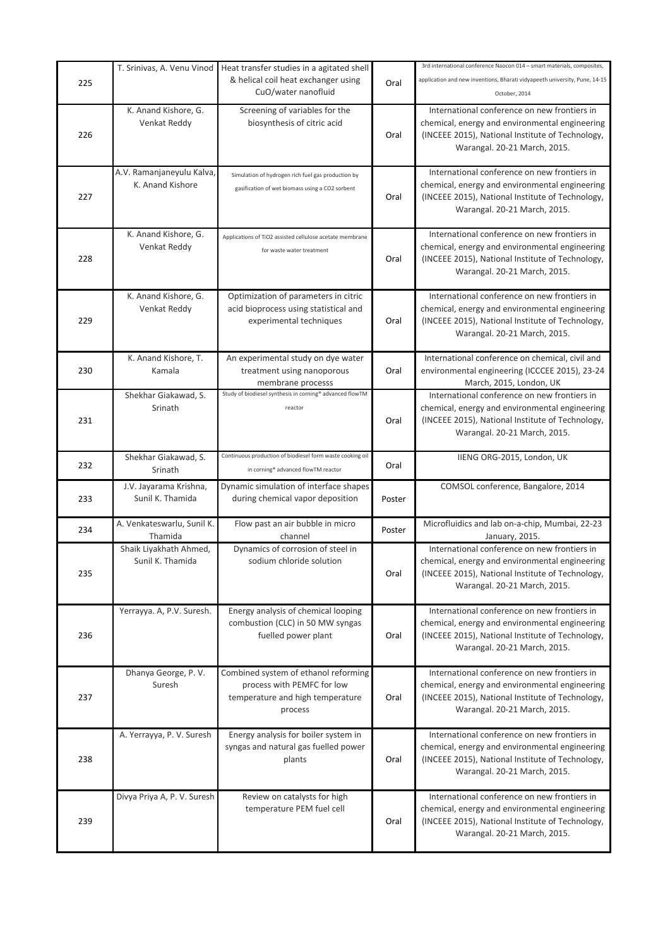| 225 | T. Srinivas, A. Venu Vinod                    | Heat transfer studies in a agitated shell<br>& helical coil heat exchanger using<br>CuO/water nanofluid           | Oral   | 3rd international conference Naocon 014 - smart materials, composites,<br>application and new inventions, Bharati vidyapeeth university, Pune, 14-15<br>October, 2014              |
|-----|-----------------------------------------------|-------------------------------------------------------------------------------------------------------------------|--------|------------------------------------------------------------------------------------------------------------------------------------------------------------------------------------|
| 226 | K. Anand Kishore, G.<br>Venkat Reddy          | Screening of variables for the<br>biosynthesis of citric acid                                                     | Oral   | International conference on new frontiers in<br>chemical, energy and environmental engineering<br>(INCEEE 2015), National Institute of Technology,<br>Warangal. 20-21 March, 2015. |
| 227 | A.V. Ramanjaneyulu Kalva,<br>K. Anand Kishore | Simulation of hydrogen rich fuel gas production by<br>gasification of wet biomass using a CO2 sorbent             | Oral   | International conference on new frontiers in<br>chemical, energy and environmental engineering<br>(INCEEE 2015), National Institute of Technology,<br>Warangal. 20-21 March, 2015. |
| 228 | K. Anand Kishore, G.<br>Venkat Reddy          | Applications of TiO2 assisted cellulose acetate membrane<br>for waste water treatment                             | Oral   | International conference on new frontiers in<br>chemical, energy and environmental engineering<br>(INCEEE 2015), National Institute of Technology,<br>Warangal. 20-21 March, 2015. |
| 229 | K. Anand Kishore, G.<br>Venkat Reddy          | Optimization of parameters in citric<br>acid bioprocess using statistical and<br>experimental techniques          | Oral   | International conference on new frontiers in<br>chemical, energy and environmental engineering<br>(INCEEE 2015), National Institute of Technology,<br>Warangal. 20-21 March, 2015. |
| 230 | K. Anand Kishore, T.<br>Kamala                | An experimental study on dye water<br>treatment using nanoporous<br>membrane processs                             | Oral   | International conference on chemical, civil and<br>environmental engineering (ICCCEE 2015), 23-24<br>March, 2015, London, UK                                                       |
| 231 | Shekhar Giakawad, S.<br>Srinath               | Study of biodiesel synthesis in corning® advanced flowTM<br>reactor                                               | Oral   | International conference on new frontiers in<br>chemical, energy and environmental engineering<br>(INCEEE 2015), National Institute of Technology,<br>Warangal. 20-21 March, 2015. |
| 232 | Shekhar Giakawad, S.<br>Srinath               | Continuous production of biodiesel form waste cooking oil<br>in corning® advanced flowTM reactor                  | Oral   | IIENG ORG-2015, London, UK                                                                                                                                                         |
| 233 | J.V. Jayarama Krishna,<br>Sunil K. Thamida    | Dynamic simulation of interface shapes<br>during chemical vapor deposition                                        | Poster | COMSOL conference, Bangalore, 2014                                                                                                                                                 |
| 234 | A. Venkateswarlu, Sunil K.<br>Thamida         | Flow past an air bubble in micro<br>channel                                                                       | Poster | Microfluidics and lab on-a-chip, Mumbai, 22-23<br>January, 2015.                                                                                                                   |
| 235 | Shaik Liyakhath Ahmed,<br>Sunil K. Thamida    | Dynamics of corrosion of steel in<br>sodium chloride solution                                                     | Oral   | International conference on new frontiers in<br>chemical, energy and environmental engineering<br>(INCEEE 2015), National Institute of Technology,<br>Warangal. 20-21 March, 2015. |
| 236 | Yerrayya. A, P.V. Suresh.                     | Energy analysis of chemical looping<br>combustion (CLC) in 50 MW syngas<br>fuelled power plant                    | Oral   | International conference on new frontiers in<br>chemical, energy and environmental engineering<br>(INCEEE 2015), National Institute of Technology,<br>Warangal. 20-21 March, 2015. |
| 237 | Dhanya George, P.V.<br>Suresh                 | Combined system of ethanol reforming<br>process with PEMFC for low<br>temperature and high temperature<br>process | Oral   | International conference on new frontiers in<br>chemical, energy and environmental engineering<br>(INCEEE 2015), National Institute of Technology,<br>Warangal. 20-21 March, 2015. |
| 238 | A. Yerrayya, P. V. Suresh                     | Energy analysis for boiler system in<br>syngas and natural gas fuelled power<br>plants                            | Oral   | International conference on new frontiers in<br>chemical, energy and environmental engineering<br>(INCEEE 2015), National Institute of Technology,<br>Warangal. 20-21 March, 2015. |
| 239 | Divya Priya A, P. V. Suresh                   | Review on catalysts for high<br>temperature PEM fuel cell                                                         | Oral   | International conference on new frontiers in<br>chemical, energy and environmental engineering<br>(INCEEE 2015), National Institute of Technology,<br>Warangal. 20-21 March, 2015. |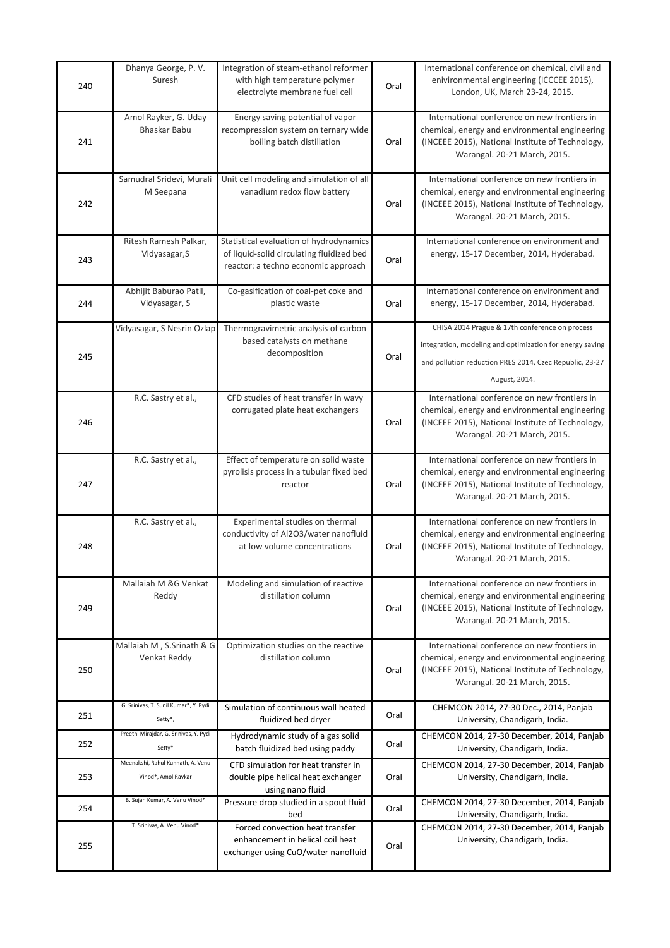| 240 | Dhanya George, P.V.<br>Suresh                            | Integration of steam-ethanol reformer<br>with high temperature polymer<br>electrolyte membrane fuel cell                    | Oral | International conference on chemical, civil and<br>enivironmental engineering (ICCCEE 2015),<br>London, UK, March 23-24, 2015.                                                         |
|-----|----------------------------------------------------------|-----------------------------------------------------------------------------------------------------------------------------|------|----------------------------------------------------------------------------------------------------------------------------------------------------------------------------------------|
| 241 | Amol Rayker, G. Uday<br>Bhaskar Babu                     | Energy saving potential of vapor<br>recompression system on ternary wide<br>boiling batch distillation                      | Oral | International conference on new frontiers in<br>chemical, energy and environmental engineering<br>(INCEEE 2015), National Institute of Technology,<br>Warangal. 20-21 March, 2015.     |
| 242 | Samudral Sridevi, Murali<br>M Seepana                    | Unit cell modeling and simulation of all<br>vanadium redox flow battery                                                     | Oral | International conference on new frontiers in<br>chemical, energy and environmental engineering<br>(INCEEE 2015), National Institute of Technology,<br>Warangal. 20-21 March, 2015.     |
| 243 | Ritesh Ramesh Palkar,<br>Vidyasagar, S                   | Statistical evaluation of hydrodynamics<br>of liquid-solid circulating fluidized bed<br>reactor: a techno economic approach | Oral | International conference on environment and<br>energy, 15-17 December, 2014, Hyderabad.                                                                                                |
| 244 | Abhijit Baburao Patil,<br>Vidyasagar, S                  | Co-gasification of coal-pet coke and<br>plastic waste                                                                       | Oral | International conference on environment and<br>energy, 15-17 December, 2014, Hyderabad.                                                                                                |
| 245 | Vidyasagar, S Nesrin Ozlap                               | Thermogravimetric analysis of carbon<br>based catalysts on methane<br>decomposition                                         | Oral | CHISA 2014 Prague & 17th conference on process<br>integration, modeling and optimization for energy saving<br>and pollution reduction PRES 2014, Czec Republic, 23-27<br>August, 2014. |
| 246 | R.C. Sastry et al.,                                      | CFD studies of heat transfer in wavy<br>corrugated plate heat exchangers                                                    | Oral | International conference on new frontiers in<br>chemical, energy and environmental engineering<br>(INCEEE 2015), National Institute of Technology,<br>Warangal. 20-21 March, 2015.     |
| 247 | R.C. Sastry et al.,                                      | Effect of temperature on solid waste<br>pyrolisis process in a tubular fixed bed<br>reactor                                 | Oral | International conference on new frontiers in<br>chemical, energy and environmental engineering<br>(INCEEE 2015), National Institute of Technology,<br>Warangal. 20-21 March, 2015.     |
| 248 | R.C. Sastry et al.,                                      | Experimental studies on thermal<br>conductivity of Al2O3/water nanofluid<br>at low volume concentrations                    | Oral | International conference on new frontiers in<br>chemical, energy and environmental engineering<br>(INCEEE 2015), National Institute of Technology,<br>Warangal. 20-21 March, 2015.     |
| 249 | Mallaiah M & G Venkat<br>Reddy                           | Modeling and simulation of reactive<br>distillation column                                                                  | Oral | International conference on new frontiers in<br>chemical, energy and environmental engineering<br>(INCEEE 2015), National Institute of Technology,<br>Warangal. 20-21 March, 2015.     |
| 250 | Mallaiah M, S.Srinath & G<br>Venkat Reddy                | Optimization studies on the reactive<br>distillation column                                                                 | Oral | International conference on new frontiers in<br>chemical, energy and environmental engineering<br>(INCEEE 2015), National Institute of Technology,<br>Warangal. 20-21 March, 2015.     |
| 251 | G. Srinivas, T. Sunil Kumar*, Y. Pydi<br>Setty*,         | Simulation of continuous wall heated<br>fluidized bed dryer                                                                 | Oral | CHEMCON 2014, 27-30 Dec., 2014, Panjab<br>University, Chandigarh, India.                                                                                                               |
| 252 | Preethi Mirajdar, G. Srinivas, Y. Pydi<br>Setty*         | Hydrodynamic study of a gas solid<br>batch fluidized bed using paddy                                                        | Oral | CHEMCON 2014, 27-30 December, 2014, Panjab<br>University, Chandigarh, India.                                                                                                           |
| 253 | Meenakshi, Rahul Kunnath, A. Venu<br>Vinod*, Amol Raykar | CFD simulation for heat transfer in<br>double pipe helical heat exchanger<br>using nano fluid                               | Oral | CHEMCON 2014, 27-30 December, 2014, Panjab<br>University, Chandigarh, India.                                                                                                           |
| 254 | B. Sujan Kumar, A. Venu Vinod*                           | Pressure drop studied in a spout fluid<br>bed                                                                               | Oral | CHEMCON 2014, 27-30 December, 2014, Panjab<br>University, Chandigarh, India.                                                                                                           |
| 255 | T. Srinivas, A. Venu Vinod*                              | Forced convection heat transfer<br>enhancement in helical coil heat<br>exchanger using CuO/water nanofluid                  | Oral | CHEMCON 2014, 27-30 December, 2014, Panjab<br>University, Chandigarh, India.                                                                                                           |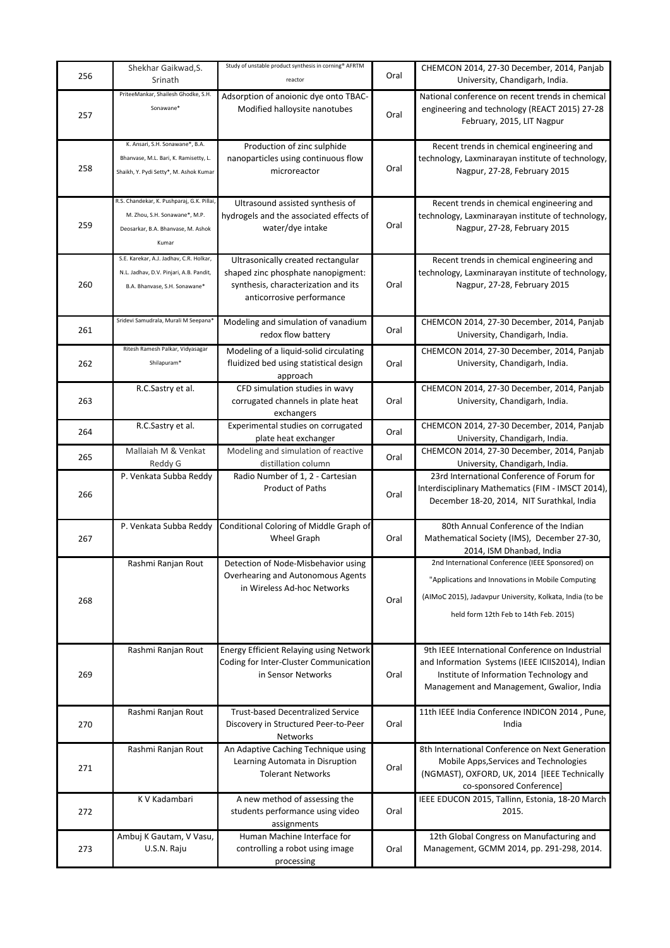| 256 | Shekhar Gaikwad, S.<br>Srinath                                                                                             | Study of unstable product synthesis in corning® AFRTM<br>reactor                                                                             | Oral | CHEMCON 2014, 27-30 December, 2014, Panjab<br>University, Chandigarh, India.                                                                                                                               |
|-----|----------------------------------------------------------------------------------------------------------------------------|----------------------------------------------------------------------------------------------------------------------------------------------|------|------------------------------------------------------------------------------------------------------------------------------------------------------------------------------------------------------------|
| 257 | PriteeMankar, Shailesh Ghodke, S.H.<br>Sonawane*                                                                           | Adsorption of anoionic dye onto TBAC-<br>Modified halloysite nanotubes                                                                       | Oral | National conference on recent trends in chemical<br>engineering and technology (REACT 2015) 27-28<br>February, 2015, LIT Nagpur                                                                            |
| 258 | K. Ansari, S.H. Sonawane*, B.A.<br>Bhanvase, M.L. Bari, K. Ramisetty, L.<br>Shaikh, Y. Pydi Setty*, M. Ashok Kumar         | Production of zinc sulphide<br>nanoparticles using continuous flow<br>microreactor                                                           | Oral | Recent trends in chemical engineering and<br>technology, Laxminarayan institute of technology,<br>Nagpur, 27-28, February 2015                                                                             |
| 259 | R.S. Chandekar, K. Pushparaj, G.K. Pillai,<br>M. Zhou, S.H. Sonawane*, M.P.<br>Deosarkar, B.A. Bhanvase, M. Ashok<br>Kumar | Ultrasound assisted synthesis of<br>hydrogels and the associated effects of<br>water/dye intake                                              | Oral | Recent trends in chemical engineering and<br>technology, Laxminarayan institute of technology,<br>Nagpur, 27-28, February 2015                                                                             |
| 260 | S.E. Karekar, A.J. Jadhav, C.R. Holkar,<br>N.L. Jadhav, D.V. Pinjari, A.B. Pandit,<br>B.A. Bhanvase, S.H. Sonawane*        | Ultrasonically created rectangular<br>shaped zinc phosphate nanopigment:<br>synthesis, characterization and its<br>anticorrosive performance | Oral | Recent trends in chemical engineering and<br>technology, Laxminarayan institute of technology,<br>Nagpur, 27-28, February 2015                                                                             |
| 261 | Sridevi Samudrala, Murali M Seepana                                                                                        | Modeling and simulation of vanadium<br>redox flow battery                                                                                    | Oral | CHEMCON 2014, 27-30 December, 2014, Panjab<br>University, Chandigarh, India.                                                                                                                               |
| 262 | Ritesh Ramesh Palkar, Vidyasagar<br>Shilapuram*                                                                            | Modeling of a liquid-solid circulating<br>fluidized bed using statistical design<br>approach                                                 | Oral | CHEMCON 2014, 27-30 December, 2014, Panjab<br>University, Chandigarh, India.                                                                                                                               |
| 263 | R.C.Sastry et al.                                                                                                          | CFD simulation studies in wavy<br>corrugated channels in plate heat<br>exchangers                                                            | Oral | CHEMCON 2014, 27-30 December, 2014, Panjab<br>University, Chandigarh, India.                                                                                                                               |
| 264 | R.C.Sastry et al.                                                                                                          | Experimental studies on corrugated<br>plate heat exchanger                                                                                   | Oral | CHEMCON 2014, 27-30 December, 2014, Panjab<br>University, Chandigarh, India.                                                                                                                               |
| 265 | Mallaiah M & Venkat<br>Reddy G                                                                                             | Modeling and simulation of reactive<br>distillation column                                                                                   | Oral | CHEMCON 2014, 27-30 December, 2014, Panjab<br>University, Chandigarh, India.                                                                                                                               |
| 266 | P. Venkata Subba Reddy                                                                                                     | Radio Number of 1, 2 - Cartesian<br><b>Product of Paths</b>                                                                                  | Oral | 23rd International Conference of Forum for<br>Interdisciplinary Mathematics (FIM - IMSCT 2014),<br>December 18-20, 2014, NIT Surathkal, India                                                              |
| 267 | P. Venkata Subba Reddy                                                                                                     | Conditional Coloring of Middle Graph of<br><b>Wheel Graph</b>                                                                                | Oral | 80th Annual Conference of the Indian<br>Mathematical Society (IMS), December 27-30,<br>2014, ISM Dhanbad, India                                                                                            |
| 268 | Rashmi Ranjan Rout                                                                                                         | Detection of Node-Misbehavior using<br>Overhearing and Autonomous Agents<br>in Wireless Ad-hoc Networks                                      | Oral | 2nd International Conference (IEEE Sponsored) on<br>"Applications and Innovations in Mobile Computing<br>(AIMoC 2015), Jadavpur University, Kolkata, India (to be<br>held form 12th Feb to 14th Feb. 2015) |
| 269 | Rashmi Ranjan Rout                                                                                                         | Energy Efficient Relaying using Network<br>Coding for Inter-Cluster Communication<br>in Sensor Networks                                      | Oral | 9th IEEE International Conference on Industrial<br>and Information Systems (IEEE ICIIS2014), Indian<br>Institute of Information Technology and<br>Management and Management, Gwalior, India                |
| 270 | Rashmi Ranjan Rout                                                                                                         | <b>Trust-based Decentralized Service</b><br>Discovery in Structured Peer-to-Peer<br>Networks                                                 | Oral | 11th IEEE India Conference INDICON 2014, Pune,<br>India                                                                                                                                                    |
| 271 | Rashmi Ranjan Rout                                                                                                         | An Adaptive Caching Technique using<br>Learning Automata in Disruption<br><b>Tolerant Networks</b>                                           | Oral | 8th International Conference on Next Generation<br>Mobile Apps, Services and Technologies<br>(NGMAST), OXFORD, UK, 2014 [IEEE Technically<br>co-sponsored Conference]                                      |
| 272 | K V Kadambari                                                                                                              | A new method of assessing the<br>students performance using video<br>assignments                                                             | Oral | IEEE EDUCON 2015, Tallinn, Estonia, 18-20 March<br>2015.                                                                                                                                                   |
| 273 | Ambuj K Gautam, V Vasu,<br>U.S.N. Raju                                                                                     | Human Machine Interface for<br>controlling a robot using image<br>processing                                                                 | Oral | 12th Global Congress on Manufacturing and<br>Management, GCMM 2014, pp. 291-298, 2014.                                                                                                                     |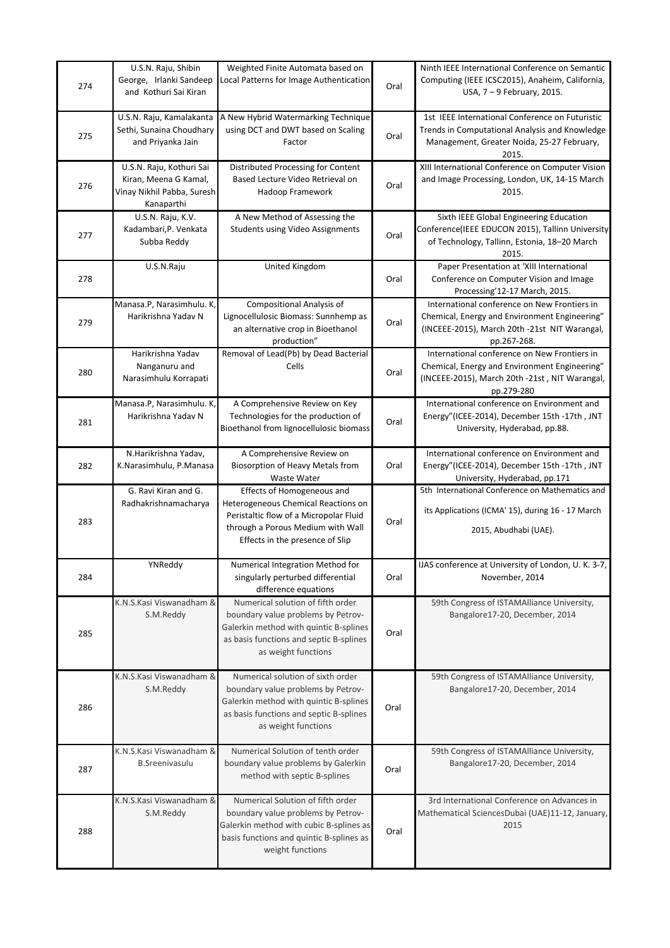| 274 | U.S.N. Raju, Shibin<br>George, Irlanki Sandeep<br>and Kothuri Sai Kiran                       | Weighted Finite Automata based on<br>Local Patterns for Image Authentication                                                                                                        | Oral | Ninth IEEE International Conference on Semantic<br>Computing (IEEE ICSC2015), Anaheim, California,<br>USA, 7 - 9 February, 2015.                              |
|-----|-----------------------------------------------------------------------------------------------|-------------------------------------------------------------------------------------------------------------------------------------------------------------------------------------|------|---------------------------------------------------------------------------------------------------------------------------------------------------------------|
| 275 | U.S.N. Raju, Kamalakanta<br>Sethi, Sunaina Choudhary<br>and Priyanka Jain                     | A New Hybrid Watermarking Technique<br>using DCT and DWT based on Scaling<br>Factor                                                                                                 | Oral | 1st IEEE International Conference on Futuristic<br>Trends in Computational Analysis and Knowledge<br>Management, Greater Noida, 25-27 February,<br>2015.      |
| 276 | U.S.N. Raju, Kothuri Sai<br>Kiran, Meena G Kamal,<br>Vinay Nikhil Pabba, Suresh<br>Kanaparthi | Distributed Processing for Content<br>Based Lecture Video Retrieval on<br>Hadoop Framework                                                                                          | Oral | XIII International Conference on Computer Vision<br>and Image Processing, London, UK, 14-15 March<br>2015.                                                    |
| 277 | U.S.N. Raju, K.V.<br>Kadambari, P. Venkata<br>Subba Reddy                                     | A New Method of Assessing the<br><b>Students using Video Assignments</b>                                                                                                            | Oral | Sixth IEEE Global Engineering Education<br>Conference(IEEE EDUCON 2015), Tallinn University<br>of Technology, Tallinn, Estonia, 18-20 March<br>2015.          |
| 278 | U.S.N.Raju                                                                                    | United Kingdom                                                                                                                                                                      | Oral | Paper Presentation at 'XIII International<br>Conference on Computer Vision and Image<br>Processing'12-17 March, 2015.                                         |
| 279 | Manasa.P, Narasimhulu. K,<br>Harikrishna Yadav N                                              | Compositional Analysis of<br>Lignocellulosic Biomass: Sunnhemp as<br>an alternative crop in Bioethanol<br>production"                                                               | Oral | International conference on New Frontiers in<br>Chemical, Energy and Environment Engineering"<br>(INCEEE-2015), March 20th -21st NIT Warangal,<br>pp.267-268. |
| 280 | Harikrishna Yadav<br>Nanganuru and<br>Narasimhulu Korrapati                                   | Removal of Lead(Pb) by Dead Bacterial<br>Cells                                                                                                                                      | Oral | International conference on New Frontiers in<br>Chemical, Energy and Environment Engineering"<br>(INCEEE-2015), March 20th -21st, NIT Warangal,<br>pp.279-280 |
| 281 | Manasa.P, Narasimhulu. K,<br>Harikrishna Yadav N                                              | A Comprehensive Review on Key<br>Technologies for the production of<br>Bioethanol from lignocellulosic biomass                                                                      | Oral | International conference on Environment and<br>Energy"(ICEE-2014), December 15th -17th, JNT<br>University, Hyderabad, pp.88.                                  |
| 282 | N.Harikrishna Yadav,<br>K.Narasimhulu, P.Manasa                                               | A Comprehensive Review on<br>Biosorption of Heavy Metals from<br>Waste Water                                                                                                        | Oral | International conference on Environment and<br>Energy"(ICEE-2014), December 15th -17th, JNT<br>University, Hyderabad, pp.171                                  |
| 283 | G. Ravi Kiran and G.<br>Radhakrishnamacharya                                                  | Effects of Homogeneous and<br>Heterogeneous Chemical Reactions on<br>Peristaltic flow of a Micropolar Fluid<br>through a Porous Medium with Wall<br>Effects in the presence of Slip | Oral | 5th International Conference on Mathematics and<br>its Applications (ICMA' 15), during 16 - 17 March<br>2015, Abudhabi (UAE).                                 |
| 284 | YNReddy                                                                                       | Numerical Integration Method for<br>singularly perturbed differential<br>difference equations                                                                                       | Oral | IJAS conference at University of London, U. K. 3-7,<br>November, 2014                                                                                         |
| 285 | K.N.S.Kasi Viswanadham &<br>S.M.Reddy                                                         | Numerical solution of fifth order<br>boundary value problems by Petrov-<br>Galerkin method with quintic B-splines<br>as basis functions and septic B-splines<br>as weight functions | Oral | 59th Congress of ISTAMAlliance University,<br>Bangalore17-20, December, 2014                                                                                  |
| 286 | K.N.S.Kasi Viswanadham &<br>S.M.Reddy                                                         | Numerical solution of sixth order<br>boundary value problems by Petrov-<br>Galerkin method with quintic B-splines<br>as basis functions and septic B-splines<br>as weight functions | Oral | 59th Congress of ISTAMAlliance University,<br>Bangalore17-20, December, 2014                                                                                  |
| 287 | K.N.S.Kasi Viswanadham &<br><b>B.Sreenivasulu</b>                                             | Numerical Solution of tenth order<br>boundary value problems by Galerkin<br>method with septic B-splines                                                                            | Oral | 59th Congress of ISTAMAlliance University,<br>Bangalore17-20, December, 2014                                                                                  |
| 288 | K.N.S.Kasi Viswanadham &<br>S.M.Reddy                                                         | Numerical Solution of fifth order<br>boundary value problems by Petrov-<br>Galerkin method with cubic B-splines as<br>basis functions and quintic B-splines as<br>weight functions  | Oral | 3rd International Conference on Advances in<br>Mathematical SciencesDubai (UAE)11-12, January,<br>2015                                                        |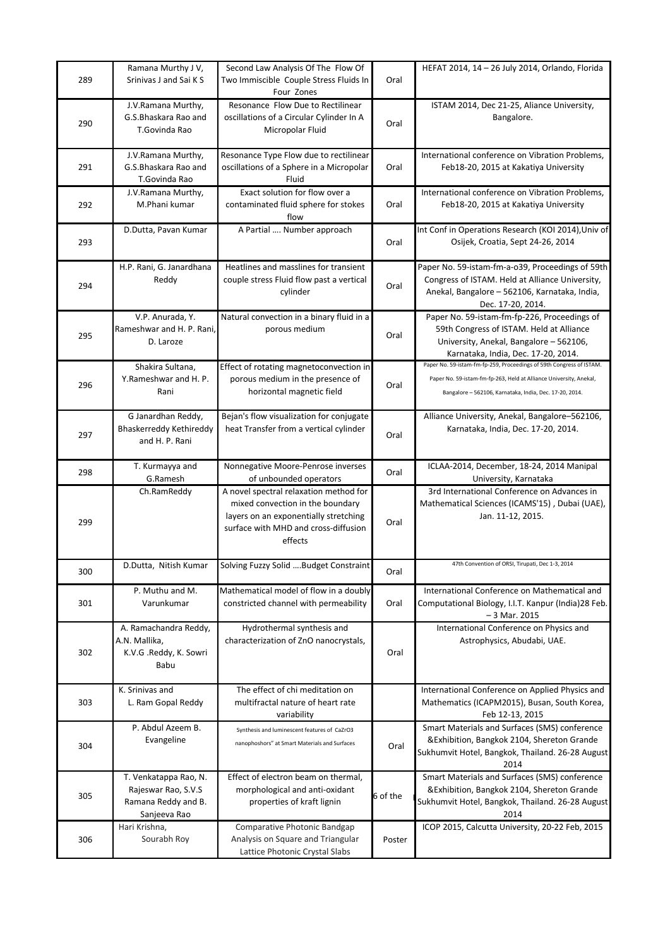| 289 | Ramana Murthy J V,<br>Srinivas J and Sai K S                                        | Second Law Analysis Of The Flow Of<br>Two Immiscible Couple Stress Fluids In<br>Four Zones                                                                             | Oral     | HEFAT 2014, 14 - 26 July 2014, Orlando, Florida                                                                                                                                                       |
|-----|-------------------------------------------------------------------------------------|------------------------------------------------------------------------------------------------------------------------------------------------------------------------|----------|-------------------------------------------------------------------------------------------------------------------------------------------------------------------------------------------------------|
| 290 | J.V.Ramana Murthy,<br>G.S.Bhaskara Rao and<br>T.Govinda Rao                         | Resonance Flow Due to Rectilinear<br>oscillations of a Circular Cylinder In A<br>Micropolar Fluid                                                                      | Oral     | ISTAM 2014, Dec 21-25, Aliance University,<br>Bangalore.                                                                                                                                              |
| 291 | J.V.Ramana Murthy,<br>G.S.Bhaskara Rao and<br>T.Govinda Rao                         | Resonance Type Flow due to rectilinear<br>oscillations of a Sphere in a Micropolar<br>Fluid                                                                            | Oral     | International conference on Vibration Problems,<br>Feb18-20, 2015 at Kakatiya University                                                                                                              |
| 292 | J.V.Ramana Murthy,<br>M.Phani kumar                                                 | Exact solution for flow over a<br>contaminated fluid sphere for stokes<br>flow                                                                                         | Oral     | International conference on Vibration Problems,<br>Feb18-20, 2015 at Kakatiya University                                                                                                              |
| 293 | D.Dutta, Pavan Kumar                                                                | A Partial  Number approach                                                                                                                                             | Oral     | Int Conf in Operations Research (KOI 2014), Univ of<br>Osijek, Croatia, Sept 24-26, 2014                                                                                                              |
| 294 | H.P. Rani, G. Janardhana<br>Reddy                                                   | Heatlines and masslines for transient<br>couple stress Fluid flow past a vertical<br>cylinder                                                                          | Oral     | Paper No. 59-istam-fm-a-o39, Proceedings of 59th<br>Congress of ISTAM. Held at Alliance University,<br>Anekal, Bangalore - 562106, Karnataka, India,<br>Dec. 17-20, 2014.                             |
| 295 | V.P. Anurada, Y.<br>Rameshwar and H. P. Rani.<br>D. Laroze                          | Natural convection in a binary fluid in a<br>porous medium                                                                                                             | Oral     | Paper No. 59-istam-fm-fp-226, Proceedings of<br>59th Congress of ISTAM. Held at Alliance<br>University, Anekal, Bangalore - 562106,<br>Karnataka, India, Dec. 17-20, 2014.                            |
| 296 | Shakira Sultana,<br>Y.Rameshwar and H. P.<br>Rani                                   | Effect of rotating magnetoconvection in<br>porous medium in the presence of<br>horizontal magnetic field                                                               | Oral     | Paper No. 59-istam-fm-fp-259, Proceedings of 59th Congress of ISTAM.<br>Paper No. 59-istam-fm-fp-263, Held at Alliance University, Anekal,<br>Bangalore - 562106, Karnataka, India, Dec. 17-20, 2014. |
| 297 | G Janardhan Reddy,<br>Bhaskerreddy Kethireddy<br>and H. P. Rani                     | Bejan's flow visualization for conjugate<br>heat Transfer from a vertical cylinder                                                                                     | Oral     | Alliance University, Anekal, Bangalore-562106,<br>Karnataka, India, Dec. 17-20, 2014.                                                                                                                 |
| 298 | T. Kurmayya and<br>G.Ramesh                                                         | Nonnegative Moore-Penrose inverses<br>of unbounded operators                                                                                                           | Oral     | ICLAA-2014, December, 18-24, 2014 Manipal<br>University, Karnataka                                                                                                                                    |
| 299 | Ch.RamReddy                                                                         | A novel spectral relaxation method for<br>mixed convection in the boundary<br>layers on an exponentially stretching<br>surface with MHD and cross-diffusion<br>effects | Oral     | 3rd International Conference on Advances in<br>Mathematical Sciences (ICAMS'15), Dubai (UAE),<br>Jan. 11-12, 2015.                                                                                    |
| 300 | D.Dutta, Nitish Kumar                                                               | Solving Fuzzy Solid Budget Constraint                                                                                                                                  | Oral     | 47th Convention of ORSI, Tirupati, Dec 1-3,                                                                                                                                                           |
| 301 | P. Muthu and M.<br>Varunkumar                                                       | Mathematical model of flow in a doubly<br>constricted channel with permeability                                                                                        | Oral     | International Conference on Mathematical and<br>Computational Biology, I.I.T. Kanpur (India)28 Feb.<br>$-3$ Mar. 2015                                                                                 |
| 302 | A. Ramachandra Reddy,<br>A.N. Mallika,<br>K.V.G .Reddy, K. Sowri<br>Babu            | Hydrothermal synthesis and<br>characterization of ZnO nanocrystals,                                                                                                    | Oral     | International Conference on Physics and<br>Astrophysics, Abudabi, UAE.                                                                                                                                |
| 303 | K. Srinivas and<br>L. Ram Gopal Reddy                                               | The effect of chi meditation on<br>multifractal nature of heart rate<br>variability                                                                                    |          | International Conference on Applied Physics and<br>Mathematics (ICAPM2015), Busan, South Korea,<br>Feb 12-13, 2015                                                                                    |
| 304 | P. Abdul Azeem B.<br>Evangeline                                                     | Synthesis and luminescent features of CaZrO3<br>nanophoshors" at Smart Materials and Surfaces                                                                          | Oral     | Smart Materials and Surfaces (SMS) conference<br>&Exhibition, Bangkok 2104, Shereton Grande<br>Sukhumvit Hotel, Bangkok, Thailand. 26-28 August<br>2014                                               |
| 305 | T. Venkatappa Rao, N.<br>Rajeswar Rao, S.V.S<br>Ramana Reddy and B.<br>Sanjeeva Rao | Effect of electron beam on thermal,<br>morphological and anti-oxidant<br>properties of kraft lignin                                                                    | 6 of the | Smart Materials and Surfaces (SMS) conference<br>&Exhibition, Bangkok 2104, Shereton Grande<br>Sukhumvit Hotel, Bangkok, Thailand. 26-28 August<br>2014                                               |
| 306 | Hari Krishna,<br>Sourabh Roy                                                        | Comparative Photonic Bandgap<br>Analysis on Square and Triangular<br>Lattice Photonic Crystal Slabs                                                                    | Poster   | ICOP 2015, Calcutta University, 20-22 Feb, 2015                                                                                                                                                       |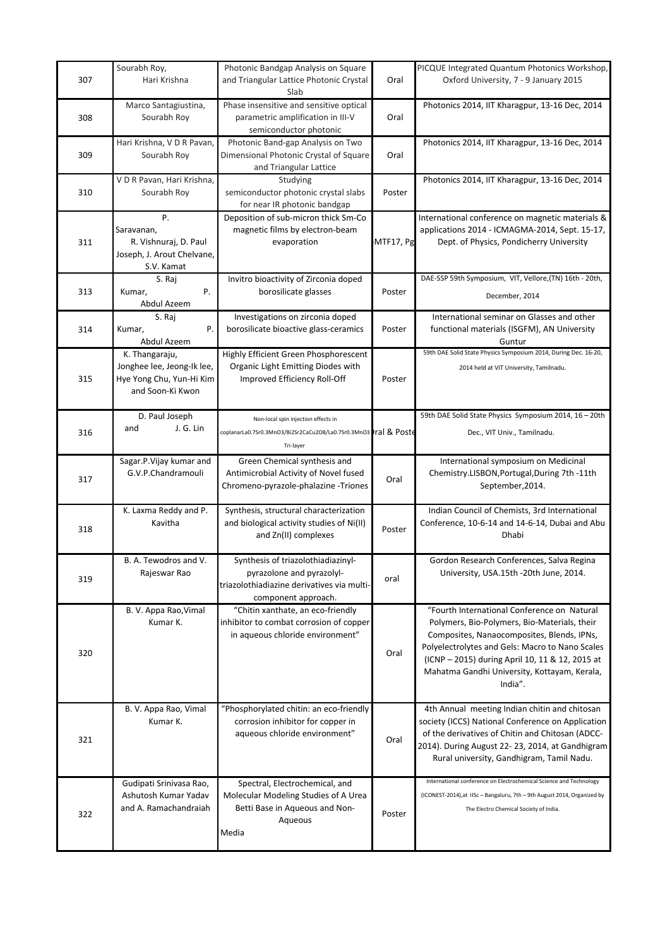|     | Sourabh Roy,                                  | Photonic Bandgap Analysis on Square                                   |           | PICQUE Integrated Quantum Photonics Workshop,                                                                               |
|-----|-----------------------------------------------|-----------------------------------------------------------------------|-----------|-----------------------------------------------------------------------------------------------------------------------------|
| 307 | Hari Krishna                                  | and Triangular Lattice Photonic Crystal                               | Oral      | Oxford University, 7 - 9 January 2015                                                                                       |
|     |                                               | Slab                                                                  |           |                                                                                                                             |
|     | Marco Santagiustina,                          | Phase insensitive and sensitive optical                               |           | Photonics 2014, IIT Kharagpur, 13-16 Dec, 2014                                                                              |
| 308 | Sourabh Roy                                   | parametric amplification in III-V                                     | Oral      |                                                                                                                             |
|     |                                               | semiconductor photonic                                                |           |                                                                                                                             |
|     | Hari Krishna, V D R Pavan,                    | Photonic Band-gap Analysis on Two                                     |           | Photonics 2014, IIT Kharagpur, 13-16 Dec, 2014                                                                              |
| 309 | Sourabh Roy                                   | Dimensional Photonic Crystal of Square                                | Oral      |                                                                                                                             |
|     |                                               | and Triangular Lattice                                                |           |                                                                                                                             |
|     | V D R Pavan, Hari Krishna,                    | Studying                                                              |           | Photonics 2014, IIT Kharagpur, 13-16 Dec, 2014                                                                              |
| 310 | Sourabh Roy                                   | semiconductor photonic crystal slabs                                  | Poster    |                                                                                                                             |
|     |                                               | for near IR photonic bandgap                                          |           |                                                                                                                             |
|     | P.                                            | Deposition of sub-micron thick Sm-Co                                  |           | International conference on magnetic materials &                                                                            |
|     | Saravanan,                                    | magnetic films by electron-beam                                       |           | applications 2014 - ICMAGMA-2014, Sept. 15-17,                                                                              |
| 311 | R. Vishnuraj, D. Paul                         | evaporation                                                           | MTF17, Pg | Dept. of Physics, Pondicherry University                                                                                    |
|     | Joseph, J. Arout Chelvane,                    |                                                                       |           |                                                                                                                             |
|     | S.V. Kamat                                    |                                                                       |           |                                                                                                                             |
|     | S. Raj                                        | Invitro bioactivity of Zirconia doped                                 |           | DAE-SSP 59th Symposium, VIT, Vellore, (TN) 16th - 20th,                                                                     |
| 313 | Ρ.<br>Kumar,                                  | borosilicate glasses                                                  | Poster    | December, 2014                                                                                                              |
|     | Abdul Azeem                                   |                                                                       |           |                                                                                                                             |
|     | S. Raj                                        | Investigations on zirconia doped                                      |           | International seminar on Glasses and other                                                                                  |
| 314 | P.<br>Kumar,                                  | borosilicate bioactive glass-ceramics                                 | Poster    | functional materials (ISGFM), AN University                                                                                 |
|     | Abdul Azeem                                   |                                                                       |           | Guntur                                                                                                                      |
|     | K. Thangaraju,                                | Highly Efficient Green Phosphorescent                                 |           | 59th DAE Solid State Physics Symposium 2014, During Dec. 16-20,                                                             |
|     | Jonghee lee, Jeong-Ik lee,                    | Organic Light Emitting Diodes with                                    |           | 2014 held at VIT University, Tamilnadu.                                                                                     |
| 315 | Hye Yong Chu, Yun-Hi Kim                      | Improved Efficiency Roll-Off                                          | Poster    |                                                                                                                             |
|     | and Soon-Ki Kwon                              |                                                                       |           |                                                                                                                             |
|     |                                               |                                                                       |           |                                                                                                                             |
|     | D. Paul Joseph                                | Non-local spin injection effects in                                   |           | 59th DAE Solid State Physics Symposium 2014, 16 - 20th                                                                      |
| 316 | J. G. Lin<br>and                              | coplanarLa0.7Sr0.3MnO3/Bi2Sr2CaCu2O8/La0.7Sr0.3MnO3 1ral & Poste      |           | Dec., VIT Univ., Tamilnadu.                                                                                                 |
|     |                                               | Tri-layer                                                             |           |                                                                                                                             |
|     |                                               |                                                                       |           |                                                                                                                             |
|     | Sagar.P.Vijay kumar and<br>G.V.P.Chandramouli | Green Chemical synthesis and<br>Antimicrobial Activity of Novel fused |           | International symposium on Medicinal                                                                                        |
| 317 |                                               |                                                                       | Oral      | Chemistry.LISBON, Portugal, During 7th -11th                                                                                |
|     |                                               | Chromeno-pyrazole-phalazine -Triones                                  |           | September, 2014.                                                                                                            |
|     | K. Laxma Reddy and P.                         | Synthesis, structural characterization                                |           | Indian Council of Chemists, 3rd International                                                                               |
|     | Kavitha                                       | and biological activity studies of Ni(II)                             |           | Conference, 10-6-14 and 14-6-14, Dubai and Abu                                                                              |
| 318 |                                               | and Zn(II) complexes                                                  | Poster    | <b>Dhabi</b>                                                                                                                |
|     |                                               |                                                                       |           |                                                                                                                             |
|     | B. A. Tewodros and V.                         | Synthesis of triazolothiadiazinyl-                                    |           | Gordon Research Conferences, Salva Regina                                                                                   |
|     | Rajeswar Rao                                  | pyrazolone and pyrazolyl-                                             |           |                                                                                                                             |
| 319 |                                               | triazolothiadiazine derivatives via multi-                            | oral      | University, USA.15th -20th June, 2014.                                                                                      |
|     |                                               | component approach.                                                   |           |                                                                                                                             |
|     | B. V. Appa Rao, Vimal                         | "Chitin xanthate, an eco-friendly                                     |           | "Fourth International Conference on Natural                                                                                 |
|     | Kumar K.                                      | inhibitor to combat corrosion of copper                               |           | Polymers, Bio-Polymers, Bio-Materials, their                                                                                |
|     |                                               | in aqueous chloride environment"                                      |           | Composites, Nanaocomposites, Blends, IPNs,                                                                                  |
|     |                                               |                                                                       |           | Polyelectrolytes and Gels: Macro to Nano Scales                                                                             |
| 320 |                                               |                                                                       | Oral      |                                                                                                                             |
|     |                                               |                                                                       |           | (ICNP - 2015) during April 10, 11 & 12, 2015 at                                                                             |
|     |                                               |                                                                       |           | Mahatma Gandhi University, Kottayam, Kerala,                                                                                |
|     |                                               |                                                                       |           | India".                                                                                                                     |
|     |                                               |                                                                       |           |                                                                                                                             |
|     |                                               |                                                                       |           |                                                                                                                             |
|     | B. V. Appa Rao, Vimal                         | "Phosphorylated chitin: an eco-friendly                               |           | 4th Annual meeting Indian chitin and chitosan                                                                               |
|     | Kumar K.                                      | corrosion inhibitor for copper in                                     |           | society (ICCS) National Conference on Application                                                                           |
| 321 |                                               | aqueous chloride environment"                                         | Oral      | of the derivatives of Chitin and Chitosan (ADCC-                                                                            |
|     |                                               |                                                                       |           |                                                                                                                             |
|     |                                               |                                                                       |           | Rural university, Gandhigram, Tamil Nadu.                                                                                   |
|     |                                               |                                                                       |           | International conference on Electrochemical Science and Technology                                                          |
|     | Gudipati Srinivasa Rao,                       | Spectral, Electrochemical, and                                        |           |                                                                                                                             |
|     | Ashutosh Kumar Yadav                          | Molecular Modeling Studies of A Urea                                  |           | 2014). During August 22-23, 2014, at Gandhigram<br>(ICONEST-2014), at IISc - Bangaluru, 7th - 9th August 2014, Organized by |
| 322 | and A. Ramachandraiah                         | Betti Base in Aqueous and Non-                                        | Poster    | The Electro Chemical Society of India.                                                                                      |
|     |                                               | Aqueous                                                               |           |                                                                                                                             |
|     |                                               | Media                                                                 |           |                                                                                                                             |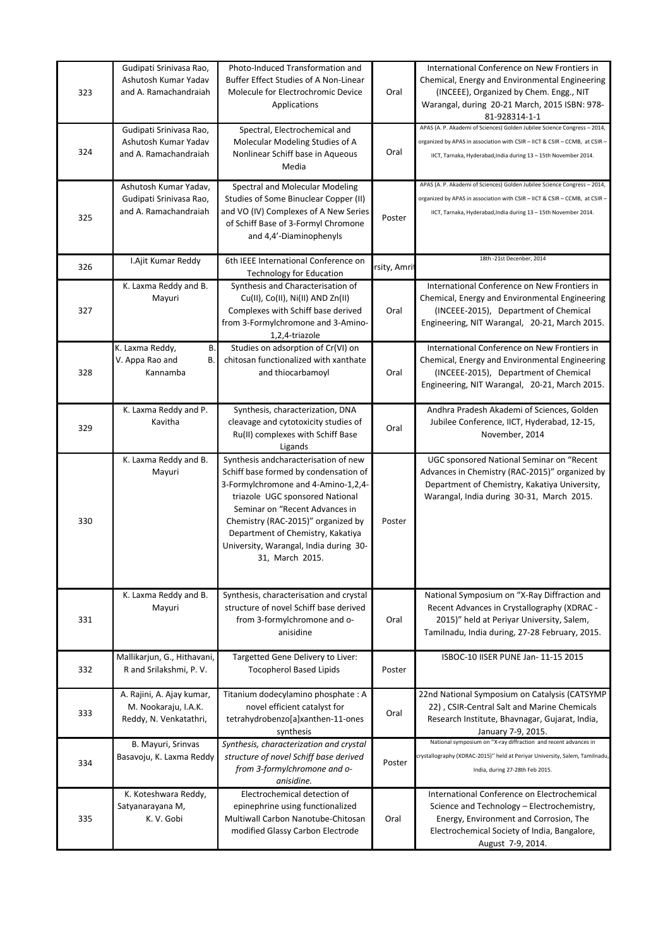| 323 | Gudipati Srinivasa Rao,<br>Ashutosh Kumar Yadav<br>and A. Ramachandraiah    | Photo-Induced Transformation and<br>Buffer Effect Studies of A Non-Linear<br>Molecule for Electrochromic Device<br>Applications                                                                                                                                                                                                   | Oral         | International Conference on New Frontiers in<br>Chemical, Energy and Environmental Engineering<br>(INCEEE), Organized by Chem. Engg., NIT<br>Warangal, during 20-21 March, 2015 ISBN: 978-<br>81-928314-1-1               |
|-----|-----------------------------------------------------------------------------|-----------------------------------------------------------------------------------------------------------------------------------------------------------------------------------------------------------------------------------------------------------------------------------------------------------------------------------|--------------|---------------------------------------------------------------------------------------------------------------------------------------------------------------------------------------------------------------------------|
| 324 | Gudipati Srinivasa Rao,<br>Ashutosh Kumar Yadav<br>and A. Ramachandraiah    | Spectral, Electrochemical and<br>Molecular Modeling Studies of A<br>Nonlinear Schiff base in Aqueous<br>Media                                                                                                                                                                                                                     | Oral         | APAS (A. P. Akademi of Sciences) Golden Jubilee Science Congress - 2014,<br>organized by APAS in association with CSIR - IICT & CSIR - CCMB, at CSIR -<br>IICT, Tarnaka, Hyderabad, India during 13 - 15th November 2014. |
| 325 | Ashutosh Kumar Yadav,<br>Gudipati Srinivasa Rao,<br>and A. Ramachandraiah   | Spectral and Molecular Modeling<br>Studies of Some Binuclear Copper (II)<br>and VO (IV) Complexes of A New Series<br>of Schiff Base of 3-Formyl Chromone<br>and 4,4'-Diaminophenyls                                                                                                                                               | Poster       | APAS (A. P. Akademi of Sciences) Golden Jubilee Science Congress - 2014,<br>organized by APAS in association with CSIR - IICT & CSIR - CCMB, at CSIR -<br>IICT, Tarnaka, Hyderabad, India during 13 - 15th November 2014. |
| 326 | I.Ajit Kumar Reddy                                                          | 6th IEEE International Conference on<br><b>Technology for Education</b>                                                                                                                                                                                                                                                           | rsity, Amrii | 18th -21st Decenber, 2014                                                                                                                                                                                                 |
| 327 | K. Laxma Reddy and B.<br>Mayuri                                             | Synthesis and Characterisation of<br>Cu(II), Co(II), Ni(II) AND Zn(II)<br>Complexes with Schiff base derived<br>from 3-Formylchromone and 3-Amino-<br>1,2,4-triazole                                                                                                                                                              | Oral         | International Conference on New Frontiers in<br>Chemical, Energy and Environmental Engineering<br>(INCEEE-2015), Department of Chemical<br>Engineering, NIT Warangal, 20-21, March 2015.                                  |
| 328 | K. Laxma Reddy,<br><b>B.</b><br>V. Appa Rao and<br>В.<br>Kannamba           | Studies on adsorption of Cr(VI) on<br>chitosan functionalized with xanthate<br>and thiocarbamoyl                                                                                                                                                                                                                                  | Oral         | International Conference on New Frontiers in<br>Chemical, Energy and Environmental Engineering<br>(INCEEE-2015), Department of Chemical<br>Engineering, NIT Warangal, 20-21, March 2015.                                  |
| 329 | K. Laxma Reddy and P.<br>Kavitha                                            | Synthesis, characterization, DNA<br>cleavage and cytotoxicity studies of<br>Ru(II) complexes with Schiff Base<br>Ligands                                                                                                                                                                                                          | Oral         | Andhra Pradesh Akademi of Sciences, Golden<br>Jubilee Conference, IICT, Hyderabad, 12-15,<br>November, 2014                                                                                                               |
| 330 | K. Laxma Reddy and B.<br>Mayuri                                             | Synthesis andcharacterisation of new<br>Schiff base formed by condensation of<br>3-Formylchromone and 4-Amino-1,2,4-<br>triazole UGC sponsored National<br>Seminar on "Recent Advances in<br>Chemistry (RAC-2015)" organized by<br>Department of Chemistry, Kakatiya<br>University, Warangal, India during 30-<br>31, March 2015. | Poster       | UGC sponsored National Seminar on "Recent<br>Advances in Chemistry (RAC-2015)" organized by<br>Department of Chemistry, Kakatiya University,<br>Warangal, India during 30-31, March 2015.                                 |
| 331 | K. Laxma Reddy and B.<br>Mayuri                                             | Synthesis, characterisation and crystal<br>structure of novel Schiff base derived<br>from 3-formylchromone and o-<br>anisidine                                                                                                                                                                                                    | Oral         | National Symposium on "X-Ray Diffraction and<br>Recent Advances in Crystallography (XDRAC -<br>2015)" held at Periyar University, Salem,<br>Tamilnadu, India during, 27-28 February, 2015.                                |
| 332 | Mallikarjun, G., Hithavani,<br>R and Srilakshmi, P.V.                       | Targetted Gene Delivery to Liver:<br><b>Tocopherol Based Lipids</b>                                                                                                                                                                                                                                                               | Poster       | ISBOC-10 IISER PUNE Jan- 11-15 2015                                                                                                                                                                                       |
| 333 | A. Rajini, A. Ajay kumar,<br>M. Nookaraju, I.A.K.<br>Reddy, N. Venkatathri, | Titanium dodecylamino phosphate: A<br>novel efficient catalyst for<br>tetrahydrobenzo[a]xanthen-11-ones<br>synthesis                                                                                                                                                                                                              | Oral         | 22nd National Symposium on Catalysis (CATSYMP<br>22), CSIR-Central Salt and Marine Chemicals<br>Research Institute, Bhavnagar, Gujarat, India,<br>January 7-9, 2015.                                                      |
| 334 | B. Mayuri, Srinvas<br>Basavoju, K. Laxma Reddy                              | Synthesis, characterization and crystal<br>structure of novel Schiff base derived<br>from 3-formylchromone and o-<br>anisidine.                                                                                                                                                                                                   | Poster       | National symposium on "X-ray diffraction and recent advances in<br>crystallography (XDRAC-2015)" held at Periyar University, Salem, Tamilnadu,<br>India, during 27-28th Feb 2015.                                         |
| 335 | K. Koteshwara Reddy,<br>Satyanarayana M,<br>K. V. Gobi                      | Electrochemical detection of<br>epinephrine using functionalized<br>Multiwall Carbon Nanotube-Chitosan<br>modified Glassy Carbon Electrode                                                                                                                                                                                        | Oral         | International Conference on Electrochemical<br>Science and Technology - Electrochemistry,<br>Energy, Environment and Corrosion, The<br>Electrochemical Society of India, Bangalore,<br>August 7-9, 2014.                  |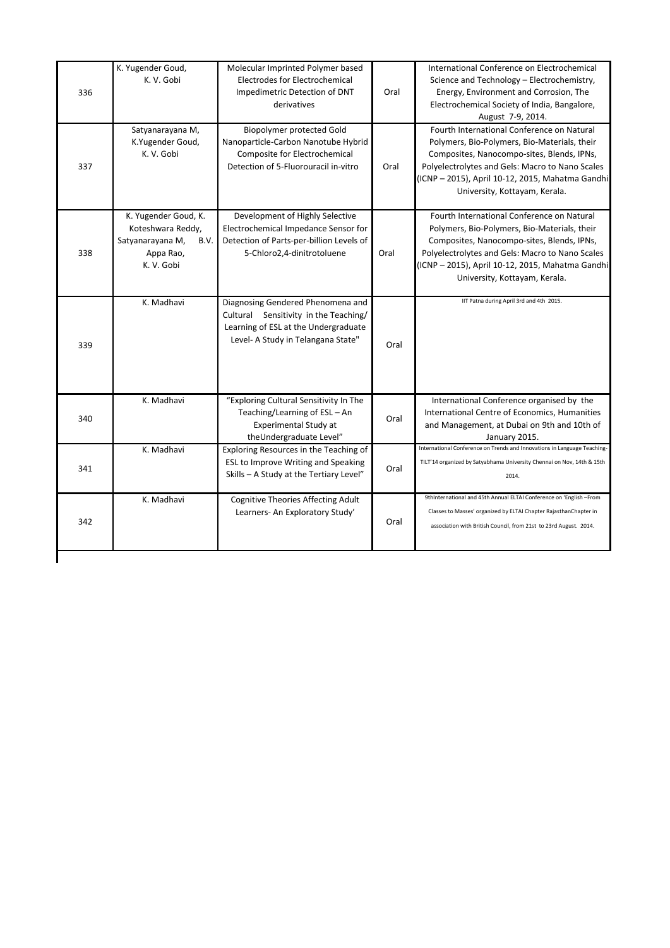| 336 | K. Yugender Goud,<br>K. V. Gobi                                                                  | Molecular Imprinted Polymer based<br><b>Electrodes for Electrochemical</b><br>Impedimetric Detection of DNT<br>derivatives                               | Oral | International Conference on Electrochemical<br>Science and Technology - Electrochemistry,<br>Energy, Environment and Corrosion, The<br>Electrochemical Society of India, Bangalore,<br>August 7-9, 2014.                                                                         |
|-----|--------------------------------------------------------------------------------------------------|----------------------------------------------------------------------------------------------------------------------------------------------------------|------|----------------------------------------------------------------------------------------------------------------------------------------------------------------------------------------------------------------------------------------------------------------------------------|
| 337 | Satyanarayana M,<br>K.Yugender Goud,<br>K. V. Gobi                                               | <b>Biopolymer protected Gold</b><br>Nanoparticle-Carbon Nanotube Hybrid<br>Composite for Electrochemical<br>Detection of 5-Fluorouracil in-vitro         | Oral | Fourth International Conference on Natural<br>Polymers, Bio-Polymers, Bio-Materials, their<br>Composites, Nanocompo-sites, Blends, IPNs,<br>Polyelectrolytes and Gels: Macro to Nano Scales<br>(ICNP - 2015), April 10-12, 2015, Mahatma Gandhi<br>University, Kottayam, Kerala. |
| 338 | K. Yugender Goud, K.<br>Koteshwara Reddy,<br>Satyanarayana M,<br>B.V.<br>Appa Rao,<br>K. V. Gobi | Development of Highly Selective<br>Electrochemical Impedance Sensor for<br>Detection of Parts-per-billion Levels of<br>5-Chloro2,4-dinitrotoluene        | Oral | Fourth International Conference on Natural<br>Polymers, Bio-Polymers, Bio-Materials, their<br>Composites, Nanocompo-sites, Blends, IPNs,<br>Polyelectrolytes and Gels: Macro to Nano Scales<br>(ICNP - 2015), April 10-12, 2015, Mahatma Gandhi<br>University, Kottayam, Kerala. |
| 339 | K. Madhavi                                                                                       | Diagnosing Gendered Phenomena and<br>Cultural Sensitivity in the Teaching/<br>Learning of ESL at the Undergraduate<br>Level- A Study in Telangana State" | Oral | IIT Patna during April 3rd and 4th 2015.                                                                                                                                                                                                                                         |
| 340 | K. Madhavi                                                                                       | "Exploring Cultural Sensitivity In The<br>Teaching/Learning of ESL - An<br>Experimental Study at<br>theUndergraduate Level"                              | Oral | International Conference organised by the<br>International Centre of Economics, Humanities<br>and Management, at Dubai on 9th and 10th of<br>January 2015.                                                                                                                       |
| 341 | K. Madhavi                                                                                       | Exploring Resources in the Teaching of<br>ESL to Improve Writing and Speaking<br>Skills - A Study at the Tertiary Level"                                 | Oral | International Conference on Trends and Innovations in Language Teaching-<br>TILT'14 organized by Satyabhama University Chennai on Nov, 14th & 15th<br>2014.                                                                                                                      |
| 342 | K. Madhavi                                                                                       | <b>Cognitive Theories Affecting Adult</b><br>Learners- An Exploratory Study'                                                                             | Oral | 9thInternational and 45th Annual ELTAI Conference on 'English-From<br>Classes to Masses' organized by ELTAI Chapter RajasthanChapter in<br>association with British Council, from 21st to 23rd August. 2014.                                                                     |